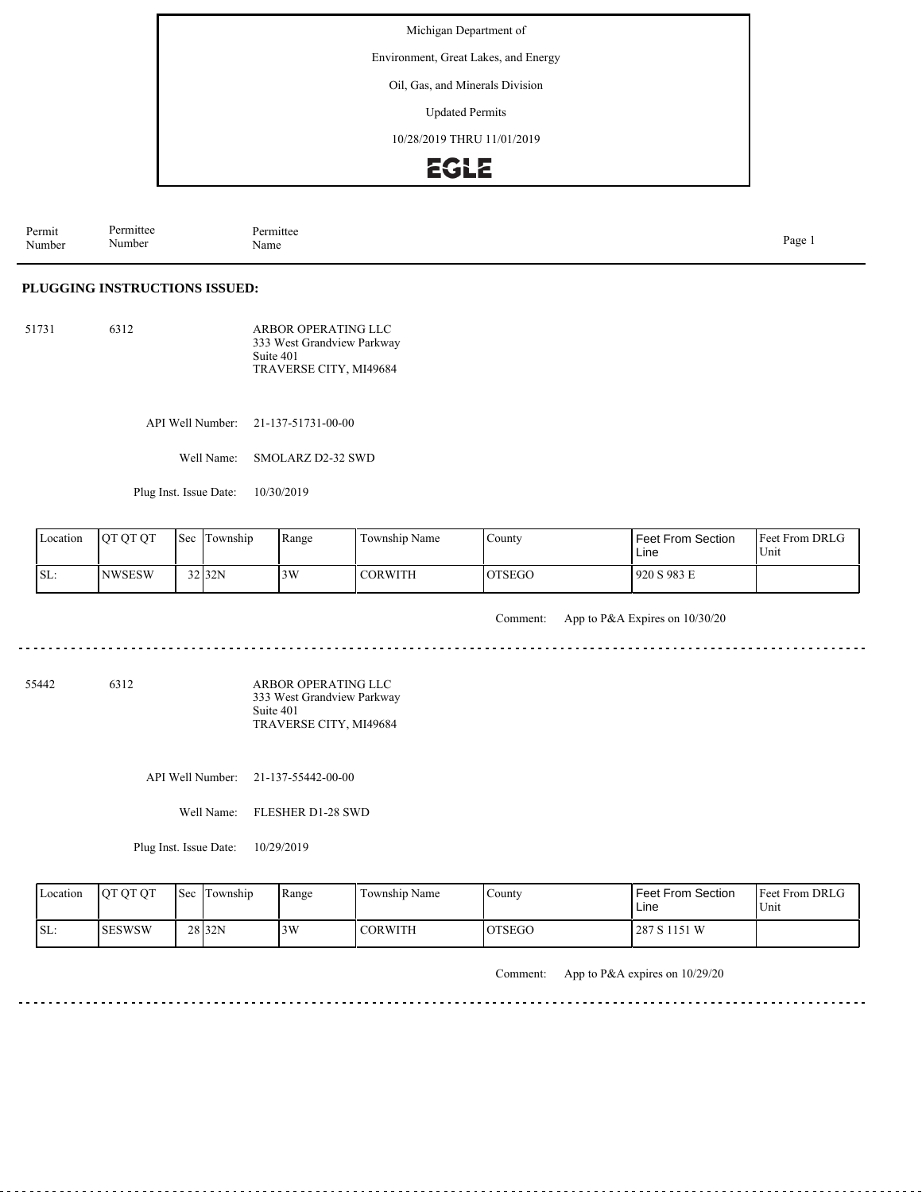Environment, Great Lakes, and Energy

Oil, Gas, and Minerals Division

Updated Permits

10/28/2019 THRU 11/01/2019

## **EGLE**

| Permit<br>Number | Permittee<br>. .<br>Number | $I \wedge$ where<br>rmittee<br>Name | Page |
|------------------|----------------------------|-------------------------------------|------|
|------------------|----------------------------|-------------------------------------|------|

#### **PLUGGING INSTRUCTIONS ISSUED:**

| 51731 | 6312 | ARBOR OPERATING LLC<br>333 West Grandview Parkway |
|-------|------|---------------------------------------------------|
|       |      | Suite 401                                         |
|       |      | TRAVERSE CITY, MI49684                            |

API Well Number: 21-137-51731-00-00

Well Name: SMOLARZ D2-32 SWD

Plug Inst. Issue Date: 10/30/2019

| Location | <b>OT OT OT</b> | Sec | l Township | Range | Township Name  | County        | Feet From Section<br>Line | <b>Feet From DRLG</b><br>Unit |
|----------|-----------------|-----|------------|-------|----------------|---------------|---------------------------|-------------------------------|
| SL:      | <b>NWSESW</b>   |     | 32 32N     | 3W    | <b>CORWITH</b> | <b>OTSEGO</b> | 920 S 983 E               |                               |

Comment: App to P&A Expires on 10/30/20

 $- - - - - -$ 

55442 6312

ARBOR OPERATING LLC 333 West Grandview Parkway Suite 401 TRAVERSE CITY, MI49684

API Well Number: 21-137-55442-00-00

Well Name: FLESHER D1-28 SWD

Plug Inst. Issue Date: 10/29/2019

| Location | <b>OT OT OT</b> | Sec Township      | Range | Township Name  | County         | Feet From Section<br>Line | <b>Feet From DRLG</b><br>U <sub>nit</sub> |
|----------|-----------------|-------------------|-------|----------------|----------------|---------------------------|-------------------------------------------|
| ISL:     | <b>SESWSW</b>   | 28 <sub>32N</sub> | 13W   | <b>CORWITH</b> | <b>IOTSEGO</b> | 287 S 1151 W              |                                           |

Comment: App to P&A expires on 10/29/20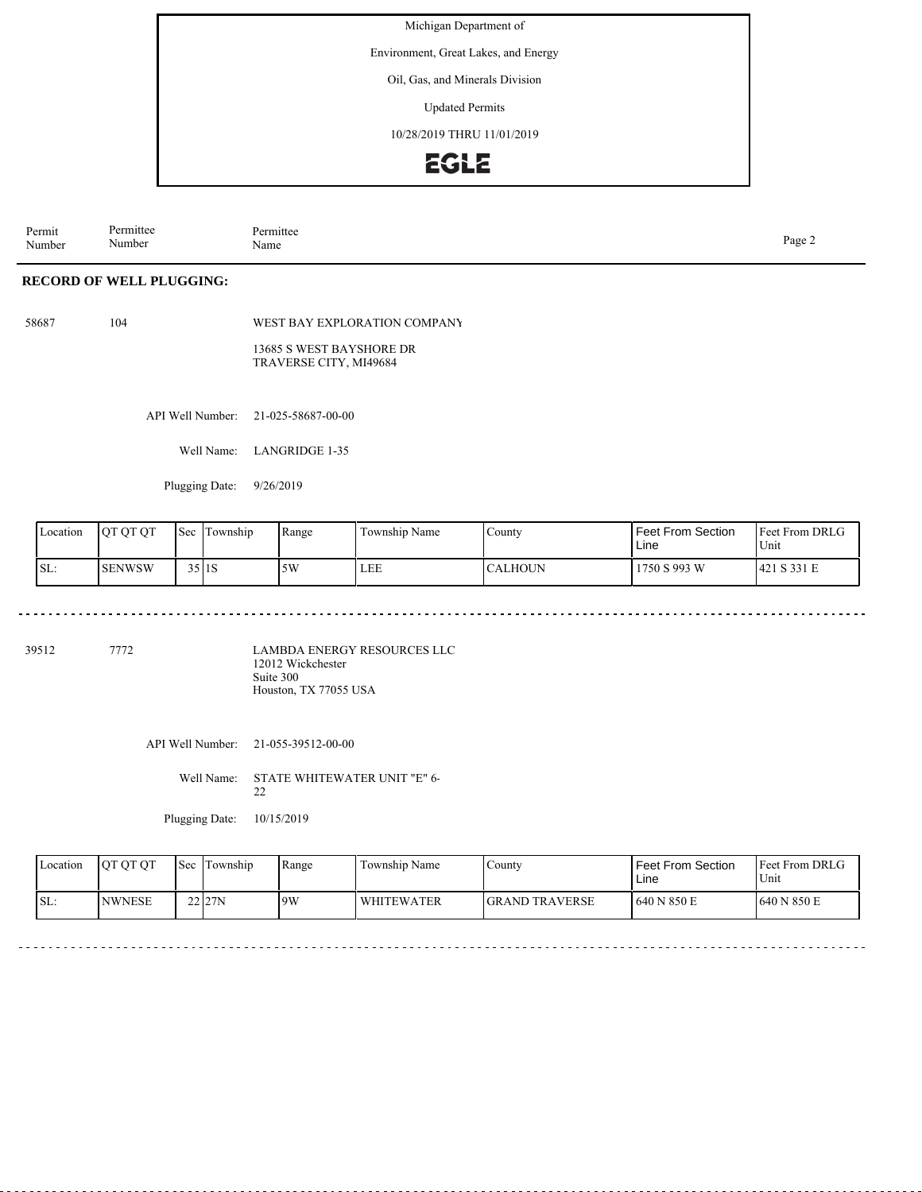Environment, Great Lakes, and Energy

Oil, Gas, and Minerals Division

Updated Permits

10/28/2019 THRU 11/01/2019

### **EGLE**

Permit Number Permittee Number Permittee<br>Name Page 2<br>Name

### **RECORD OF WELL PLUGGING:**

58687 104

WEST BAY EXPLORATION COMPANY

13685 S WEST BAYSHORE DR TRAVERSE CITY, MI49684

API Well Number: 21-025-58687-00-00

Well Name: LANGRIDGE 1-35

Plugging Date: 9/26/2019

 $\sim$   $\sim$ 

| Location | <b>OT OT OT</b> | Sec      | l m<br>l Township | Range | $\sim$<br>Township Name | County         | Feet From Section<br>Line | <b>Feet From DRLG</b><br>Unit |
|----------|-----------------|----------|-------------------|-------|-------------------------|----------------|---------------------------|-------------------------------|
| SL:      | <b>SENWSW</b>   | $35$  1S |                   | 5W    | <b>LEE</b>              | <b>CALHOUN</b> | 1750 S 993 W              | 421 S 331 E                   |

39512 7772

LAMBDA ENERGY RESOURCES LLC 12012 Wickchester Suite 300 Houston, TX 77055 USA

API Well Number: 21-055-39512-00-00

Well Name: STATE WHITEWATER UNIT "E" 6- 22

Plugging Date: 10/15/2019

| Location | <b>IOTOTOT</b> | <b>Sec</b> Township | Range | Township Name     | County                 | Feet From Section<br>Line | <b>Feet From DRLG</b><br>Unit |
|----------|----------------|---------------------|-------|-------------------|------------------------|---------------------------|-------------------------------|
| SL:      | <b>INWNESE</b> | 22 27N              | 9W    | <b>WHITEWATER</b> | <b>IGRAND TRAVERSE</b> | 1640 N 850 E              | 1640 N 850 E                  |

. . . . . . . .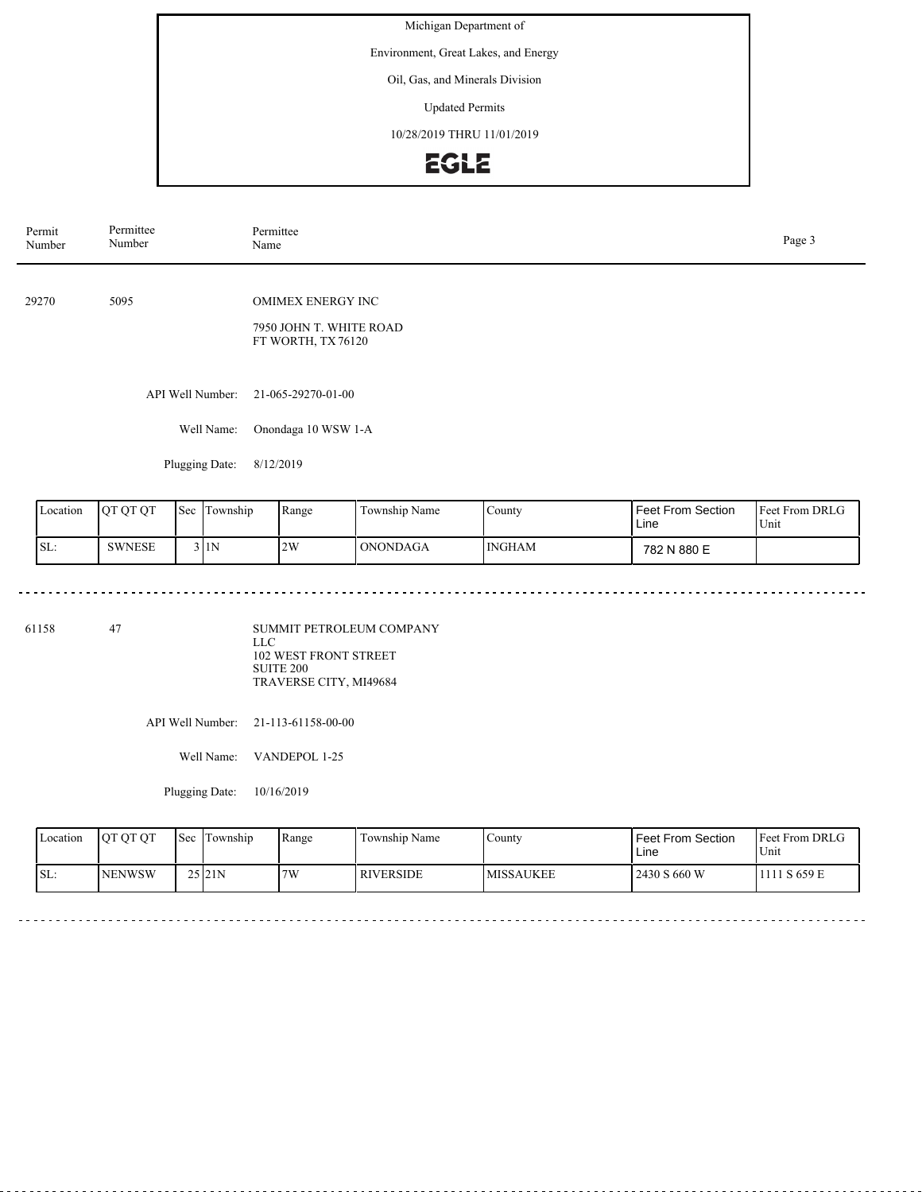Environment, Great Lakes, and Energy

Oil, Gas, and Minerals Division

Updated Permits

10/28/2019 THRU 11/01/2019

# **EGLE**

| Permit<br>Number | Permittee<br>Number | Permittee<br>Name                                                        |  |  |  |  |
|------------------|---------------------|--------------------------------------------------------------------------|--|--|--|--|
| 29270            | 5095                | <b>OMIMEX ENERGY INC</b><br>7950 JOHN T. WHITE ROAD<br>FT WORTH, TX76120 |  |  |  |  |
|                  | API Well Number:    | 21-065-29270-01-00                                                       |  |  |  |  |
|                  | Well Name:          | Onondaga 10 WSW 1-A                                                      |  |  |  |  |
|                  | Plugging Date:      | 8/12/2019                                                                |  |  |  |  |
|                  |                     |                                                                          |  |  |  |  |

| Location | <b>OT OT OT</b> | Sec | Township | Range | Township Name | County | <b>Feet From Section</b><br>Line | <b>Feet From DRLG</b><br>Unit |
|----------|-----------------|-----|----------|-------|---------------|--------|----------------------------------|-------------------------------|
| SL:      | <b>SWNESE</b>   |     | 3 I 1 N  | 2W    | ONONDAGA      | INGHAM | 782 N 880 E                      |                               |

61158 47

SUMMIT PETROLEUM COMPANY LLC 102 WEST FRONT STREET SUITE 200 TRAVERSE CITY, MI49684

API Well Number: 21-113-61158-00-00

Well Name: VANDEPOL 1-25

Plugging Date: 10/16/2019

<u>. . . . . . . . . . . . .</u>

| Location | <b>IOT OT OT</b> | <b>Sec</b> | Township | Range | Township Name    | . County         | l Feet From Section<br>Line | <b>Feet From DRLG</b><br>Unit |
|----------|------------------|------------|----------|-------|------------------|------------------|-----------------------------|-------------------------------|
| SL:      | <b>INENWSW</b>   |            | 25121N   | 7W    | <b>RIVERSIDE</b> | <b>MISSAUKEE</b> | 2430 S 660 W                | 111 S 659 E                   |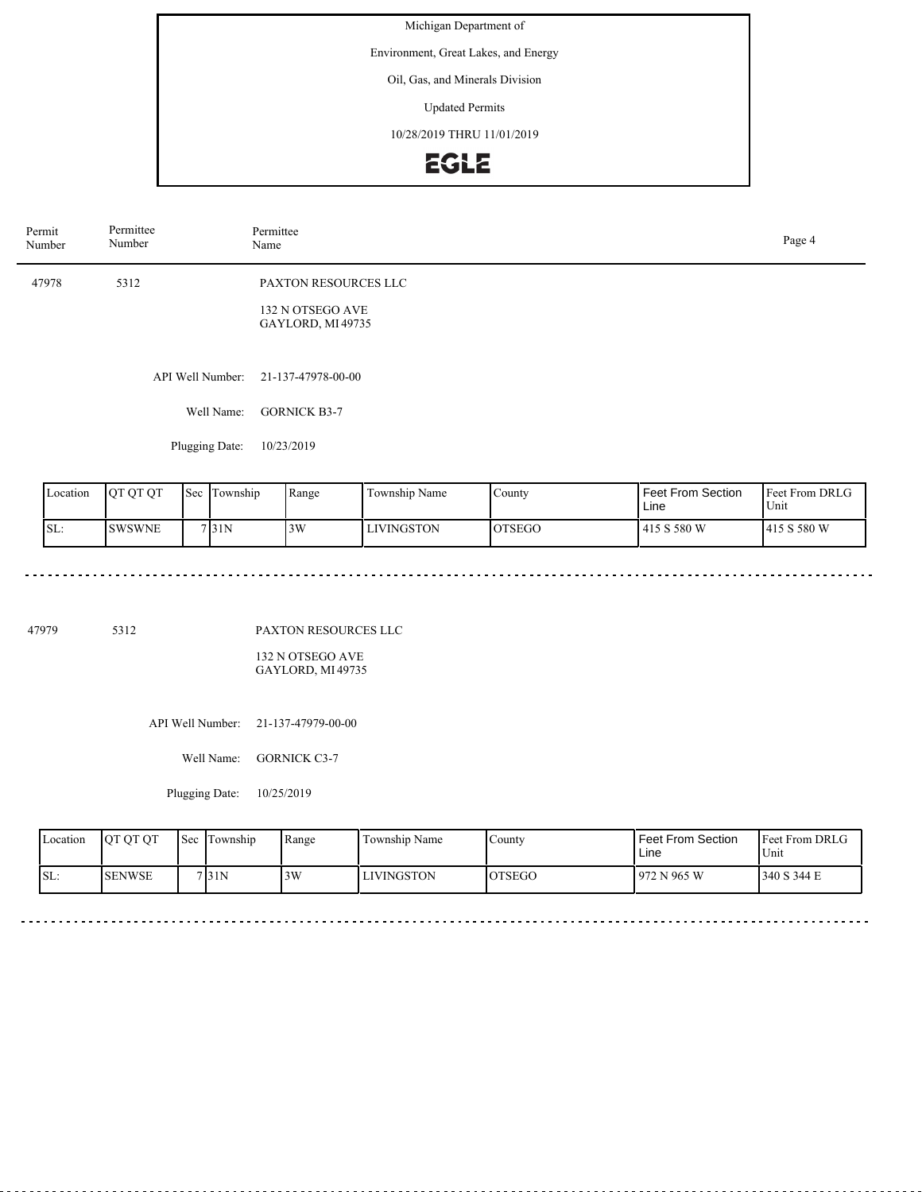Environment, Great Lakes, and Energy

Oil, Gas, and Minerals Division

Updated Permits

10/28/2019 THRU 11/01/2019

# **EGLE**

| Permit<br>Number | Permittee<br>Number | Permittee<br>Name                                            | Page 4 |
|------------------|---------------------|--------------------------------------------------------------|--------|
| 47978            | 5312                | PAXTON RESOURCES LLC<br>132 N OTSEGO AVE<br>GAYLORD, MI49735 |        |
|                  | API Well Number:    | 21-137-47978-00-00                                           |        |
|                  | Well Name:          | <b>GORNICK B3-7</b>                                          |        |
|                  | Plugging Date:      | 10/23/2019                                                   |        |

| Location | <b>OT OT OT</b> | 'Sec | Township | Range | Township Name     | County        | <b>Feet From Section</b><br>Line | <b>Feet From DRLG</b><br>Unit |
|----------|-----------------|------|----------|-------|-------------------|---------------|----------------------------------|-------------------------------|
| SL:      | <b>SWSWNE</b>   |      | 7 31N    | 3W    | <b>LIVINGSTON</b> | <b>OTSEGO</b> | 415 S 580 W                      | 1415 S 580 W                  |

-------

47979 5312

PAXTON RESOURCES LLC

132 N OTSEGO AVE GAYLORD, MI 49735

API Well Number: 21-137-47979-00-00

Well Name: GORNICK C3-7

Plugging Date: 10/25/2019

| <b>Location</b> | <b>OT OT OT</b> | <b>Sec</b> | Township | Range | Township Name     | . County       | Feet From Section<br>Line | <b>Feet From DRLG</b><br>$U_{\text{init}}$ |
|-----------------|-----------------|------------|----------|-------|-------------------|----------------|---------------------------|--------------------------------------------|
| SL:             | <b>I</b> SENWSE |            | 7 3 1 N  | 3W    | <b>LIVINGSTON</b> | <b>IOTSEGO</b> | 1972 N 965 W              | 340 S 344 E                                |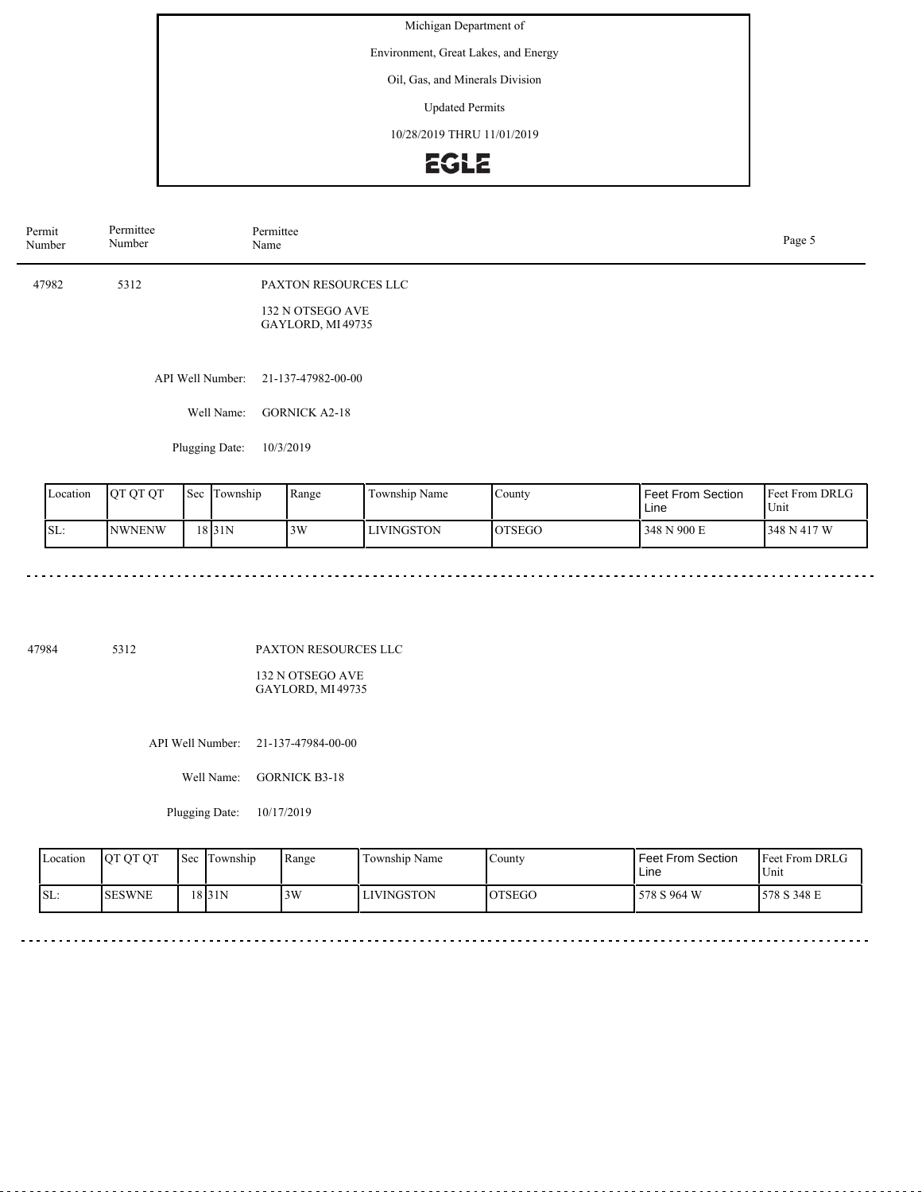Environment, Great Lakes, and Energy

Oil, Gas, and Minerals Division

Updated Permits

10/28/2019 THRU 11/01/2019

# **EGLE**

| Permit<br>Number | Permittee<br>Number | Permittee<br>Name                                             | Page 5 |
|------------------|---------------------|---------------------------------------------------------------|--------|
| 47982            | 5312                | PAXTON RESOURCES LLC<br>132 N OTSEGO AVE<br>GAYLORD, MI 49735 |        |
|                  |                     | API Well Number: 21-137-47982-00-00                           |        |
|                  | Well Name:          | <b>GORNICK A2-18</b>                                          |        |
|                  | Plugging Date:      | 10/3/2019                                                     |        |

| Location | <b>IOT OT OT</b> | 'Sec | fownship | Range | Township Name     | County        | <b>Feet From Section</b><br>Line | <b>Feet From DRLG</b><br>Unit |
|----------|------------------|------|----------|-------|-------------------|---------------|----------------------------------|-------------------------------|
| SL:      | <b>NWNENW</b>    |      | 18131N   | 3W    | <b>LIVINGSTON</b> | <b>OTSEGO</b> | 348 N 900 E                      | 348 N 417 W                   |

<u>. . . . . . . . . . . . . . . .</u>

 $\sim$ 

 $\frac{1}{2}$ 

47984 5312

 $\sim$   $\sim$   $\sim$   $\sim$   $\sim$ 

 $\begin{array}{cccccccccccccc} \multicolumn{2}{c}{} & \multicolumn{2}{c}{} & \multicolumn{2}{c}{} & \multicolumn{2}{c}{} & \multicolumn{2}{c}{} & \multicolumn{2}{c}{} & \multicolumn{2}{c}{} & \multicolumn{2}{c}{} & \multicolumn{2}{c}{} & \multicolumn{2}{c}{} & \multicolumn{2}{c}{} & \multicolumn{2}{c}{} & \multicolumn{2}{c}{} & \multicolumn{2}{c}{} & \multicolumn{2}{c}{} & \multicolumn{2}{c}{} & \multicolumn{2}{c}{} & \multicolumn{2}{c}{} & \multicolumn{2}{c}{} & \$ 

PAXTON RESOURCES LLC

132 N OTSEGO AVE GAYLORD, MI 49735

API Well Number: 21-137-47984-00-00

Well Name: GORNICK B3-18

Plugging Date: 10/17/2019

| Location | <b>OT OT OT</b> | l Sec | Township | Range | Township Name | County        | l Feet From Section_<br>Line | <b>Feet From DRLG</b><br>Unit |
|----------|-----------------|-------|----------|-------|---------------|---------------|------------------------------|-------------------------------|
| SL:      | <b>ISESWNE</b>  |       | 18 3 1 N | 3W    | LIVINGSTON    | <b>OTSEGO</b> | 578 S 964 W                  | 578 S 348 E                   |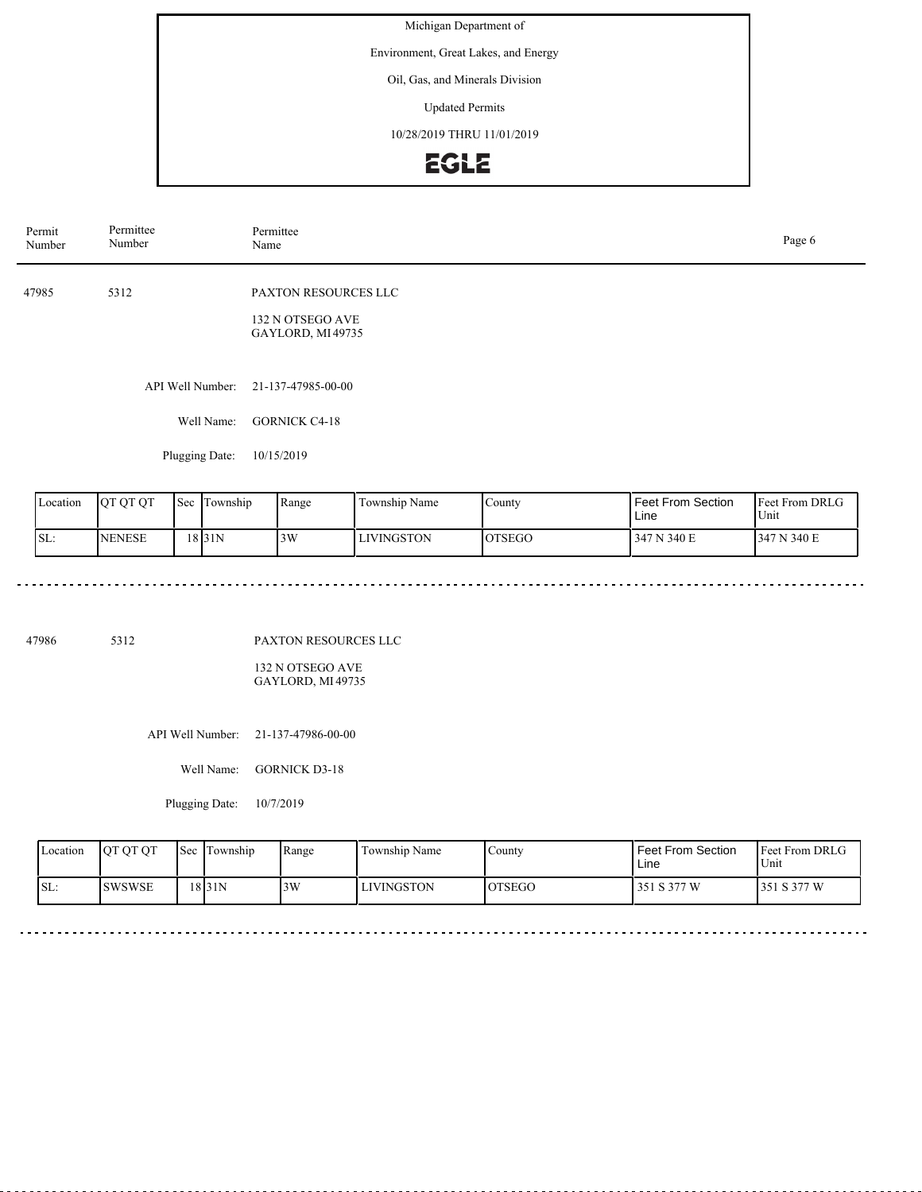Environment, Great Lakes, and Energy

Oil, Gas, and Minerals Division

Updated Permits

10/28/2019 THRU 11/01/2019

# EGLE

| Permit<br>Number | Permittee<br>Number | Permittee<br>Name                                             | Page 6 |
|------------------|---------------------|---------------------------------------------------------------|--------|
| 47985            | 5312                | PAXTON RESOURCES LLC<br>132 N OTSEGO AVE<br>GAYLORD, MI 49735 |        |
|                  | API Well Number:    | 21-137-47985-00-00                                            |        |
|                  | Well Name:          | <b>GORNICK C4-18</b>                                          |        |
|                  | Plugging Date:      | 10/15/2019                                                    |        |

| Location | <b>IOT OT OT</b> | 'Sec | l'Iownship | Range | Township Name     | County        | <b>Feet From Section</b><br>Line | <b>Feet From DRLG</b><br>Unit |
|----------|------------------|------|------------|-------|-------------------|---------------|----------------------------------|-------------------------------|
| SL:      | <b>NENESE</b>    |      | 18 3 1 N   | 3W    | <b>LIVINGSTON</b> | <b>OTSEGO</b> | 347 N 340 E                      | 347 N 340 E                   |

47986 5312

PAXTON RESOURCES LLC

132 N OTSEGO AVE GAYLORD, MI 49735

API Well Number: 21-137-47986-00-00

Well Name: GORNICK D3-18

Plugging Date: 10/7/2019

| Location | <b>OT OT OT</b> | <b>Sec</b> | Township | Range | Township Name     | County        | l Feet From Section<br>Line | <b>Feet From DRLG</b><br>Unit |
|----------|-----------------|------------|----------|-------|-------------------|---------------|-----------------------------|-------------------------------|
| SL:      | <b>SWSWSE</b>   |            | 18 3 1 N | 3W    | <b>LIVINGSTON</b> | <b>OTSEGO</b> | 351 S 377 W                 | 1351 S 377 W                  |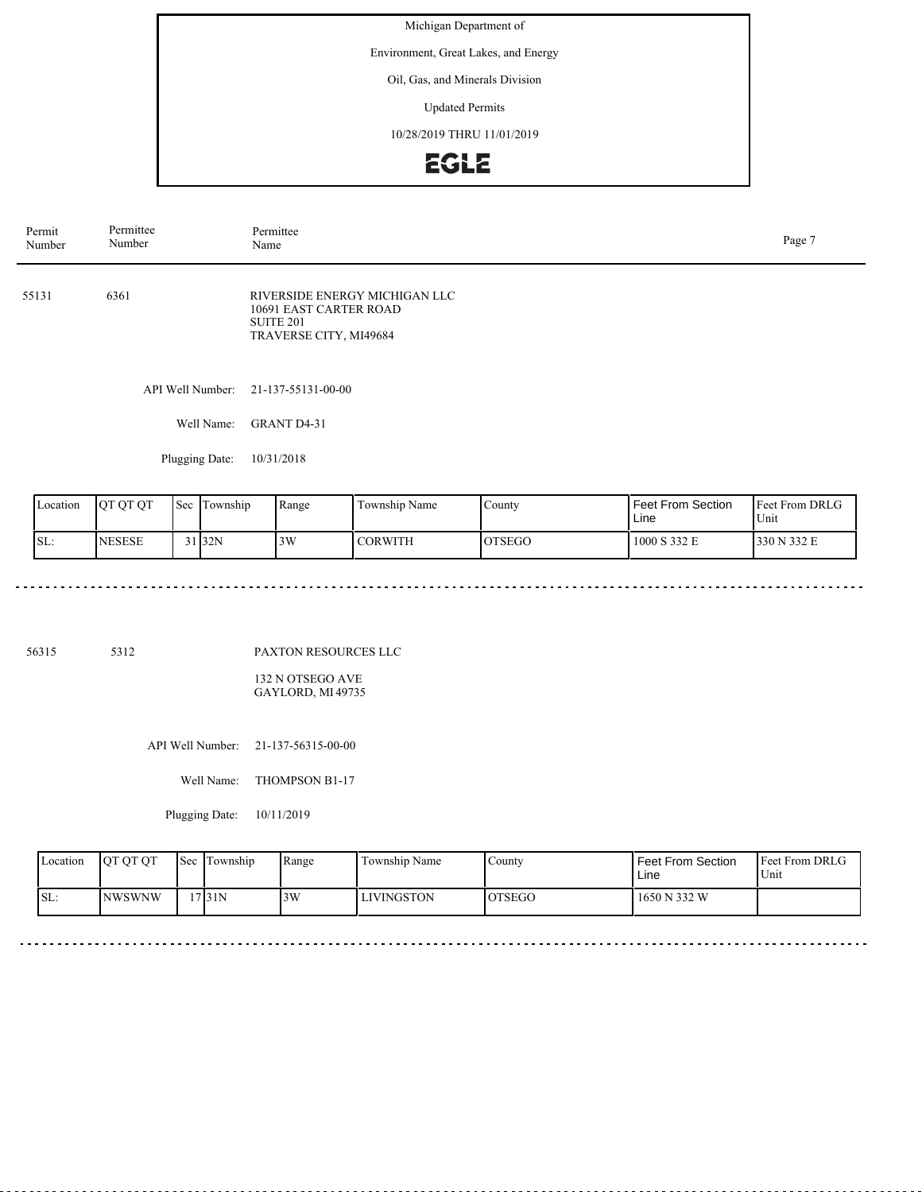Environment, Great Lakes, and Energy

Oil, Gas, and Minerals Division

Updated Permits

10/28/2019 THRU 11/01/2019

# **EGLE**

Plugging Date: 10/31/2018

| Location | <b>IOT OT OT</b> | Sec. | Township            | Range | Township Name  | County  | <b>Feet From Section</b><br>Line | <b>Feet From DRLG</b><br>Unit |
|----------|------------------|------|---------------------|-------|----------------|---------|----------------------------------|-------------------------------|
| ISL:     | <b>NESESE</b>    |      | $31$ <sub>32N</sub> | 3W    | <b>CORWITH</b> | IOTSEGO | 1000 S 332 E                     | 1330 N 332 E                  |

. . . . . . . . . . . . . . . . . .

56315 5312

PAXTON RESOURCES LLC

132 N OTSEGO AVE GAYLORD, MI 49735

API Well Number: 21-137-56315-00-00

Well Name: THOMPSON B1-17

Plugging Date: 10/11/2019

| Location | <b>OT OT OT</b> | 'Sec | Township | Range | Township Name     | County        | <b>Feet From Section</b><br>Line | <b>Feet From DRLG</b><br>Unit |
|----------|-----------------|------|----------|-------|-------------------|---------------|----------------------------------|-------------------------------|
| ISL:     | <b>NWSWNW</b>   |      | 17 3 1 N | 3W    | <b>LIVINGSTON</b> | <b>OTSEGO</b> | 1650 N 332 W                     |                               |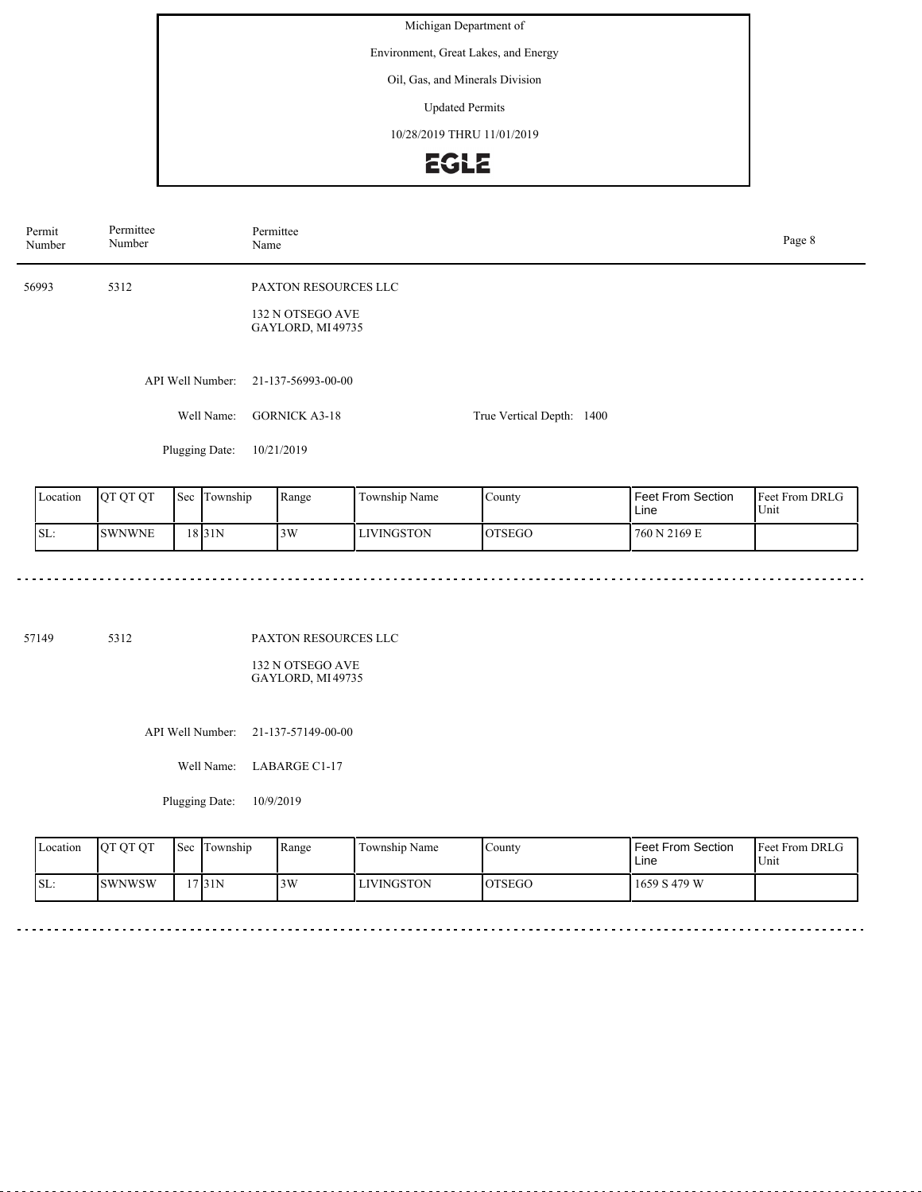Environment, Great Lakes, and Energy

Oil, Gas, and Minerals Division

Updated Permits

10/28/2019 THRU 11/01/2019

# EGLE

| Permit<br>Number | Permittee<br>Number            | Permittee<br>Name                                                    |                           |  |  |  |  |
|------------------|--------------------------------|----------------------------------------------------------------------|---------------------------|--|--|--|--|
| 56993            | 5312                           | <b>PAXTON RESOURCES LLC</b><br>132 N OTSEGO AVE<br>GAYLORD, MI 49735 |                           |  |  |  |  |
|                  | API Well Number:<br>Well Name: | 21-137-56993-00-00<br><b>GORNICK A3-18</b>                           | True Vertical Depth: 1400 |  |  |  |  |
|                  | Plugging Date:                 | 10/21/2019                                                           |                           |  |  |  |  |

| Location | <b>OT OT OT</b> | Sec | Township | Range | Township Name     | County.       | <b>Feet From Section</b><br>Line | <b>Feet From DRLG</b><br>Unit |
|----------|-----------------|-----|----------|-------|-------------------|---------------|----------------------------------|-------------------------------|
| SL:      | <b>SWNWNE</b>   |     | 18 31 N  | 3W    | <b>LIVINGSTON</b> | <b>OTSEGO</b> | 760 N 2169 E                     |                               |

<u>. . . . . . . . . . . .</u>

57149 5312

PAXTON RESOURCES LLC

132 N OTSEGO AVE GAYLORD, MI 49735

API Well Number: 21-137-57149-00-00

Well Name: LABARGE C1-17

Plugging Date: 10/9/2019

| Location | <b>OT OT OT</b> | <b>Sec</b> | Township | Range | Township Name     | County        | Feet From Section<br>Line | <b>Feet From DRLG</b><br>Unit |
|----------|-----------------|------------|----------|-------|-------------------|---------------|---------------------------|-------------------------------|
| SL:      | <b>SWNWSW</b>   |            | 17131N   | 3W    | <b>LIVINGSTON</b> | <b>OTSEGO</b> | 1659 S 479 W              |                               |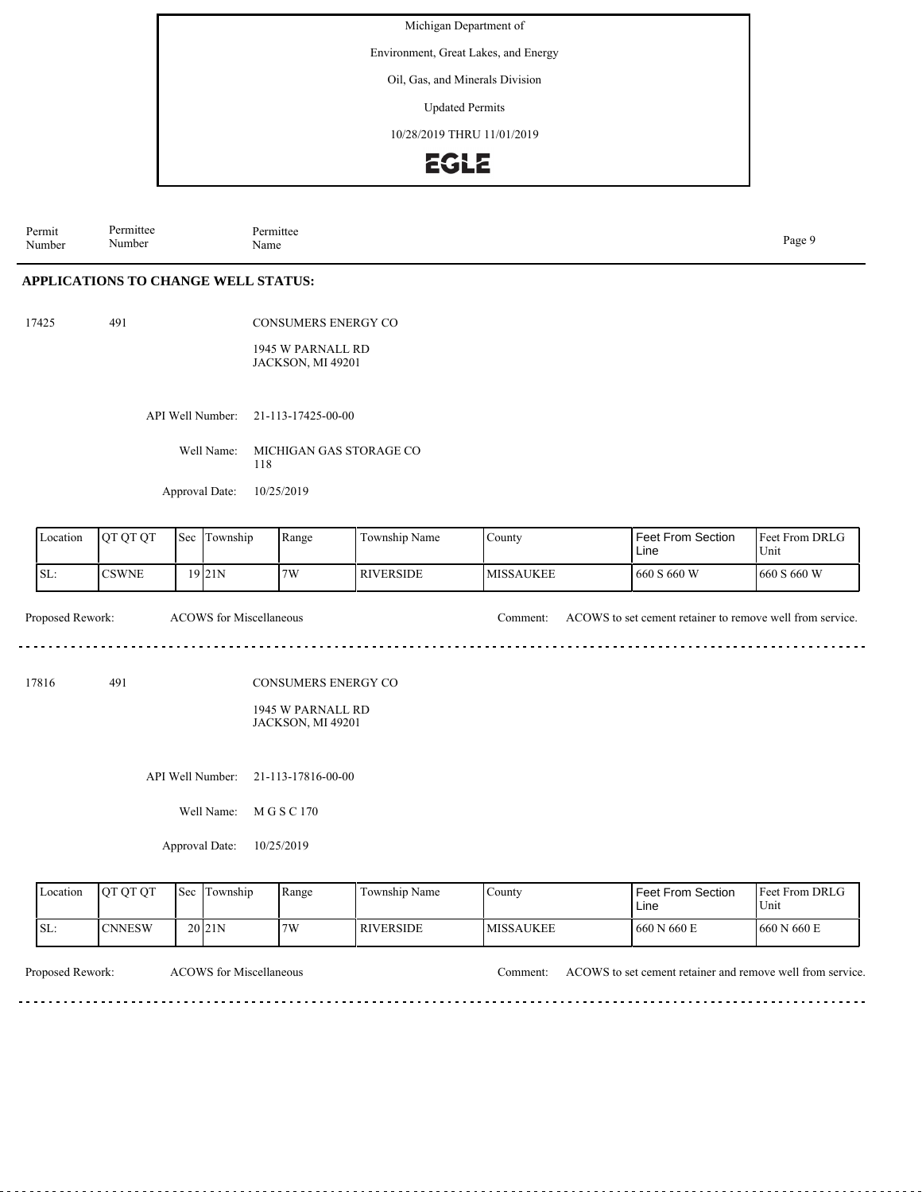Environment, Great Lakes, and Energy

Oil, Gas, and Minerals Division

Updated Permits

10/28/2019 THRU 11/01/2019

### EGLE

Permit Number Permittee Number Permittee<br>Name Name Page 9

#### **APPLICATIONS TO CHANGE WELL STATUS:**

17425 491

CONSUMERS ENERGY CO

1945 W PARNALL RD JACKSON, MI 49201

API Well Number: 21-113-17425-00-00

Well Name: MICHIGAN GAS STORAGE CO 118

Approval Date: 10/25/2019

| Location         | QT QT QT      | Sec | Township                       | Range                                                                       | Township Name    | County           | Feet From DRLG<br><b>Feet From Section</b><br>Unit<br>Line |                        |
|------------------|---------------|-----|--------------------------------|-----------------------------------------------------------------------------|------------------|------------------|------------------------------------------------------------|------------------------|
| SL:              | <b>CSWNE</b>  |     | 19 21N                         | 7W                                                                          | <b>RIVERSIDE</b> | <b>MISSAUKEE</b> | 660 S 660 W                                                | 660 S 660 W            |
| Proposed Rework: |               |     | <b>ACOWS</b> for Miscellaneous |                                                                             |                  | Comment:         | ACOWS to set cement retainer to remove well from service.  |                        |
| 17816            | 491           |     |                                | <b>CONSUMERS ENERGY CO</b><br>1945 W PARNALL RD<br><b>JACKSON, MI 49201</b> |                  |                  |                                                            |                        |
|                  |               |     | API Well Number:<br>Well Name: | 21-113-17816-00-00<br>M G S C 170                                           |                  |                  |                                                            |                        |
|                  |               |     | Approval Date:                 | 10/25/2019                                                                  |                  |                  |                                                            |                        |
| Location         | QT QT QT      | Sec | Township                       | Range                                                                       | Township Name    | County           | Feet From Section<br>Line                                  | Feet From DRLG<br>Unit |
| SL:              | <b>CNNESW</b> |     | 20 21N                         | 7W                                                                          | <b>RIVERSIDE</b> | <b>MISSAUKEE</b> | 660 N 660 E                                                | 660 N 660 E            |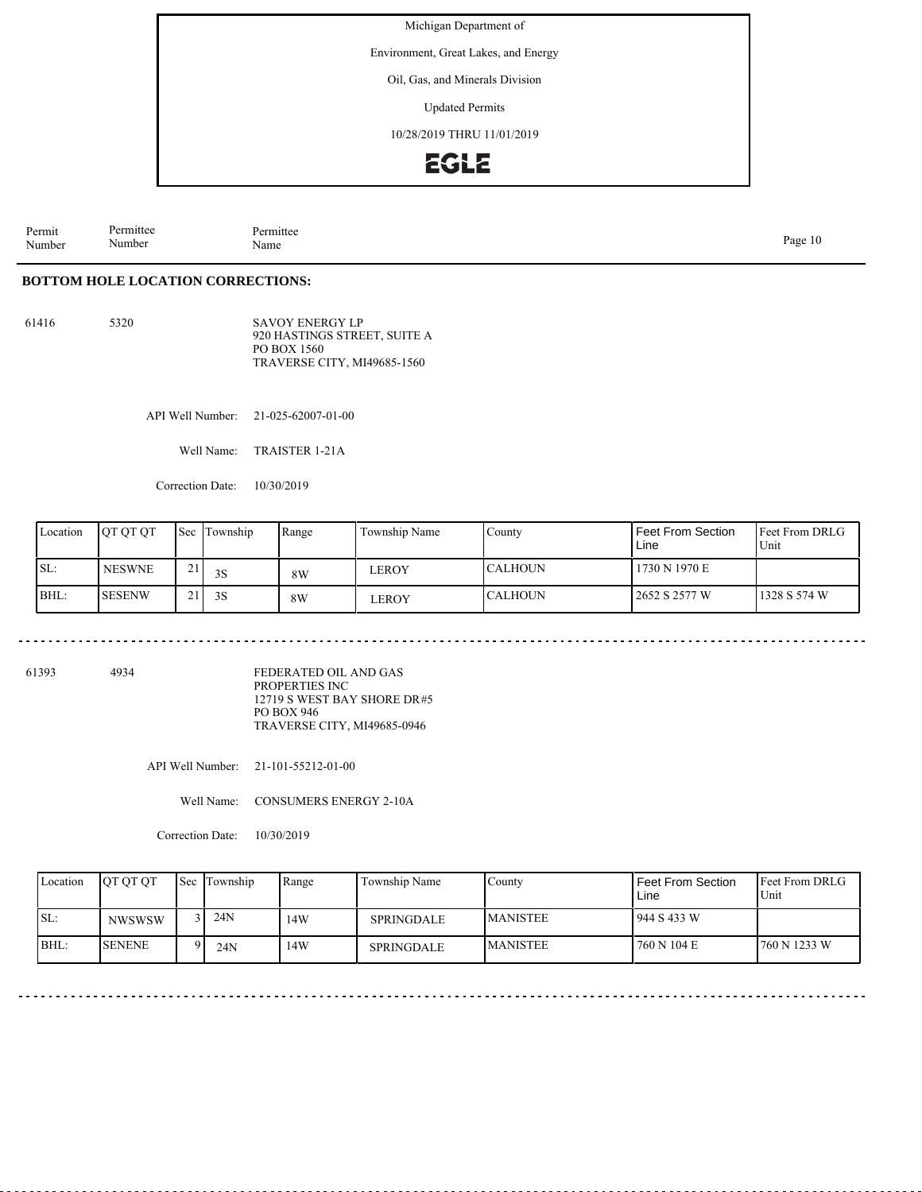Environment, Great Lakes, and Energy

Oil, Gas, and Minerals Division

Updated Permits

10/28/2019 THRU 11/01/2019

### **EGLE**

Permit Number Permittee Number Permittee<br>Name Page 10<br>Name Page 10

#### **BOTTOM HOLE LOCATION CORRECTIONS:**

61416 5320

SAVOY ENERGY LP 920 HASTINGS STREET, SUITE A PO BOX 1560 TRAVERSE CITY, MI49685-1560

API Well Number: 21-025-62007-01-00

Well Name: TRAISTER 1-21A

Correction Date: 10/30/2019

| Location | <b>IOT OT OT</b> | Sec           | Township | Range | Township Name | County          | <b>Feet From Section</b><br>Line | Feet From DRLG<br>Unit |
|----------|------------------|---------------|----------|-------|---------------|-----------------|----------------------------------|------------------------|
| ISL:     | <b>NESWNE</b>    | $\sim$<br>- 1 | 3S       | 8W    | LEROY         | <b>ICALHOUN</b> | 1730 N 1970 E                    |                        |
| BHL:     | ISESENW          | $\sim$        | 3S       | 8W    | LEROY         | <b>CALHOUN</b>  | 2652 S 2577 W                    | 1328 S 574 W           |

. . . . . . . . . . . .

61393 4934

FEDERATED OIL AND GAS PROPERTIES INC 12719 S WEST BAY SHORE DR #5 PO BOX 946 TRAVERSE CITY, MI49685-0946

API Well Number: 21-101-55212-01-00

Well Name: CONSUMERS ENERGY 2-10A

Correction Date: 10/30/2019

| Location | <b>IOT OT OT</b> | Sec Township | Range | Township Name     | County           | l Feet From Section.<br>Line | <b>Feet From DRLG</b><br>Unit |
|----------|------------------|--------------|-------|-------------------|------------------|------------------------------|-------------------------------|
| ISL:     | <b>NWSWSW</b>    | 24N<br>2 I I | 14W   | <b>SPRINGDALE</b> | <b>IMANISTEE</b> | 944 S 433 W                  |                               |
| BHL:     | <b>ISENENE</b>   | 24N          | 14W   | SPRINGDALE        | <b>MANISTEE</b>  | 760 N 104 E                  | 760 N 1233 W                  |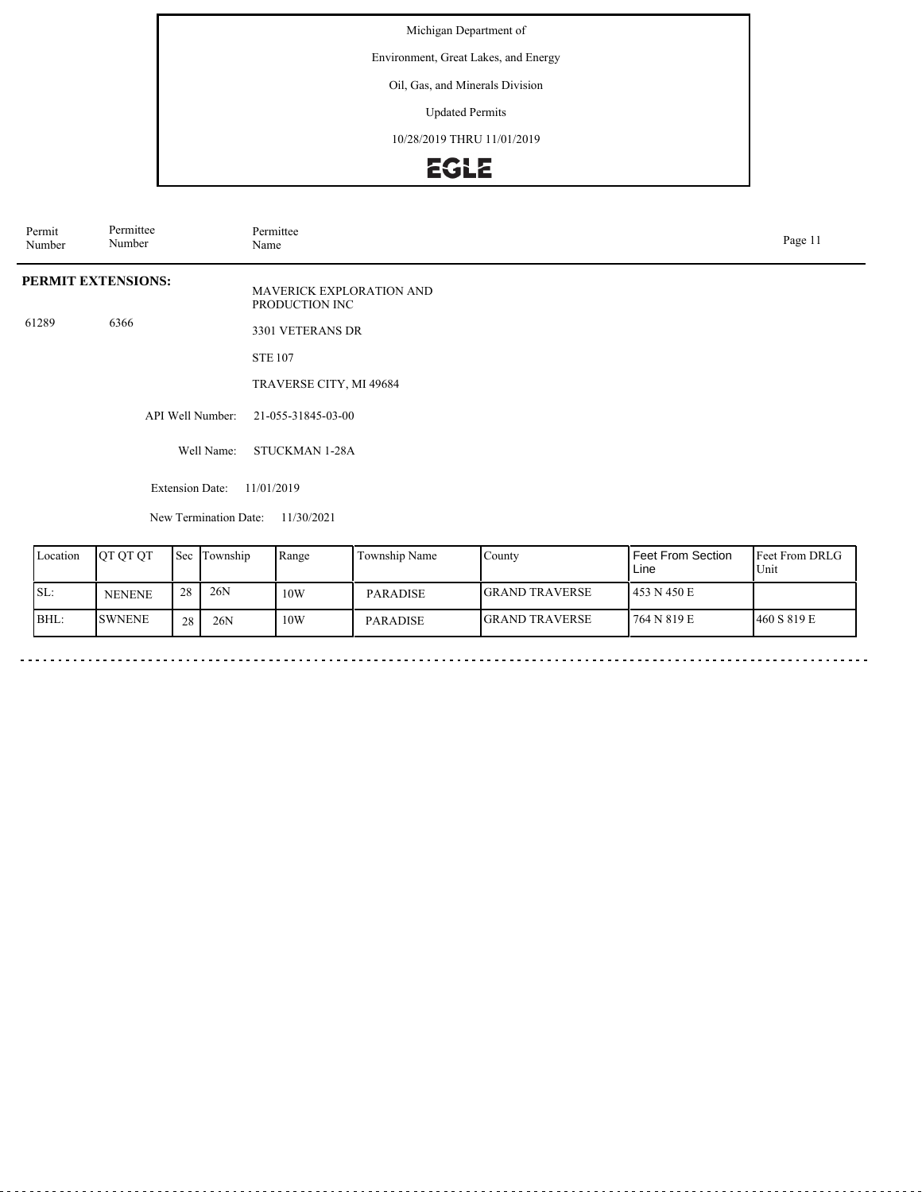Environment, Great Lakes, and Energy

### Oil, Gas, and Minerals Division

Updated Permits

10/28/2019 THRU 11/01/2019

# EGLE

| Permit<br>Number | Permittee<br>Number |     |                                      | Permittee<br>Page 11<br>Name |                                 |        |                            |                            |  |  |
|------------------|---------------------|-----|--------------------------------------|------------------------------|---------------------------------|--------|----------------------------|----------------------------|--|--|
|                  | PERMIT EXTENSIONS:  |     |                                      | PRODUCTION INC               | <b>MAVERICK EXPLORATION AND</b> |        |                            |                            |  |  |
| 61289            | 6366                |     |                                      | 3301 VETERANS DR             |                                 |        |                            |                            |  |  |
|                  |                     |     | <b>STE 107</b>                       |                              |                                 |        |                            |                            |  |  |
|                  |                     |     |                                      | TRAVERSE CITY, MI 49684      |                                 |        |                            |                            |  |  |
|                  |                     |     | API Well Number:                     | 21-055-31845-03-00           |                                 |        |                            |                            |  |  |
|                  |                     |     | Well Name:                           | <b>STUCKMAN 1-28A</b>        |                                 |        |                            |                            |  |  |
|                  |                     |     | 11/01/2019<br><b>Extension Date:</b> |                              |                                 |        |                            |                            |  |  |
|                  |                     |     | New Termination Date:                | 11/30/2021                   |                                 |        |                            |                            |  |  |
| Location         | QT QT QT            | Sec | Township                             | Range                        | Township Name                   | County | Feet From Section<br>l ina | Feet From DRLG<br>$I$ Init |  |  |

| Location | <b>JOT OT OT</b> |    | <b>ISec Township</b> | Range | Township Name   | County                 | I Feet From Section_<br>Line | <b>IFeet From DRLG</b><br>Unit |
|----------|------------------|----|----------------------|-------|-----------------|------------------------|------------------------------|--------------------------------|
| ISL:     | <b>NENENE</b>    | 28 | 26N                  | 10W   | <b>PARADISE</b> | <b>IGRAND TRAVERSE</b> | 1453 N 450 E                 |                                |
| BHL:     | <b>SWNENE</b>    | 28 | 26N                  | 10W   | <b>PARADISE</b> | <b>GRAND TRAVERSE</b>  | 764 N 819 E                  | 460 S 819 E                    |
|          |                  |    |                      |       |                 |                        |                              |                                |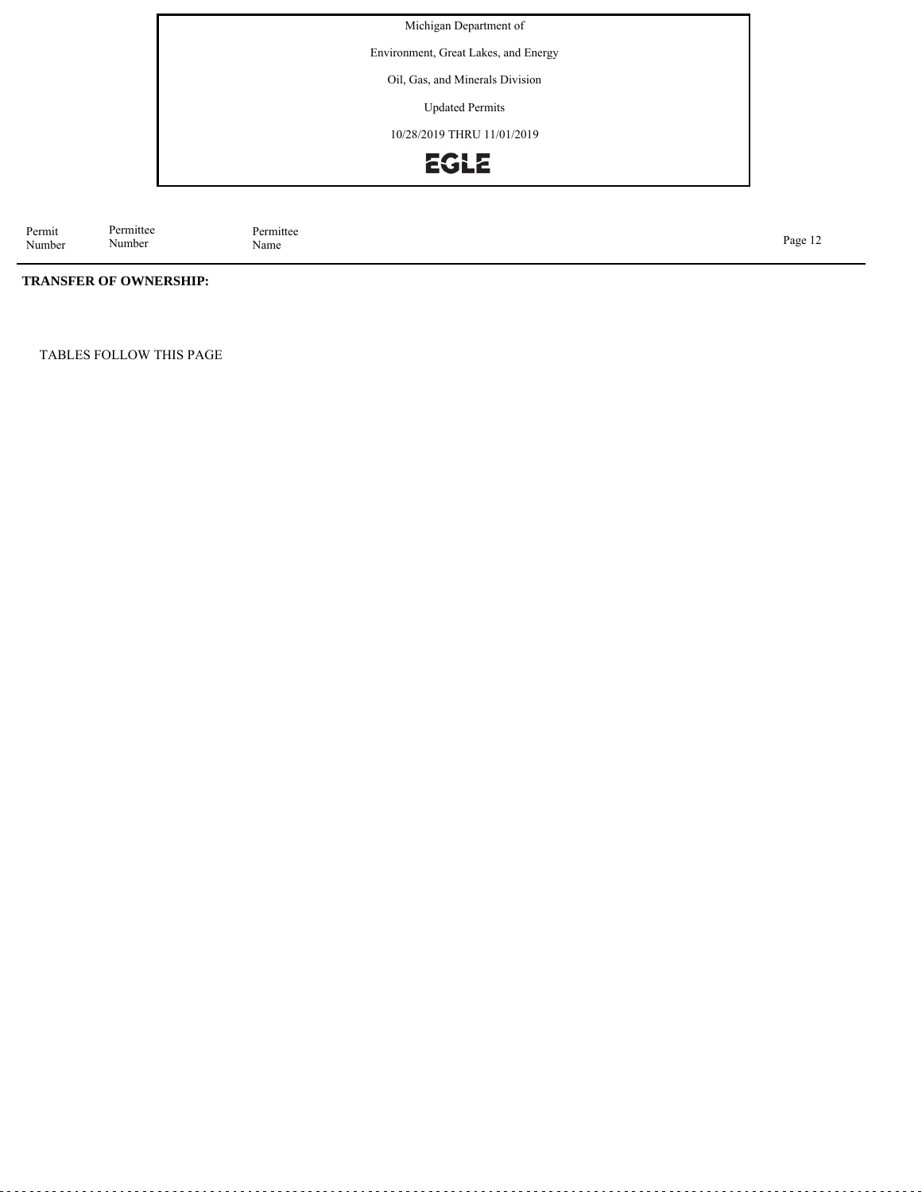Environment, Great Lakes, and Energy

Oil, Gas, and Minerals Division

Updated Permits

10/28/2019 THRU 11/01/2019



Permit Number Permittee<br>Name Page 12<br>Name Page 12

### **TRANSFER OF OWNERSHIP:**

Permittee Number

TABLES FOLLOW THIS PAGE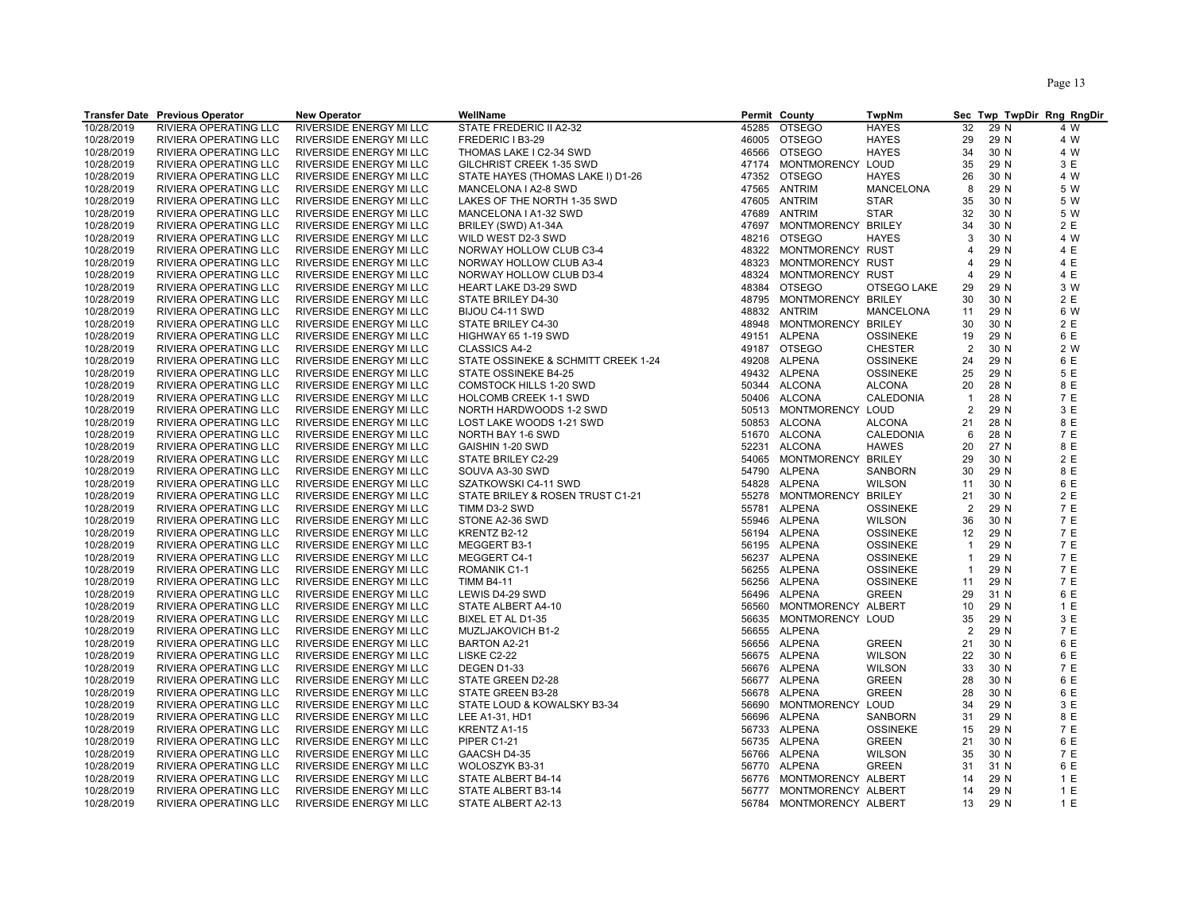|            | <b>Transfer Date Previous Operator</b> | <b>New Operator</b>            | WellName                            |       | Permit County            | <b>TwpNm</b>     |                |      | Sec Twp TwpDir Rng RngDir |
|------------|----------------------------------------|--------------------------------|-------------------------------------|-------|--------------------------|------------------|----------------|------|---------------------------|
| 10/28/2019 | RIVIERA OPERATING LLC                  | RIVERSIDE ENERGY MI LLC        | STATE FREDERIC II A2-32             | 45285 | <b>OTSEGO</b>            | <b>HAYES</b>     | 32             | 29 N | 4 W                       |
| 10/28/2019 | RIVIERA OPERATING LLC                  | RIVERSIDE ENERGY MI LLC        | FREDERIC I B3-29                    |       | 46005 OTSEGO             | <b>HAYES</b>     | 29             | 29 N | 4 W                       |
| 10/28/2019 | RIVIERA OPERATING LLC                  | RIVERSIDE ENERGY MI LLC        | THOMAS LAKE I C2-34 SWD             |       | 46566 OTSEGO             | <b>HAYES</b>     | 34             | 30 N | 4 W                       |
| 10/28/2019 | RIVIERA OPERATING LLC                  | RIVERSIDE ENERGY MI LLC        | GILCHRIST CREEK 1-35 SWD            |       | 47174 MONTMORENCY LOUD   |                  | 35             | 29 N | 3 E                       |
| 10/28/2019 | <b>RIVIERA OPERATING LLC</b>           | <b>RIVERSIDE ENERGY MI LLC</b> | STATE HAYES (THOMAS LAKE I) D1-26   |       | 47352 OTSEGO             | <b>HAYES</b>     | 26             | 30 N | 4 W                       |
| 10/28/2019 | RIVIERA OPERATING LLC                  | RIVERSIDE ENERGY MI LLC        | MANCELONA I A2-8 SWD                |       | 47565 ANTRIM             | <b>MANCELONA</b> | 8              | 29 N | 5 W                       |
| 10/28/2019 | RIVIERA OPERATING LLC                  | RIVERSIDE ENERGY MI LLC        | LAKES OF THE NORTH 1-35 SWD         |       | 47605 ANTRIM             | <b>STAR</b>      | 35             | 30 N | 5 W                       |
| 10/28/2019 | RIVIERA OPERATING LLC                  | RIVERSIDE ENERGY MI LLC        | MANCELONA I A1-32 SWD               | 47689 | <b>ANTRIM</b>            | <b>STAR</b>      | 32             | 30 N | 5 W                       |
| 10/28/2019 | RIVIERA OPERATING LLC                  | RIVERSIDE ENERGY MI LLC        | BRILEY (SWD) A1-34A                 |       | 47697 MONTMORENCY BRILEY |                  | 34             | 30 N | 2 E                       |
| 10/28/2019 | RIVIERA OPERATING LLC                  | RIVERSIDE ENERGY MI LLC        | WILD WEST D2-3 SWD                  |       | 48216 OTSEGO             | <b>HAYES</b>     | 3              | 30 N | 4 W                       |
| 10/28/2019 | RIVIERA OPERATING LLC                  | RIVERSIDE ENERGY MI LLC        | NORWAY HOLLOW CLUB C3-4             |       | 48322 MONTMORENCY RUST   |                  | 4              | 29 N | 4 E                       |
| 10/28/2019 | RIVIERA OPERATING LLC                  | RIVERSIDE ENERGY MI LLC        | NORWAY HOLLOW CLUB A3-4             | 48323 | MONTMORENCY RUST         |                  | 4              | 29 N | 4 E                       |
| 10/28/2019 | RIVIERA OPERATING LLC                  | RIVERSIDE ENERGY MI LLC        | NORWAY HOLLOW CLUB D3-4             | 48324 | MONTMORENCY RUST         |                  | 4              | 29 N | 4 E                       |
| 10/28/2019 | RIVIERA OPERATING LLC                  | RIVERSIDE ENERGY MI LLC        | <b>HEART LAKE D3-29 SWD</b>         | 48384 | <b>OTSEGO</b>            | OTSEGO LAKE      | 29             | 29 N | 3 W                       |
| 10/28/2019 | RIVIERA OPERATING LLC                  | RIVERSIDE ENERGY MI LLC        | STATE BRILEY D4-30                  |       | 48795 MONTMORENCY BRILEY |                  | 30             | 30 N | 2 E                       |
| 10/28/2019 | RIVIERA OPERATING LLC                  | RIVERSIDE ENERGY MI LLC        | BIJOU C4-11 SWD                     | 48832 | <b>ANTRIM</b>            | MANCELONA        | 11             | 29 N | 6 W                       |
| 10/28/2019 | RIVIERA OPERATING LLC                  | RIVERSIDE ENERGY MI LLC        | STATE BRILEY C4-30                  | 48948 | MONTMORENCY BRILEY       |                  | 30             | 30 N | 2 E                       |
| 10/28/2019 | RIVIERA OPERATING LLC                  | RIVERSIDE ENERGY MI LLC        | HIGHWAY 65 1-19 SWD                 |       | 49151 ALPENA             | <b>OSSINEKE</b>  | 19             | 29 N | 6 E                       |
| 10/28/2019 | RIVIERA OPERATING LLC                  | RIVERSIDE ENERGY MI LLC        | <b>CLASSICS A4-2</b>                |       | 49187 OTSEGO             | <b>CHESTER</b>   | 2              | 30 N | 2 W                       |
| 10/28/2019 | RIVIERA OPERATING LLC                  | RIVERSIDE ENERGY MI LLC        | STATE OSSINEKE & SCHMITT CREEK 1-24 |       | 49208 ALPENA             | <b>OSSINEKE</b>  | 24             | 29 N | 6 E                       |
| 10/28/2019 | RIVIERA OPERATING LLC                  | RIVERSIDE ENERGY MI LLC        | STATE OSSINEKE B4-25                |       | 49432 ALPENA             | <b>OSSINEKE</b>  | 25             | 29 N | 5 E                       |
| 10/28/2019 | RIVIERA OPERATING LLC                  | RIVERSIDE ENERGY MI LLC        | <b>COMSTOCK HILLS 1-20 SWD</b>      |       | 50344 ALCONA             | <b>ALCONA</b>    | 20             | 28 N | 8 E                       |
| 10/28/2019 | RIVIERA OPERATING LLC                  | RIVERSIDE ENERGY MI LLC        | <b>HOLCOMB CREEK 1-1 SWD</b>        |       | 50406 ALCONA             | CALEDONIA        | $\overline{1}$ | 28 N | 7 E                       |
| 10/28/2019 | RIVIERA OPERATING LLC                  | RIVERSIDE ENERGY MI LLC        | NORTH HARDWOODS 1-2 SWD             |       | 50513 MONTMORENCY LOUD   |                  | $\overline{2}$ | 29 N | 3 E                       |
| 10/28/2019 | RIVIERA OPERATING LLC                  | RIVERSIDE ENERGY MI LLC        | LOST LAKE WOODS 1-21 SWD            |       | 50853 ALCONA             | <b>ALCONA</b>    | 21             | 28 N | 8 E                       |
| 10/28/2019 | RIVIERA OPERATING LLC                  | RIVERSIDE ENERGY MI LLC        | NORTH BAY 1-6 SWD                   |       | 51670 ALCONA             | <b>CALEDONIA</b> | 6              | 28 N | 7 E                       |
| 10/28/2019 | RIVIERA OPERATING LLC                  | RIVERSIDE ENERGY MI LLC        | GAISHIN 1-20 SWD                    |       | 52231 ALCONA             | <b>HAWES</b>     | 20             | 27 N | 8 E                       |
| 10/28/2019 | RIVIERA OPERATING LLC                  | RIVERSIDE ENERGY MI LLC        | STATE BRILEY C2-29                  |       | 54065 MONTMORENCY BRILEY |                  | 29             | 30 N | 2 E                       |
| 10/28/2019 | RIVIERA OPERATING LLC                  | RIVERSIDE ENERGY MI LLC        | SOUVA A3-30 SWD                     | 54790 | ALPENA                   | SANBORN          | 30             | 29 N | 8 E                       |
| 10/28/2019 | RIVIERA OPERATING LLC                  | RIVERSIDE ENERGY MI LLC        | SZATKOWSKI C4-11 SWD                | 54828 | <b>ALPENA</b>            | <b>WILSON</b>    | 11             | 30 N | 6 E                       |
| 10/28/2019 | RIVIERA OPERATING LLC                  | RIVERSIDE ENERGY MI LLC        | STATE BRILEY & ROSEN TRUST C1-21    |       | 55278 MONTMORENCY BRILEY |                  | 21             | 30 N | 2 E                       |
| 10/28/2019 | RIVIERA OPERATING LLC                  | RIVERSIDE ENERGY MI LLC        | TIMM D3-2 SWD                       | 55781 | ALPENA                   | <b>OSSINEKE</b>  | $\overline{2}$ | 29 N | 7 E                       |
| 10/28/2019 | RIVIERA OPERATING LLC                  | RIVERSIDE ENERGY MI LLC        | STONE A2-36 SWD                     |       | 55946 ALPENA             | <b>WILSON</b>    | 36             | 30 N | 7 E                       |
| 10/28/2019 | RIVIERA OPERATING LLC                  | RIVERSIDE ENERGY MI LLC        | KRENTZ B2-12                        |       | 56194 ALPENA             | <b>OSSINEKE</b>  | 12             | 29 N | 7 E                       |
| 10/28/2019 | RIVIERA OPERATING LLC                  | RIVERSIDE ENERGY MI LLC        | MEGGERT B3-1                        |       | 56195 ALPENA             | <b>OSSINEKE</b>  | $\overline{1}$ | 29 N | 7 E                       |
| 10/28/2019 | RIVIERA OPERATING LLC                  | RIVERSIDE ENERGY MI LLC        | MEGGERT C4-1                        | 56237 | ALPENA                   | <b>OSSINEKE</b>  | $\overline{1}$ | 29 N | 7 E                       |
| 10/28/2019 | RIVIERA OPERATING LLC                  | RIVERSIDE ENERGY MI LLC        | ROMANIK C1-1                        |       | 56255 ALPENA             | <b>OSSINEKE</b>  | $\overline{1}$ | 29 N | 7 E                       |
| 10/28/2019 | RIVIERA OPERATING LLC                  | RIVERSIDE ENERGY MI LLC        | <b>TIMM B4-11</b>                   | 56256 | <b>ALPENA</b>            | <b>OSSINEKE</b>  | 11             | 29 N | 7 E                       |
| 10/28/2019 | RIVIERA OPERATING LLC                  | RIVERSIDE ENERGY MI LLC        | LEWIS D4-29 SWD                     | 56496 | ALPENA                   | <b>GREEN</b>     | 29             | 31 N | 6 E                       |
| 10/28/2019 | RIVIERA OPERATING LLC                  | RIVERSIDE ENERGY MI LLC        | STATE ALBERT A4-10                  | 56560 | MONTMORENCY ALBERT       |                  | 10             | 29 N | 1E                        |
| 10/28/2019 | RIVIERA OPERATING LLC                  | RIVERSIDE ENERGY MI LLC        | BIXEL ET AL D1-35                   | 56635 | MONTMORENCY LOUD         |                  | 35             | 29 N | 3 E                       |
| 10/28/2019 | RIVIERA OPERATING LLC                  | RIVERSIDE ENERGY MI LLC        | MUZLJAKOVICH B1-2                   | 56655 | ALPENA                   |                  | $\overline{2}$ | 29 N | 7 E                       |
| 10/28/2019 | RIVIERA OPERATING LLC                  | RIVERSIDE ENERGY MI LLC        | BARTON A2-21                        |       | 56656 ALPENA             | <b>GREEN</b>     | 21             | 30 N | 6 E                       |
| 10/28/2019 | RIVIERA OPERATING LLC                  | RIVERSIDE ENERGY MI LLC        | <b>LISKE C2-22</b>                  |       | 56675 ALPENA             | <b>WILSON</b>    | 22             | 30 N | 6 E                       |
| 10/28/2019 | RIVIERA OPERATING LLC                  | RIVERSIDE ENERGY MI LLC        | DEGEN D1-33                         |       | 56676 ALPENA             | <b>WILSON</b>    | 33             | 30 N | 7 E                       |
| 10/28/2019 | RIVIERA OPERATING LLC                  | RIVERSIDE ENERGY MI LLC        | STATE GREEN D2-28                   |       | 56677 ALPENA             | <b>GREEN</b>     | 28             | 30 N | 6 E                       |
| 10/28/2019 | RIVIERA OPERATING LLC                  | RIVERSIDE ENERGY MI LLC        | STATE GREEN B3-28                   |       | 56678 ALPENA             | <b>GREEN</b>     | 28             | 30 N | 6 E                       |
| 10/28/2019 | RIVIERA OPERATING LLC                  | RIVERSIDE ENERGY MI LLC        | STATE LOUD & KOWALSKY B3-34         | 56690 | MONTMORENCY LOUD         |                  | 34             | 29 N | 3 E                       |
| 10/28/2019 | RIVIERA OPERATING LLC                  | RIVERSIDE ENERGY MI LLC        | LEE A1-31, HD1                      | 56696 | ALPENA                   | SANBORN          | 31             | 29 N | 8 E                       |
| 10/28/2019 | RIVIERA OPERATING LLC                  | RIVERSIDE ENERGY MI LLC        | KRENTZ A1-15                        |       | 56733 ALPENA             | <b>OSSINEKE</b>  | 15             | 29 N | 7 E                       |
| 10/28/2019 | RIVIERA OPERATING LLC                  | RIVERSIDE ENERGY MI LLC        | <b>PIPER C1-21</b>                  |       | 56735 ALPENA             | <b>GREEN</b>     | 21             | 30 N | 6 E                       |
| 10/28/2019 | RIVIERA OPERATING LLC                  | RIVERSIDE ENERGY MI LLC        | GAACSH D4-35                        | 56766 | ALPENA                   | <b>WILSON</b>    | 35             | 30 N | 7 E                       |
| 10/28/2019 | RIVIERA OPERATING LLC                  | RIVERSIDE ENERGY MI LLC        | WOLOSZYK B3-31                      |       | 56770 ALPENA             | <b>GREEN</b>     | 31             | 31 N | 6 E                       |
| 10/28/2019 | RIVIERA OPERATING LLC                  | RIVERSIDE ENERGY MI LLC        | STATE ALBERT B4-14                  | 56776 | MONTMORENCY ALBERT       |                  | 14             | 29 N | 1E                        |
| 10/28/2019 | RIVIERA OPERATING LLC                  | <b>RIVERSIDE ENERGY MI LLC</b> | STATE ALBERT B3-14                  | 56777 | MONTMORENCY ALBERT       |                  | 14             | 29 N | 1E                        |
| 10/28/2019 | RIVIERA OPERATING LLC                  | RIVERSIDE ENERGY MI LLC        | STATE ALBERT A2-13                  |       | 56784 MONTMORENCY ALBERT |                  | 13             | 29 N | 1 E                       |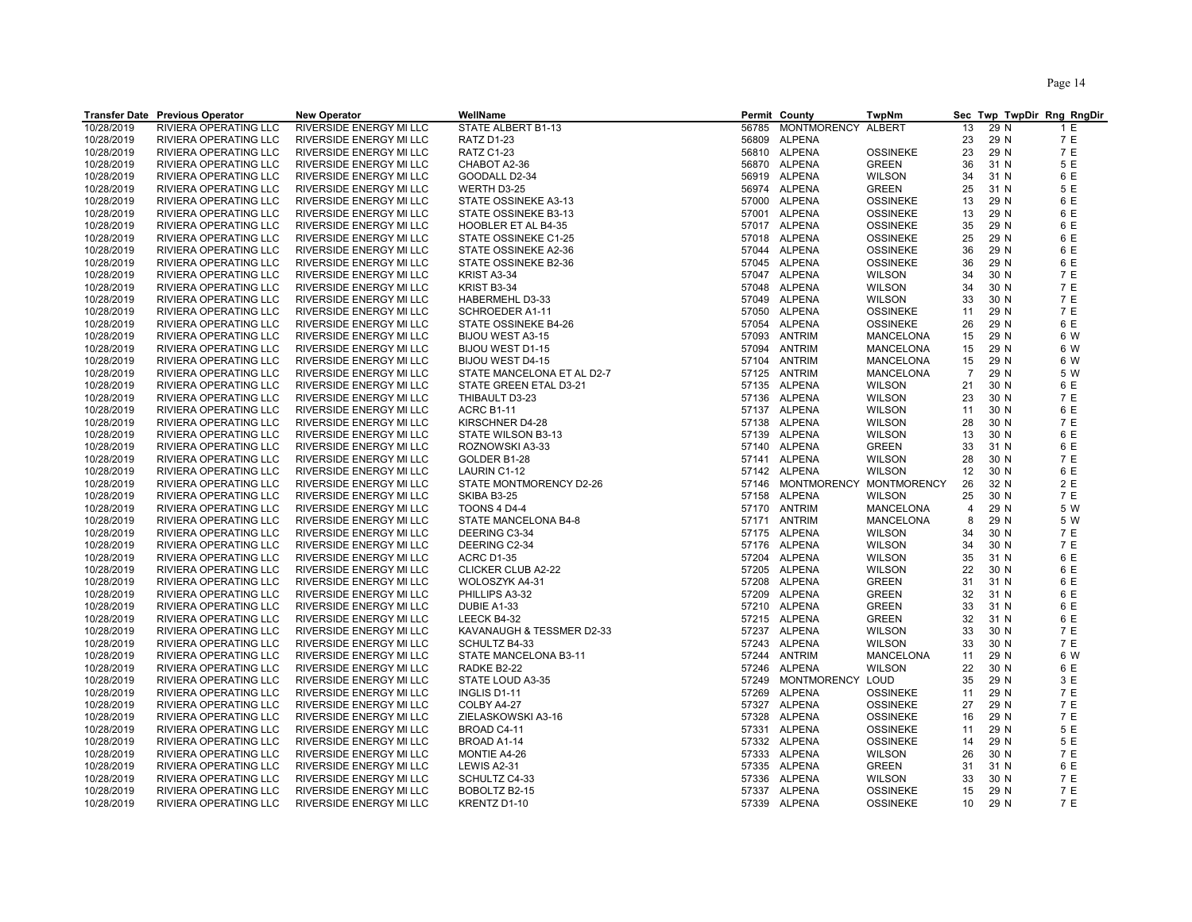|                          | <b>Transfer Date Previous Operator</b>         | <b>New Operator</b>                                       | WellName                                 |       | Permit County                | <b>TwpNm</b>                  |                |              | Sec Twp TwpDir Rng RngDir |
|--------------------------|------------------------------------------------|-----------------------------------------------------------|------------------------------------------|-------|------------------------------|-------------------------------|----------------|--------------|---------------------------|
| 10/28/2019               | RIVIERA OPERATING LLC                          | RIVERSIDE ENERGY MI LLC                                   | STATE ALBERT B1-13                       | 56785 | <b>MONTMORENCY</b>           | ALBERT                        | 13             | 29 N         | 1 E                       |
| 10/28/2019               | RIVIERA OPERATING LLC                          | RIVERSIDE ENERGY MI LLC                                   | <b>RATZ D1-23</b>                        |       | 56809 ALPENA                 |                               | 23             | 29 N         | 7 E                       |
| 10/28/2019               | RIVIERA OPERATING LLC                          | RIVERSIDE ENERGY MI LLC                                   | <b>RATZ C1-23</b>                        |       | 56810 ALPENA                 | <b>OSSINEKE</b>               | 23             | 29 N         | 7 E                       |
| 10/28/2019               | RIVIERA OPERATING LLC                          | RIVERSIDE ENERGY MI LLC                                   | CHABOT A2-36                             |       | 56870 ALPENA                 | <b>GREEN</b>                  | 36             | 31 N         | 5 E                       |
| 10/28/2019               | RIVIERA OPERATING LLC                          | <b>RIVERSIDE ENERGY MI LLC</b>                            | GOODALL D2-34                            |       | 56919 ALPENA                 | <b>WILSON</b>                 | 34             | 31 N         | 6 E                       |
| 10/28/2019               | RIVIERA OPERATING LLC                          | <b>RIVERSIDE ENERGY MI LLC</b>                            | WERTH D3-25                              |       | 56974 ALPENA                 | <b>GREEN</b>                  | 25             | 31 N         | 5 E                       |
| 10/28/2019               | RIVIERA OPERATING LLC                          | RIVERSIDE ENERGY MI LLC                                   | STATE OSSINEKE A3-13                     |       | 57000 ALPENA                 | <b>OSSINEKE</b>               | 13             | 29 N         | 6 E                       |
| 10/28/2019               | RIVIERA OPERATING LLC                          | RIVERSIDE ENERGY MI LLC                                   | STATE OSSINEKE B3-13                     |       | 57001 ALPENA                 | <b>OSSINEKE</b>               | 13             | 29 N         | 6 E                       |
| 10/28/2019               | RIVIERA OPERATING LLC                          | RIVERSIDE ENERGY MI LLC                                   | HOOBLER ET AL B4-35                      |       | 57017 ALPENA                 | <b>OSSINEKE</b>               | 35             | 29 N         | 6 E                       |
| 10/28/2019               | RIVIERA OPERATING LLC                          | <b>RIVERSIDE ENERGY MI LLC</b>                            | STATE OSSINEKE C1-25                     |       | 57018 ALPENA                 | <b>OSSINEKE</b>               | 25             | 29 N         | 6 E                       |
| 10/28/2019               | RIVIERA OPERATING LLC                          | RIVERSIDE ENERGY MI LLC                                   | STATE OSSINEKE A2-36                     |       | 57044 ALPENA                 | <b>OSSINEKE</b>               | 36             | 29 N         | 6 E                       |
| 10/28/2019               | RIVIERA OPERATING LLC                          | RIVERSIDE ENERGY MI LLC                                   | STATE OSSINEKE B2-36                     |       | 57045 ALPENA                 | <b>OSSINEKE</b>               | 36             | 29 N         | 6 E                       |
| 10/28/2019               | RIVIERA OPERATING LLC                          | RIVERSIDE ENERGY MI LLC                                   | KRIST A3-34                              |       | 57047 ALPENA                 | <b>WILSON</b>                 | 34             | 30 N         | 7 E                       |
| 10/28/2019               | RIVIERA OPERATING LLC                          | RIVERSIDE ENERGY MI LLC                                   | KRIST B3-34                              |       | 57048 ALPENA                 | <b>WILSON</b>                 | 34             | 30 N         | 7 E                       |
| 10/28/2019               | RIVIERA OPERATING LLC                          | RIVERSIDE ENERGY MI LLC                                   | HABERMEHL D3-33                          |       | 57049 ALPENA                 | <b>WILSON</b>                 | 33             | 30 N         | 7 E                       |
| 10/28/2019               | RIVIERA OPERATING LLC                          | RIVERSIDE ENERGY MI LLC                                   | SCHROEDER A1-11                          |       | 57050 ALPENA                 | <b>OSSINEKE</b>               | 11             | 29 N         | 7 E                       |
| 10/28/2019               | RIVIERA OPERATING LLC                          | RIVERSIDE ENERGY MI LLC                                   | STATE OSSINEKE B4-26                     |       | 57054 ALPENA                 | <b>OSSINEKE</b>               | 26             | 29 N         | 6 E                       |
| 10/28/2019               | RIVIERA OPERATING LLC                          | RIVERSIDE ENERGY MI LLC                                   | BIJOU WEST A3-15                         |       | 57093 ANTRIM                 | MANCELONA                     | 15             | 29 N         | 6 W                       |
| 10/28/2019               | RIVIERA OPERATING LLC                          | RIVERSIDE ENERGY MI LLC                                   | BIJOU WEST D1-15                         |       | 57094 ANTRIM                 | MANCELONA                     | 15             | 29 N         | 6 W                       |
| 10/28/2019               | RIVIERA OPERATING LLC                          | RIVERSIDE ENERGY MI LLC                                   | <b>BIJOU WEST D4-15</b>                  |       | 57104 ANTRIM                 | <b>MANCELONA</b>              | 15             | 29 N         | 6 W                       |
| 10/28/2019               | RIVIERA OPERATING LLC                          | RIVERSIDE ENERGY MI LLC                                   | STATE MANCELONA ET AL D2-7               |       | 57125 ANTRIM                 | <b>MANCELONA</b>              | $\overline{7}$ | 29 N         | 5 W                       |
| 10/28/2019               | RIVIERA OPERATING LLC                          | RIVERSIDE ENERGY MI LLC                                   | STATE GREEN ETAL D3-21                   |       | 57135 ALPENA                 | <b>WILSON</b>                 | 21             | 30 N         | 6 E                       |
| 10/28/2019               | RIVIERA OPERATING LLC                          | RIVERSIDE ENERGY MI LLC                                   | THIBAULT D3-23                           |       | 57136 ALPENA                 | <b>WILSON</b>                 | 23             | 30 N         | 7 E                       |
| 10/28/2019               | RIVIERA OPERATING LLC                          | RIVERSIDE ENERGY MI LLC                                   | <b>ACRC B1-11</b>                        |       | 57137 ALPENA                 | <b>WILSON</b>                 | 11             | 30 N         | 6 E                       |
| 10/28/2019               | RIVIERA OPERATING LLC                          | RIVERSIDE ENERGY MI LLC                                   | KIRSCHNER D4-28                          |       | 57138 ALPENA                 | <b>WILSON</b>                 | 28             | 30 N         | 7 E                       |
| 10/28/2019               | RIVIERA OPERATING LLC                          | RIVERSIDE ENERGY MI LLC                                   | STATE WILSON B3-13                       |       | 57139 ALPENA                 | <b>WILSON</b>                 | 13             | 30 N         | 6 E                       |
| 10/28/2019               | RIVIERA OPERATING LLC                          | <b>RIVERSIDE ENERGY MI LLC</b>                            | ROZNOWSKI A3-33                          |       | 57140 ALPENA                 | GREEN                         | 33             | 31 N         | 6 E                       |
| 10/28/2019               | RIVIERA OPERATING LLC                          | RIVERSIDE ENERGY MI LLC                                   | GOLDER B1-28                             |       | 57141 ALPENA                 | <b>WILSON</b>                 | 28             | 30 N         | 7 E                       |
| 10/28/2019               | RIVIERA OPERATING LLC                          | RIVERSIDE ENERGY MI LLC                                   | LAURIN C1-12                             |       | 57142 ALPENA                 | <b>WILSON</b>                 | 12             | 30 N         | 6 E                       |
| 10/28/2019               | RIVIERA OPERATING LLC                          | <b>RIVERSIDE ENERGY MI LLC</b>                            | STATE MONTMORENCY D2-26                  | 57146 | MONTMORENCY MONTMORENCY      |                               | 26             | 32 N         | 2 E                       |
| 10/28/2019               | RIVIERA OPERATING LLC                          | RIVERSIDE ENERGY MI LLC                                   | SKIBA B3-25                              |       | 57158 ALPENA                 | <b>WILSON</b>                 | 25             | 30 N         | 7 E                       |
| 10/28/2019               | RIVIERA OPERATING LLC                          | RIVERSIDE ENERGY MI LLC                                   | <b>TOONS 4 D4-4</b>                      |       | 57170 ANTRIM                 | <b>MANCELONA</b>              | 4              | 29 N         | 5 W                       |
| 10/28/2019               | RIVIERA OPERATING LLC                          | RIVERSIDE ENERGY MI LLC                                   | STATE MANCELONA B4-8                     |       | 57171 ANTRIM                 | MANCELONA                     | 8              | 29 N         | 5 W                       |
| 10/28/2019               | RIVIERA OPERATING LLC                          | RIVERSIDE ENERGY MI LLC                                   | DEERING C3-34                            |       | 57175 ALPENA                 | <b>WILSON</b>                 | 34             | 30 N         | 7 E                       |
| 10/28/2019               | RIVIERA OPERATING LLC                          | RIVERSIDE ENERGY MI LLC                                   | DEERING C2-34                            |       | 57176 ALPENA                 | <b>WILSON</b>                 | 34             | 30 N         | 7 E                       |
| 10/28/2019               | RIVIERA OPERATING LLC                          | RIVERSIDE ENERGY MI LLC                                   | <b>ACRC D1-35</b>                        |       | 57204 ALPENA                 | <b>WILSON</b>                 | 35             | 31 N         | 6 E                       |
| 10/28/2019               | RIVIERA OPERATING LLC                          | RIVERSIDE ENERGY MI LLC                                   | CLICKER CLUB A2-22                       |       | 57205 ALPENA                 | <b>WILSON</b>                 | 22             | 30 N         | 6 E                       |
| 10/28/2019               | RIVIERA OPERATING LLC                          | RIVERSIDE ENERGY MI LLC                                   | WOLOSZYK A4-31                           |       | 57208 ALPENA                 | <b>GREEN</b>                  | 31             | 31 N         | 6 E                       |
| 10/28/2019               | RIVIERA OPERATING LLC                          | RIVERSIDE ENERGY MI LLC                                   | PHILLIPS A3-32                           |       | 57209 ALPENA                 | <b>GREEN</b>                  | 32             | 31 N         | 6 E                       |
| 10/28/2019               | RIVIERA OPERATING LLC                          | RIVERSIDE ENERGY MI LLC                                   | DUBIE A1-33                              |       | 57210 ALPENA                 | <b>GREEN</b>                  | 33             | 31 N         | 6 E<br>6 E                |
| 10/28/2019<br>10/28/2019 | RIVIERA OPERATING LLC<br>RIVIERA OPERATING LLC | RIVERSIDE ENERGY MI LLC                                   | LEECK B4-32<br>KAVANAUGH & TESSMER D2-33 |       | 57215 ALPENA<br>57237 ALPENA | <b>GREEN</b><br><b>WILSON</b> | 32<br>33       | 31 N<br>30 N | 7 E                       |
| 10/28/2019               | RIVIERA OPERATING LLC                          | <b>RIVERSIDE ENERGY MI LLC</b><br>RIVERSIDE ENERGY MI LLC | SCHULTZ B4-33                            |       | 57243 ALPENA                 |                               | 33             | 30 N         | 7 E                       |
|                          | RIVIERA OPERATING LLC                          | RIVERSIDE ENERGY MI LLC                                   | STATE MANCELONA B3-11                    |       | 57244 ANTRIM                 | <b>WILSON</b><br>MANCELONA    | 11             | 29 N         | 6 W                       |
| 10/28/2019<br>10/28/2019 | RIVIERA OPERATING LLC                          | RIVERSIDE ENERGY MI LLC                                   | RADKE B2-22                              |       | 57246 ALPENA                 | <b>WILSON</b>                 | 22             | 30 N         | 6 E                       |
| 10/28/2019               | RIVIERA OPERATING LLC                          | <b>RIVERSIDE ENERGY MI LLC</b>                            | STATE LOUD A3-35                         |       | 57249 MONTMORENCY LOUD       |                               | 35             | 29 N         | 3 E                       |
| 10/28/2019               | RIVIERA OPERATING LLC                          | RIVERSIDE ENERGY MI LLC                                   | INGLIS D1-11                             |       | 57269 ALPENA                 | <b>OSSINEKE</b>               | 11             | 29 N         | 7 E                       |
| 10/28/2019               | RIVIERA OPERATING LLC                          | RIVERSIDE ENERGY MI LLC                                   | COLBY A4-27                              |       | 57327 ALPENA                 | <b>OSSINEKE</b>               | 27             | 29 N         | 7 E                       |
| 10/28/2019               | RIVIERA OPERATING LLC                          | RIVERSIDE ENERGY MI LLC                                   | ZIELASKOWSKI A3-16                       |       | 57328 ALPENA                 | <b>OSSINEKE</b>               | 16             | 29 N         | 7 E                       |
| 10/28/2019               | RIVIERA OPERATING LLC                          | RIVERSIDE ENERGY MI LLC                                   | BROAD C4-11                              |       | 57331 ALPENA                 | <b>OSSINEKE</b>               | 11             | 29 N         | 5 E                       |
| 10/28/2019               | RIVIERA OPERATING LLC                          | <b>RIVERSIDE ENERGY MI LLC</b>                            | BROAD A1-14                              |       | 57332 ALPENA                 | <b>OSSINEKE</b>               | 14             | 29 N         | 5 E                       |
| 10/28/2019               | RIVIERA OPERATING LLC                          | RIVERSIDE ENERGY MI LLC                                   | MONTIE A4-26                             |       | 57333 ALPENA                 | <b>WILSON</b>                 | 26             | 30 N         | 7 E                       |
| 10/28/2019               | RIVIERA OPERATING LLC                          | RIVERSIDE ENERGY MI LLC                                   | LEWIS A2-31                              |       | 57335 ALPENA                 | <b>GREEN</b>                  | 31             | 31 N         | 6 E                       |
| 10/28/2019               | RIVIERA OPERATING LLC                          | RIVERSIDE ENERGY MI LLC                                   | SCHULTZ C4-33                            |       | 57336 ALPENA                 | <b>WILSON</b>                 | 33             | 30 N         | 7 E                       |
| 10/28/2019               | RIVIERA OPERATING LLC                          | RIVERSIDE ENERGY MI LLC                                   | BOBOLTZ B2-15                            |       | 57337 ALPENA                 | <b>OSSINEKE</b>               | 15             | 29 N         | 7 E                       |
| 10/28/2019               | RIVIERA OPERATING LLC                          | RIVERSIDE ENERGY MI LLC                                   | KRENTZ D1-10                             |       | 57339 ALPENA                 | <b>OSSINEKE</b>               | 10             | 29 N         | 7 E                       |
|                          |                                                |                                                           |                                          |       |                              |                               |                |              |                           |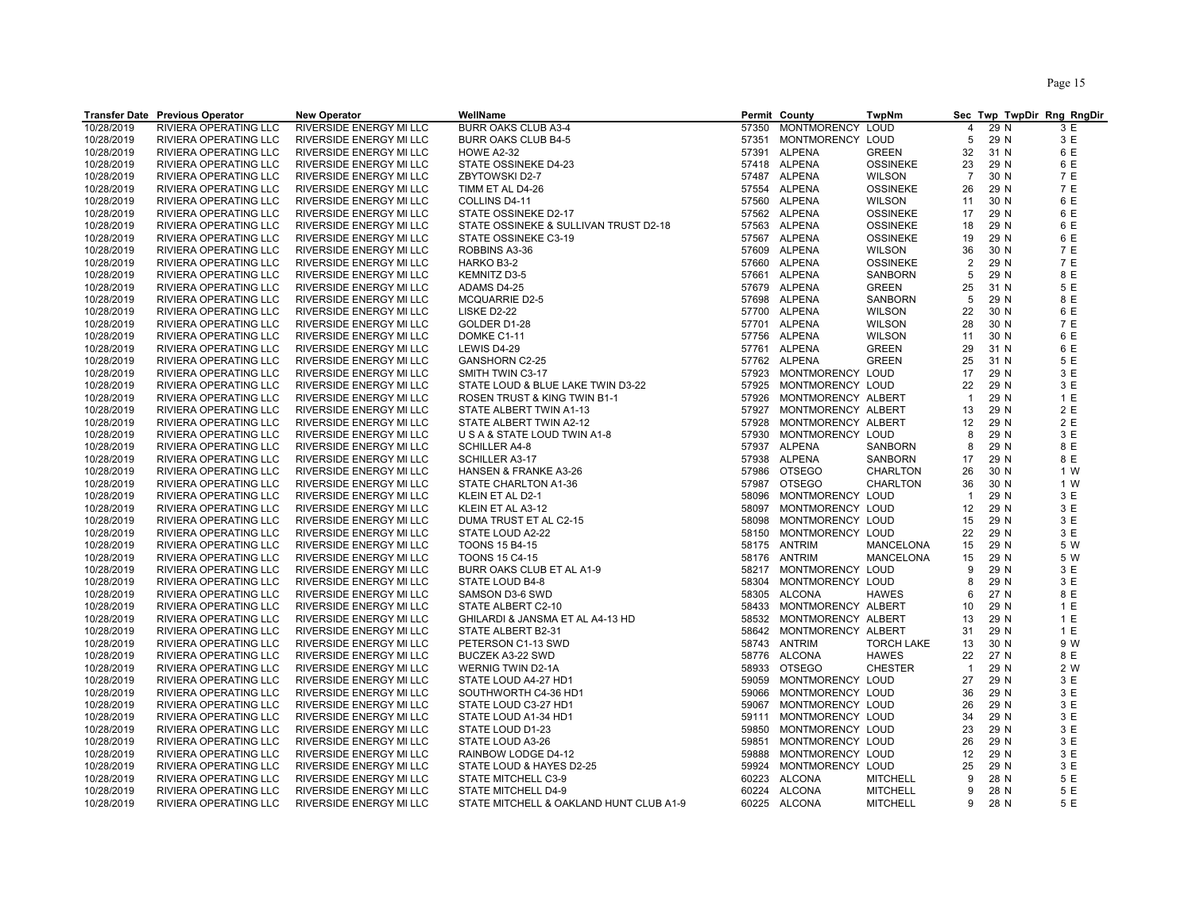| 10/28/2019<br>RIVIERA OPERATING LLC<br>RIVERSIDE ENERGY MI LLC<br><b>BURR OAKS CLUB A3-4</b><br>57350<br>MONTMORENCY LOUD<br>29 N<br>3 E<br>4<br>3 E<br>10/28/2019<br><b>BURR OAKS CLUB B4-5</b><br>MONTMORENCY LOUD<br>29 N<br>RIVIERA OPERATING LLC<br>RIVERSIDE ENERGY MI LLC<br>57351<br>5<br>10/28/2019<br>RIVIERA OPERATING LLC<br>RIVERSIDE ENERGY MI LLC<br>57391 ALPENA<br><b>GREEN</b><br>32<br>31 N<br>6 E<br><b>HOWE A2-32</b><br>57418 ALPENA<br>10/28/2019<br>RIVIERA OPERATING LLC<br>RIVERSIDE ENERGY MI LLC<br>STATE OSSINEKE D4-23<br><b>OSSINEKE</b><br>23<br>29 N<br>6 E<br>7 E<br>10/28/2019<br>RIVIERA OPERATING LLC<br>RIVERSIDE ENERGY MI LLC<br>ZBYTOWSKI D2-7<br>57487 ALPENA<br><b>WILSON</b><br>$\overline{7}$<br>30 N<br>10/28/2019<br>RIVIERA OPERATING LLC<br>57554 ALPENA<br><b>OSSINEKE</b><br>29 N<br>7 E<br>RIVERSIDE ENERGY MI LLC<br>TIMM ET AL D4-26<br>26<br>6 E<br>10/28/2019<br>RIVIERA OPERATING LLC<br>57560 ALPENA<br><b>WILSON</b><br>30 N<br>RIVERSIDE ENERGY MI LLC<br>COLLINS D4-11<br>11<br>6 E<br>10/28/2019<br>RIVIERA OPERATING LLC<br>57562 ALPENA<br>29 N<br>RIVERSIDE ENERGY MI LLC<br>STATE OSSINEKE D2-17<br><b>OSSINEKE</b><br>17<br>6 E<br>10/28/2019<br>RIVIERA OPERATING LLC<br>RIVERSIDE ENERGY MI LLC<br>STATE OSSINEKE & SULLIVAN TRUST D2-18<br>57563 ALPENA<br><b>OSSINEKE</b><br>18<br>29 N<br>6 E<br>10/28/2019<br>RIVIERA OPERATING LLC<br>RIVERSIDE ENERGY MI LLC<br>STATE OSSINEKE C3-19<br>57567 ALPENA<br><b>OSSINEKE</b><br>19<br>29 N<br>10/28/2019<br>RIVIERA OPERATING LLC<br>RIVERSIDE ENERGY MI LLC<br>ROBBINS A3-36<br>57609 ALPENA<br><b>WILSON</b><br>36<br>30 N<br>7 E<br>$\overline{2}$<br>7 E<br>10/28/2019<br>RIVIERA OPERATING LLC<br>RIVERSIDE ENERGY MI LLC<br>57660 ALPENA<br><b>OSSINEKE</b><br>29 N<br>HARKO B3-2<br>8 E<br>10/28/2019<br>RIVIERA OPERATING LLC<br>RIVERSIDE ENERGY MI LLC<br><b>KEMNITZ D3-5</b><br>ALPENA<br><b>SANBORN</b><br>57661<br>5<br>29 N<br>10/28/2019<br>RIVIERA OPERATING LLC<br>RIVERSIDE ENERGY MI LLC<br>ADAMS D4-25<br>57679 ALPENA<br><b>GREEN</b><br>25<br>31 N<br>5 E<br>29 N<br>8 E<br>10/28/2019<br>RIVIERA OPERATING LLC<br>RIVERSIDE ENERGY MI LLC<br><b>MCQUARRIE D2-5</b><br>57698 ALPENA<br>SANBORN<br>5<br>10/28/2019<br>RIVIERA OPERATING LLC<br><b>ALPENA</b><br>6 E<br>RIVERSIDE ENERGY MI LLC<br><b>LISKE D2-22</b><br>57700<br><b>WILSON</b><br>22<br>30 N<br>10/28/2019<br><b>RIVIERA OPERATING LLC</b><br><b>RIVERSIDE ENERGY MI LLC</b><br>GOLDER D1-28<br>57701 ALPENA<br>30 N<br>7 E<br><b>WILSON</b><br>28<br>6 E<br>10/28/2019<br>RIVIERA OPERATING LLC<br>RIVERSIDE ENERGY MI LLC<br>DOMKE C1-11<br>57756 ALPENA<br><b>WILSON</b><br>11<br>30 N<br>10/28/2019<br>RIVIERA OPERATING LLC<br>57761 ALPENA<br><b>GREEN</b><br>6 E<br>RIVERSIDE ENERGY MI LLC<br>LEWIS D4-29<br>29<br>31 N<br>10/28/2019<br>57762 ALPENA<br>25<br>31 N<br>5 E<br>RIVIERA OPERATING LLC<br>RIVERSIDE ENERGY MI LLC<br><b>GANSHORN C2-25</b><br><b>GREEN</b><br>29 N<br>3 E<br>10/28/2019<br>RIVIERA OPERATING LLC<br>RIVERSIDE ENERGY MI LLC<br>SMITH TWIN C3-17<br>MONTMORENCY LOUD<br>17<br>57923<br>MONTMORENCY LOUD<br>29 N<br>3 E<br>10/28/2019<br>RIVIERA OPERATING LLC<br>RIVERSIDE ENERGY MI LLC<br>STATE LOUD & BLUE LAKE TWIN D3-22<br>57925<br>22<br>1E<br>10/28/2019<br>RIVIERA OPERATING LLC<br>RIVERSIDE ENERGY MI LLC<br>57926<br>MONTMORENCY ALBERT<br>$\overline{1}$<br>29 N<br>ROSEN TRUST & KING TWIN B1-1<br>2 E<br>10/28/2019<br>RIVIERA OPERATING LLC<br>RIVERSIDE ENERGY MI LLC<br>STATE ALBERT TWIN A1-13<br>57927<br>MONTMORENCY ALBERT<br>29 N<br>13<br>29 N<br>2 E<br>10/28/2019<br>RIVIERA OPERATING LLC<br>RIVERSIDE ENERGY MI LLC<br>STATE ALBERT TWIN A2-12<br>57928<br>MONTMORENCY ALBERT<br>12<br>3 E<br>10/28/2019<br>RIVIERA OPERATING LLC<br>RIVERSIDE ENERGY MI LLC<br>U S A & STATE LOUD TWIN A1-8<br>57930<br>MONTMORENCY LOUD<br>8<br>29 N<br>10/28/2019<br>RIVIERA OPERATING LLC<br>RIVERSIDE ENERGY MI LLC<br><b>SCHILLER A4-8</b><br>57937 ALPENA<br>8<br>29 N<br>8 E<br>SANBORN<br>8 E<br>10/28/2019<br>RIVIERA OPERATING LLC<br>RIVERSIDE ENERGY MI LLC<br>57938 ALPENA<br>SANBORN<br>17<br>29 N<br><b>SCHILLER A3-17</b><br>10/28/2019<br>RIVIERA OPERATING LLC<br>RIVERSIDE ENERGY MI LLC<br>HANSEN & FRANKE A3-26<br>57986<br><b>OTSEGO</b><br>26<br>30 N<br>1 W<br><b>CHARLTON</b><br>1 W<br>10/28/2019<br>RIVIERA OPERATING LLC<br>RIVERSIDE ENERGY MI LLC<br>STATE CHARLTON A1-36<br>57987<br><b>OTSEGO</b><br><b>CHARLTON</b><br>36<br>30 N<br>3 E<br>10/28/2019<br>RIVIERA OPERATING LLC<br>RIVERSIDE ENERGY MI LLC<br>KLEIN ET AL D2-1<br>58096<br>MONTMORENCY LOUD<br>29 N<br>$\overline{1}$<br>3 E<br>10/28/2019<br>RIVIERA OPERATING LLC<br>RIVERSIDE ENERGY MI LLC<br>KLEIN ET AL A3-12<br>58097<br>MONTMORENCY LOUD<br>12<br>29 N<br>29 N<br>3 E<br>10/28/2019<br>RIVIERA OPERATING LLC<br><b>RIVERSIDE ENERGY MI LLC</b><br>DUMA TRUST ET AL C2-15<br>58098<br>MONTMORENCY LOUD<br>15<br>3 E<br>10/28/2019<br>RIVIERA OPERATING LLC<br><b>RIVERSIDE ENERGY MI LLC</b><br>STATE LOUD A2-22<br>MONTMORENCY LOUD<br>22<br>29 N<br>58150<br>5 W<br>10/28/2019<br>RIVIERA OPERATING LLC<br>RIVERSIDE ENERGY MI LLC<br><b>TOONS 15 B4-15</b><br>58175<br>ANTRIM<br>MANCELONA<br>15<br>29 N<br>10/28/2019<br><b>ANTRIM</b><br>29 N<br>5 W<br>RIVIERA OPERATING LLC<br>RIVERSIDE ENERGY MI LLC<br><b>TOONS 15 C4-15</b><br>58176<br><b>MANCELONA</b><br>15<br>10/28/2019<br>RIVIERA OPERATING LLC<br>58217 MONTMORENCY LOUD<br>9<br>29 N<br>3 E<br>RIVERSIDE ENERGY MI LLC<br>BURR OAKS CLUB ET AL A1-9<br>10/28/2019<br>RIVIERA OPERATING LLC<br>RIVERSIDE ENERGY MI LLC<br>STATE LOUD B4-8<br>58304<br>MONTMORENCY LOUD<br>8<br>29 N<br>3 E<br>8 E<br>10/28/2019<br><b>ALCONA</b><br>27 N<br>RIVIERA OPERATING LLC<br>RIVERSIDE ENERGY MI LLC<br>SAMSON D3-6 SWD<br>58305<br>HAWES<br>6<br>10/28/2019<br>RIVIERA OPERATING LLC<br>RIVERSIDE ENERGY MI LLC<br>58433<br>MONTMORENCY ALBERT<br>29 N<br>1 E<br>STATE ALBERT C2-10<br>10<br>10/28/2019<br>RIVIERA OPERATING LLC<br>RIVERSIDE ENERGY MI LLC<br>GHILARDI & JANSMA ET AL A4-13 HD<br>MONTMORENCY ALBERT<br>29 N<br>1E<br>58532<br>13<br>10/28/2019<br>MONTMORENCY ALBERT<br>29 N<br>1E<br>RIVIERA OPERATING LLC<br>RIVERSIDE ENERGY MI LLC<br>STATE ALBERT B2-31<br>58642<br>31<br>9 W<br>10/28/2019<br>RIVIERA OPERATING LLC<br>58743<br><b>TORCH LAKE</b><br>30 N<br>RIVERSIDE ENERGY MI LLC<br>PETERSON C1-13 SWD<br>ANTRIM<br>13<br>10/28/2019<br>RIVIERA OPERATING LLC<br>RIVERSIDE ENERGY MI LLC<br>BUCZEK A3-22 SWD<br>58776 ALCONA<br><b>HAWES</b><br>22<br>27 N<br>8 E<br>10/28/2019<br>RIVIERA OPERATING LLC<br>RIVERSIDE ENERGY MI LLC<br><b>WERNIG TWIN D2-1A</b><br>58933<br><b>OTSEGO</b><br><b>CHESTER</b><br>$\overline{1}$<br>29 N<br>2 W<br>10/28/2019<br>RIVIERA OPERATING LLC<br>MONTMORENCY LOUD<br>27<br>29 N<br>3 E<br><b>RIVERSIDE ENERGY MI LLC</b><br>STATE LOUD A4-27 HD1<br>59059<br>3 E<br>29 N<br>10/28/2019<br>RIVIERA OPERATING LLC<br>RIVERSIDE ENERGY MI LLC<br>SOUTHWORTH C4-36 HD1<br>MONTMORENCY LOUD<br>36<br>59066<br>3 E<br>10/28/2019<br>RIVIERA OPERATING LLC<br>RIVERSIDE ENERGY MI LLC<br>STATE LOUD C3-27 HD1<br>59067<br>MONTMORENCY LOUD<br>26<br>29 N<br>3 E<br>10/28/2019<br>RIVIERA OPERATING LLC<br>RIVERSIDE ENERGY MI LLC<br>STATE LOUD A1-34 HD1<br>MONTMORENCY LOUD<br>34<br>29 N<br>59111<br>23<br>29 N<br>3 E<br>10/28/2019<br>RIVIERA OPERATING LLC<br>RIVERSIDE ENERGY MI LLC<br>STATE LOUD D1-23<br>59850<br>MONTMORENCY LOUD<br>29 N<br>3 E<br>10/28/2019<br>RIVIERA OPERATING LLC<br>RIVERSIDE ENERGY MI LLC<br>STATE LOUD A3-26<br>59851<br>MONTMORENCY LOUD<br>26<br>3 E<br>10/28/2019<br>RIVIERA OPERATING LLC<br>RIVERSIDE ENERGY MI LLC<br>RAINBOW LODGE D4-12<br>59888<br>MONTMORENCY LOUD<br>12<br>29 N<br>3 E<br>10/28/2019<br>RIVIERA OPERATING LLC<br>RIVERSIDE ENERGY MI LLC<br>STATE LOUD & HAYES D2-25<br>59924<br>MONTMORENCY LOUD<br>25<br>29 N<br>10/28/2019<br>RIVIERA OPERATING LLC<br>9<br>28 N<br>5 E<br>RIVERSIDE ENERGY MI LLC<br>STATE MITCHELL C3-9<br>60223<br><b>ALCONA</b><br><b>MITCHELL</b><br>5 E<br>10/28/2019<br>RIVIERA OPERATING LLC<br>RIVERSIDE ENERGY MI LLC<br>STATE MITCHELL D4-9<br>60224 ALCONA<br><b>MITCHELL</b><br>9<br>28 N<br>60225 ALCONA<br>9 |            | <b>Transfer Date Previous Operator</b> | <b>New Operator</b>     | WellName                                | Permit County | TwpNm           |      | Sec Twp TwpDir Rng RngDir |
|----------------------------------------------------------------------------------------------------------------------------------------------------------------------------------------------------------------------------------------------------------------------------------------------------------------------------------------------------------------------------------------------------------------------------------------------------------------------------------------------------------------------------------------------------------------------------------------------------------------------------------------------------------------------------------------------------------------------------------------------------------------------------------------------------------------------------------------------------------------------------------------------------------------------------------------------------------------------------------------------------------------------------------------------------------------------------------------------------------------------------------------------------------------------------------------------------------------------------------------------------------------------------------------------------------------------------------------------------------------------------------------------------------------------------------------------------------------------------------------------------------------------------------------------------------------------------------------------------------------------------------------------------------------------------------------------------------------------------------------------------------------------------------------------------------------------------------------------------------------------------------------------------------------------------------------------------------------------------------------------------------------------------------------------------------------------------------------------------------------------------------------------------------------------------------------------------------------------------------------------------------------------------------------------------------------------------------------------------------------------------------------------------------------------------------------------------------------------------------------------------------------------------------------------------------------------------------------------------------------------------------------------------------------------------------------------------------------------------------------------------------------------------------------------------------------------------------------------------------------------------------------------------------------------------------------------------------------------------------------------------------------------------------------------------------------------------------------------------------------------------------------------------------------------------------------------------------------------------------------------------------------------------------------------------------------------------------------------------------------------------------------------------------------------------------------------------------------------------------------------------------------------------------------------------------------------------------------------------------------------------------------------------------------------------------------------------------------------------------------------------------------------------------------------------------------------------------------------------------------------------------------------------------------------------------------------------------------------------------------------------------------------------------------------------------------------------------------------------------------------------------------------------------------------------------------------------------------------------------------------------------------------------------------------------------------------------------------------------------------------------------------------------------------------------------------------------------------------------------------------------------------------------------------------------------------------------------------------------------------------------------------------------------------------------------------------------------------------------------------------------------------------------------------------------------------------------------------------------------------------------------------------------------------------------------------------------------------------------------------------------------------------------------------------------------------------------------------------------------------------------------------------------------------------------------------------------------------------------------------------------------------------------------------------------------------------------------------------------------------------------------------------------------------------------------------------------------------------------------------------------------------------------------------------------------------------------------------------------------------------------------------------------------------------------------------------------------------------------------------------------------------------------------------------------------------------------------------------------------------------------------------------------------------------------------------------------------------------------------------------------------------------------------------------------------------------------------------------------------------------------------------------------------------------------------------------------------------------------------------------------------------------------------------------------------------------------------------------------------------------------------------------------------------------------------------------------------------------------------------------------------------------------------------------------------------------------------------------------------------------------------------------------------------------------------------------------------------------------------------------------------------------------------------------------------------------------------------------------------------------------------------------------------------------------------------------------------------------------------------------------------------------------------------------------------------------------------------------------------------------------------------------------------------------------------------------------------------------------------------------------------------------------------------------------------------------------------------------------------------------------------------------------------------------------------------------------------------------------------------------------------------------------------------------------------------------------------------------------------------------------------------------------------------------------------------------------------------------------------------------------------------------------------------------------------------------------------------------------------------------------------------------------------------------------------------------------------------------------------------------------------------------------------------------------------------------------------------------------------------------------------------------------------------------------------------------------------------------------------------------------------------------------------------------------------|------------|----------------------------------------|-------------------------|-----------------------------------------|---------------|-----------------|------|---------------------------|
|                                                                                                                                                                                                                                                                                                                                                                                                                                                                                                                                                                                                                                                                                                                                                                                                                                                                                                                                                                                                                                                                                                                                                                                                                                                                                                                                                                                                                                                                                                                                                                                                                                                                                                                                                                                                                                                                                                                                                                                                                                                                                                                                                                                                                                                                                                                                                                                                                                                                                                                                                                                                                                                                                                                                                                                                                                                                                                                                                                                                                                                                                                                                                                                                                                                                                                                                                                                                                                                                                                                                                                                                                                                                                                                                                                                                                                                                                                                                                                                                                                                                                                                                                                                                                                                                                                                                                                                                                                                                                                                                                                                                                                                                                                                                                                                                                                                                                                                                                                                                                                                                                                                                                                                                                                                                                                                                                                                                                                                                                                                                                                                                                                                                                                                                                                                                                                                                                                                                                                                                                                                                                                                                                                                                                                                                                                                                                                                                                                                                                                                                                                                                                                                                                                                                                                                                                                                                                                                                                                                                                                                                                                                                                                                                                                                                                                                                                                                                                                                                                                                                                                                                                                                                                                                                                                                                                                                                                                                                                                                                                                                                                                                                                                                                                                                                                                          |            |                                        |                         |                                         |               |                 |      |                           |
|                                                                                                                                                                                                                                                                                                                                                                                                                                                                                                                                                                                                                                                                                                                                                                                                                                                                                                                                                                                                                                                                                                                                                                                                                                                                                                                                                                                                                                                                                                                                                                                                                                                                                                                                                                                                                                                                                                                                                                                                                                                                                                                                                                                                                                                                                                                                                                                                                                                                                                                                                                                                                                                                                                                                                                                                                                                                                                                                                                                                                                                                                                                                                                                                                                                                                                                                                                                                                                                                                                                                                                                                                                                                                                                                                                                                                                                                                                                                                                                                                                                                                                                                                                                                                                                                                                                                                                                                                                                                                                                                                                                                                                                                                                                                                                                                                                                                                                                                                                                                                                                                                                                                                                                                                                                                                                                                                                                                                                                                                                                                                                                                                                                                                                                                                                                                                                                                                                                                                                                                                                                                                                                                                                                                                                                                                                                                                                                                                                                                                                                                                                                                                                                                                                                                                                                                                                                                                                                                                                                                                                                                                                                                                                                                                                                                                                                                                                                                                                                                                                                                                                                                                                                                                                                                                                                                                                                                                                                                                                                                                                                                                                                                                                                                                                                                                                          |            |                                        |                         |                                         |               |                 |      |                           |
|                                                                                                                                                                                                                                                                                                                                                                                                                                                                                                                                                                                                                                                                                                                                                                                                                                                                                                                                                                                                                                                                                                                                                                                                                                                                                                                                                                                                                                                                                                                                                                                                                                                                                                                                                                                                                                                                                                                                                                                                                                                                                                                                                                                                                                                                                                                                                                                                                                                                                                                                                                                                                                                                                                                                                                                                                                                                                                                                                                                                                                                                                                                                                                                                                                                                                                                                                                                                                                                                                                                                                                                                                                                                                                                                                                                                                                                                                                                                                                                                                                                                                                                                                                                                                                                                                                                                                                                                                                                                                                                                                                                                                                                                                                                                                                                                                                                                                                                                                                                                                                                                                                                                                                                                                                                                                                                                                                                                                                                                                                                                                                                                                                                                                                                                                                                                                                                                                                                                                                                                                                                                                                                                                                                                                                                                                                                                                                                                                                                                                                                                                                                                                                                                                                                                                                                                                                                                                                                                                                                                                                                                                                                                                                                                                                                                                                                                                                                                                                                                                                                                                                                                                                                                                                                                                                                                                                                                                                                                                                                                                                                                                                                                                                                                                                                                                                          |            |                                        |                         |                                         |               |                 |      |                           |
|                                                                                                                                                                                                                                                                                                                                                                                                                                                                                                                                                                                                                                                                                                                                                                                                                                                                                                                                                                                                                                                                                                                                                                                                                                                                                                                                                                                                                                                                                                                                                                                                                                                                                                                                                                                                                                                                                                                                                                                                                                                                                                                                                                                                                                                                                                                                                                                                                                                                                                                                                                                                                                                                                                                                                                                                                                                                                                                                                                                                                                                                                                                                                                                                                                                                                                                                                                                                                                                                                                                                                                                                                                                                                                                                                                                                                                                                                                                                                                                                                                                                                                                                                                                                                                                                                                                                                                                                                                                                                                                                                                                                                                                                                                                                                                                                                                                                                                                                                                                                                                                                                                                                                                                                                                                                                                                                                                                                                                                                                                                                                                                                                                                                                                                                                                                                                                                                                                                                                                                                                                                                                                                                                                                                                                                                                                                                                                                                                                                                                                                                                                                                                                                                                                                                                                                                                                                                                                                                                                                                                                                                                                                                                                                                                                                                                                                                                                                                                                                                                                                                                                                                                                                                                                                                                                                                                                                                                                                                                                                                                                                                                                                                                                                                                                                                                                          |            |                                        |                         |                                         |               |                 |      |                           |
|                                                                                                                                                                                                                                                                                                                                                                                                                                                                                                                                                                                                                                                                                                                                                                                                                                                                                                                                                                                                                                                                                                                                                                                                                                                                                                                                                                                                                                                                                                                                                                                                                                                                                                                                                                                                                                                                                                                                                                                                                                                                                                                                                                                                                                                                                                                                                                                                                                                                                                                                                                                                                                                                                                                                                                                                                                                                                                                                                                                                                                                                                                                                                                                                                                                                                                                                                                                                                                                                                                                                                                                                                                                                                                                                                                                                                                                                                                                                                                                                                                                                                                                                                                                                                                                                                                                                                                                                                                                                                                                                                                                                                                                                                                                                                                                                                                                                                                                                                                                                                                                                                                                                                                                                                                                                                                                                                                                                                                                                                                                                                                                                                                                                                                                                                                                                                                                                                                                                                                                                                                                                                                                                                                                                                                                                                                                                                                                                                                                                                                                                                                                                                                                                                                                                                                                                                                                                                                                                                                                                                                                                                                                                                                                                                                                                                                                                                                                                                                                                                                                                                                                                                                                                                                                                                                                                                                                                                                                                                                                                                                                                                                                                                                                                                                                                                                          |            |                                        |                         |                                         |               |                 |      |                           |
|                                                                                                                                                                                                                                                                                                                                                                                                                                                                                                                                                                                                                                                                                                                                                                                                                                                                                                                                                                                                                                                                                                                                                                                                                                                                                                                                                                                                                                                                                                                                                                                                                                                                                                                                                                                                                                                                                                                                                                                                                                                                                                                                                                                                                                                                                                                                                                                                                                                                                                                                                                                                                                                                                                                                                                                                                                                                                                                                                                                                                                                                                                                                                                                                                                                                                                                                                                                                                                                                                                                                                                                                                                                                                                                                                                                                                                                                                                                                                                                                                                                                                                                                                                                                                                                                                                                                                                                                                                                                                                                                                                                                                                                                                                                                                                                                                                                                                                                                                                                                                                                                                                                                                                                                                                                                                                                                                                                                                                                                                                                                                                                                                                                                                                                                                                                                                                                                                                                                                                                                                                                                                                                                                                                                                                                                                                                                                                                                                                                                                                                                                                                                                                                                                                                                                                                                                                                                                                                                                                                                                                                                                                                                                                                                                                                                                                                                                                                                                                                                                                                                                                                                                                                                                                                                                                                                                                                                                                                                                                                                                                                                                                                                                                                                                                                                                                          |            |                                        |                         |                                         |               |                 |      |                           |
|                                                                                                                                                                                                                                                                                                                                                                                                                                                                                                                                                                                                                                                                                                                                                                                                                                                                                                                                                                                                                                                                                                                                                                                                                                                                                                                                                                                                                                                                                                                                                                                                                                                                                                                                                                                                                                                                                                                                                                                                                                                                                                                                                                                                                                                                                                                                                                                                                                                                                                                                                                                                                                                                                                                                                                                                                                                                                                                                                                                                                                                                                                                                                                                                                                                                                                                                                                                                                                                                                                                                                                                                                                                                                                                                                                                                                                                                                                                                                                                                                                                                                                                                                                                                                                                                                                                                                                                                                                                                                                                                                                                                                                                                                                                                                                                                                                                                                                                                                                                                                                                                                                                                                                                                                                                                                                                                                                                                                                                                                                                                                                                                                                                                                                                                                                                                                                                                                                                                                                                                                                                                                                                                                                                                                                                                                                                                                                                                                                                                                                                                                                                                                                                                                                                                                                                                                                                                                                                                                                                                                                                                                                                                                                                                                                                                                                                                                                                                                                                                                                                                                                                                                                                                                                                                                                                                                                                                                                                                                                                                                                                                                                                                                                                                                                                                                                          |            |                                        |                         |                                         |               |                 |      |                           |
|                                                                                                                                                                                                                                                                                                                                                                                                                                                                                                                                                                                                                                                                                                                                                                                                                                                                                                                                                                                                                                                                                                                                                                                                                                                                                                                                                                                                                                                                                                                                                                                                                                                                                                                                                                                                                                                                                                                                                                                                                                                                                                                                                                                                                                                                                                                                                                                                                                                                                                                                                                                                                                                                                                                                                                                                                                                                                                                                                                                                                                                                                                                                                                                                                                                                                                                                                                                                                                                                                                                                                                                                                                                                                                                                                                                                                                                                                                                                                                                                                                                                                                                                                                                                                                                                                                                                                                                                                                                                                                                                                                                                                                                                                                                                                                                                                                                                                                                                                                                                                                                                                                                                                                                                                                                                                                                                                                                                                                                                                                                                                                                                                                                                                                                                                                                                                                                                                                                                                                                                                                                                                                                                                                                                                                                                                                                                                                                                                                                                                                                                                                                                                                                                                                                                                                                                                                                                                                                                                                                                                                                                                                                                                                                                                                                                                                                                                                                                                                                                                                                                                                                                                                                                                                                                                                                                                                                                                                                                                                                                                                                                                                                                                                                                                                                                                                          |            |                                        |                         |                                         |               |                 |      |                           |
|                                                                                                                                                                                                                                                                                                                                                                                                                                                                                                                                                                                                                                                                                                                                                                                                                                                                                                                                                                                                                                                                                                                                                                                                                                                                                                                                                                                                                                                                                                                                                                                                                                                                                                                                                                                                                                                                                                                                                                                                                                                                                                                                                                                                                                                                                                                                                                                                                                                                                                                                                                                                                                                                                                                                                                                                                                                                                                                                                                                                                                                                                                                                                                                                                                                                                                                                                                                                                                                                                                                                                                                                                                                                                                                                                                                                                                                                                                                                                                                                                                                                                                                                                                                                                                                                                                                                                                                                                                                                                                                                                                                                                                                                                                                                                                                                                                                                                                                                                                                                                                                                                                                                                                                                                                                                                                                                                                                                                                                                                                                                                                                                                                                                                                                                                                                                                                                                                                                                                                                                                                                                                                                                                                                                                                                                                                                                                                                                                                                                                                                                                                                                                                                                                                                                                                                                                                                                                                                                                                                                                                                                                                                                                                                                                                                                                                                                                                                                                                                                                                                                                                                                                                                                                                                                                                                                                                                                                                                                                                                                                                                                                                                                                                                                                                                                                                          |            |                                        |                         |                                         |               |                 |      |                           |
|                                                                                                                                                                                                                                                                                                                                                                                                                                                                                                                                                                                                                                                                                                                                                                                                                                                                                                                                                                                                                                                                                                                                                                                                                                                                                                                                                                                                                                                                                                                                                                                                                                                                                                                                                                                                                                                                                                                                                                                                                                                                                                                                                                                                                                                                                                                                                                                                                                                                                                                                                                                                                                                                                                                                                                                                                                                                                                                                                                                                                                                                                                                                                                                                                                                                                                                                                                                                                                                                                                                                                                                                                                                                                                                                                                                                                                                                                                                                                                                                                                                                                                                                                                                                                                                                                                                                                                                                                                                                                                                                                                                                                                                                                                                                                                                                                                                                                                                                                                                                                                                                                                                                                                                                                                                                                                                                                                                                                                                                                                                                                                                                                                                                                                                                                                                                                                                                                                                                                                                                                                                                                                                                                                                                                                                                                                                                                                                                                                                                                                                                                                                                                                                                                                                                                                                                                                                                                                                                                                                                                                                                                                                                                                                                                                                                                                                                                                                                                                                                                                                                                                                                                                                                                                                                                                                                                                                                                                                                                                                                                                                                                                                                                                                                                                                                                                          |            |                                        |                         |                                         |               |                 |      |                           |
|                                                                                                                                                                                                                                                                                                                                                                                                                                                                                                                                                                                                                                                                                                                                                                                                                                                                                                                                                                                                                                                                                                                                                                                                                                                                                                                                                                                                                                                                                                                                                                                                                                                                                                                                                                                                                                                                                                                                                                                                                                                                                                                                                                                                                                                                                                                                                                                                                                                                                                                                                                                                                                                                                                                                                                                                                                                                                                                                                                                                                                                                                                                                                                                                                                                                                                                                                                                                                                                                                                                                                                                                                                                                                                                                                                                                                                                                                                                                                                                                                                                                                                                                                                                                                                                                                                                                                                                                                                                                                                                                                                                                                                                                                                                                                                                                                                                                                                                                                                                                                                                                                                                                                                                                                                                                                                                                                                                                                                                                                                                                                                                                                                                                                                                                                                                                                                                                                                                                                                                                                                                                                                                                                                                                                                                                                                                                                                                                                                                                                                                                                                                                                                                                                                                                                                                                                                                                                                                                                                                                                                                                                                                                                                                                                                                                                                                                                                                                                                                                                                                                                                                                                                                                                                                                                                                                                                                                                                                                                                                                                                                                                                                                                                                                                                                                                                          |            |                                        |                         |                                         |               |                 |      |                           |
|                                                                                                                                                                                                                                                                                                                                                                                                                                                                                                                                                                                                                                                                                                                                                                                                                                                                                                                                                                                                                                                                                                                                                                                                                                                                                                                                                                                                                                                                                                                                                                                                                                                                                                                                                                                                                                                                                                                                                                                                                                                                                                                                                                                                                                                                                                                                                                                                                                                                                                                                                                                                                                                                                                                                                                                                                                                                                                                                                                                                                                                                                                                                                                                                                                                                                                                                                                                                                                                                                                                                                                                                                                                                                                                                                                                                                                                                                                                                                                                                                                                                                                                                                                                                                                                                                                                                                                                                                                                                                                                                                                                                                                                                                                                                                                                                                                                                                                                                                                                                                                                                                                                                                                                                                                                                                                                                                                                                                                                                                                                                                                                                                                                                                                                                                                                                                                                                                                                                                                                                                                                                                                                                                                                                                                                                                                                                                                                                                                                                                                                                                                                                                                                                                                                                                                                                                                                                                                                                                                                                                                                                                                                                                                                                                                                                                                                                                                                                                                                                                                                                                                                                                                                                                                                                                                                                                                                                                                                                                                                                                                                                                                                                                                                                                                                                                                          |            |                                        |                         |                                         |               |                 |      |                           |
|                                                                                                                                                                                                                                                                                                                                                                                                                                                                                                                                                                                                                                                                                                                                                                                                                                                                                                                                                                                                                                                                                                                                                                                                                                                                                                                                                                                                                                                                                                                                                                                                                                                                                                                                                                                                                                                                                                                                                                                                                                                                                                                                                                                                                                                                                                                                                                                                                                                                                                                                                                                                                                                                                                                                                                                                                                                                                                                                                                                                                                                                                                                                                                                                                                                                                                                                                                                                                                                                                                                                                                                                                                                                                                                                                                                                                                                                                                                                                                                                                                                                                                                                                                                                                                                                                                                                                                                                                                                                                                                                                                                                                                                                                                                                                                                                                                                                                                                                                                                                                                                                                                                                                                                                                                                                                                                                                                                                                                                                                                                                                                                                                                                                                                                                                                                                                                                                                                                                                                                                                                                                                                                                                                                                                                                                                                                                                                                                                                                                                                                                                                                                                                                                                                                                                                                                                                                                                                                                                                                                                                                                                                                                                                                                                                                                                                                                                                                                                                                                                                                                                                                                                                                                                                                                                                                                                                                                                                                                                                                                                                                                                                                                                                                                                                                                                                          |            |                                        |                         |                                         |               |                 |      |                           |
|                                                                                                                                                                                                                                                                                                                                                                                                                                                                                                                                                                                                                                                                                                                                                                                                                                                                                                                                                                                                                                                                                                                                                                                                                                                                                                                                                                                                                                                                                                                                                                                                                                                                                                                                                                                                                                                                                                                                                                                                                                                                                                                                                                                                                                                                                                                                                                                                                                                                                                                                                                                                                                                                                                                                                                                                                                                                                                                                                                                                                                                                                                                                                                                                                                                                                                                                                                                                                                                                                                                                                                                                                                                                                                                                                                                                                                                                                                                                                                                                                                                                                                                                                                                                                                                                                                                                                                                                                                                                                                                                                                                                                                                                                                                                                                                                                                                                                                                                                                                                                                                                                                                                                                                                                                                                                                                                                                                                                                                                                                                                                                                                                                                                                                                                                                                                                                                                                                                                                                                                                                                                                                                                                                                                                                                                                                                                                                                                                                                                                                                                                                                                                                                                                                                                                                                                                                                                                                                                                                                                                                                                                                                                                                                                                                                                                                                                                                                                                                                                                                                                                                                                                                                                                                                                                                                                                                                                                                                                                                                                                                                                                                                                                                                                                                                                                                          |            |                                        |                         |                                         |               |                 |      |                           |
|                                                                                                                                                                                                                                                                                                                                                                                                                                                                                                                                                                                                                                                                                                                                                                                                                                                                                                                                                                                                                                                                                                                                                                                                                                                                                                                                                                                                                                                                                                                                                                                                                                                                                                                                                                                                                                                                                                                                                                                                                                                                                                                                                                                                                                                                                                                                                                                                                                                                                                                                                                                                                                                                                                                                                                                                                                                                                                                                                                                                                                                                                                                                                                                                                                                                                                                                                                                                                                                                                                                                                                                                                                                                                                                                                                                                                                                                                                                                                                                                                                                                                                                                                                                                                                                                                                                                                                                                                                                                                                                                                                                                                                                                                                                                                                                                                                                                                                                                                                                                                                                                                                                                                                                                                                                                                                                                                                                                                                                                                                                                                                                                                                                                                                                                                                                                                                                                                                                                                                                                                                                                                                                                                                                                                                                                                                                                                                                                                                                                                                                                                                                                                                                                                                                                                                                                                                                                                                                                                                                                                                                                                                                                                                                                                                                                                                                                                                                                                                                                                                                                                                                                                                                                                                                                                                                                                                                                                                                                                                                                                                                                                                                                                                                                                                                                                                          |            |                                        |                         |                                         |               |                 |      |                           |
|                                                                                                                                                                                                                                                                                                                                                                                                                                                                                                                                                                                                                                                                                                                                                                                                                                                                                                                                                                                                                                                                                                                                                                                                                                                                                                                                                                                                                                                                                                                                                                                                                                                                                                                                                                                                                                                                                                                                                                                                                                                                                                                                                                                                                                                                                                                                                                                                                                                                                                                                                                                                                                                                                                                                                                                                                                                                                                                                                                                                                                                                                                                                                                                                                                                                                                                                                                                                                                                                                                                                                                                                                                                                                                                                                                                                                                                                                                                                                                                                                                                                                                                                                                                                                                                                                                                                                                                                                                                                                                                                                                                                                                                                                                                                                                                                                                                                                                                                                                                                                                                                                                                                                                                                                                                                                                                                                                                                                                                                                                                                                                                                                                                                                                                                                                                                                                                                                                                                                                                                                                                                                                                                                                                                                                                                                                                                                                                                                                                                                                                                                                                                                                                                                                                                                                                                                                                                                                                                                                                                                                                                                                                                                                                                                                                                                                                                                                                                                                                                                                                                                                                                                                                                                                                                                                                                                                                                                                                                                                                                                                                                                                                                                                                                                                                                                                          |            |                                        |                         |                                         |               |                 |      |                           |
|                                                                                                                                                                                                                                                                                                                                                                                                                                                                                                                                                                                                                                                                                                                                                                                                                                                                                                                                                                                                                                                                                                                                                                                                                                                                                                                                                                                                                                                                                                                                                                                                                                                                                                                                                                                                                                                                                                                                                                                                                                                                                                                                                                                                                                                                                                                                                                                                                                                                                                                                                                                                                                                                                                                                                                                                                                                                                                                                                                                                                                                                                                                                                                                                                                                                                                                                                                                                                                                                                                                                                                                                                                                                                                                                                                                                                                                                                                                                                                                                                                                                                                                                                                                                                                                                                                                                                                                                                                                                                                                                                                                                                                                                                                                                                                                                                                                                                                                                                                                                                                                                                                                                                                                                                                                                                                                                                                                                                                                                                                                                                                                                                                                                                                                                                                                                                                                                                                                                                                                                                                                                                                                                                                                                                                                                                                                                                                                                                                                                                                                                                                                                                                                                                                                                                                                                                                                                                                                                                                                                                                                                                                                                                                                                                                                                                                                                                                                                                                                                                                                                                                                                                                                                                                                                                                                                                                                                                                                                                                                                                                                                                                                                                                                                                                                                                                          |            |                                        |                         |                                         |               |                 |      |                           |
|                                                                                                                                                                                                                                                                                                                                                                                                                                                                                                                                                                                                                                                                                                                                                                                                                                                                                                                                                                                                                                                                                                                                                                                                                                                                                                                                                                                                                                                                                                                                                                                                                                                                                                                                                                                                                                                                                                                                                                                                                                                                                                                                                                                                                                                                                                                                                                                                                                                                                                                                                                                                                                                                                                                                                                                                                                                                                                                                                                                                                                                                                                                                                                                                                                                                                                                                                                                                                                                                                                                                                                                                                                                                                                                                                                                                                                                                                                                                                                                                                                                                                                                                                                                                                                                                                                                                                                                                                                                                                                                                                                                                                                                                                                                                                                                                                                                                                                                                                                                                                                                                                                                                                                                                                                                                                                                                                                                                                                                                                                                                                                                                                                                                                                                                                                                                                                                                                                                                                                                                                                                                                                                                                                                                                                                                                                                                                                                                                                                                                                                                                                                                                                                                                                                                                                                                                                                                                                                                                                                                                                                                                                                                                                                                                                                                                                                                                                                                                                                                                                                                                                                                                                                                                                                                                                                                                                                                                                                                                                                                                                                                                                                                                                                                                                                                                                          |            |                                        |                         |                                         |               |                 |      |                           |
|                                                                                                                                                                                                                                                                                                                                                                                                                                                                                                                                                                                                                                                                                                                                                                                                                                                                                                                                                                                                                                                                                                                                                                                                                                                                                                                                                                                                                                                                                                                                                                                                                                                                                                                                                                                                                                                                                                                                                                                                                                                                                                                                                                                                                                                                                                                                                                                                                                                                                                                                                                                                                                                                                                                                                                                                                                                                                                                                                                                                                                                                                                                                                                                                                                                                                                                                                                                                                                                                                                                                                                                                                                                                                                                                                                                                                                                                                                                                                                                                                                                                                                                                                                                                                                                                                                                                                                                                                                                                                                                                                                                                                                                                                                                                                                                                                                                                                                                                                                                                                                                                                                                                                                                                                                                                                                                                                                                                                                                                                                                                                                                                                                                                                                                                                                                                                                                                                                                                                                                                                                                                                                                                                                                                                                                                                                                                                                                                                                                                                                                                                                                                                                                                                                                                                                                                                                                                                                                                                                                                                                                                                                                                                                                                                                                                                                                                                                                                                                                                                                                                                                                                                                                                                                                                                                                                                                                                                                                                                                                                                                                                                                                                                                                                                                                                                                          |            |                                        |                         |                                         |               |                 |      |                           |
|                                                                                                                                                                                                                                                                                                                                                                                                                                                                                                                                                                                                                                                                                                                                                                                                                                                                                                                                                                                                                                                                                                                                                                                                                                                                                                                                                                                                                                                                                                                                                                                                                                                                                                                                                                                                                                                                                                                                                                                                                                                                                                                                                                                                                                                                                                                                                                                                                                                                                                                                                                                                                                                                                                                                                                                                                                                                                                                                                                                                                                                                                                                                                                                                                                                                                                                                                                                                                                                                                                                                                                                                                                                                                                                                                                                                                                                                                                                                                                                                                                                                                                                                                                                                                                                                                                                                                                                                                                                                                                                                                                                                                                                                                                                                                                                                                                                                                                                                                                                                                                                                                                                                                                                                                                                                                                                                                                                                                                                                                                                                                                                                                                                                                                                                                                                                                                                                                                                                                                                                                                                                                                                                                                                                                                                                                                                                                                                                                                                                                                                                                                                                                                                                                                                                                                                                                                                                                                                                                                                                                                                                                                                                                                                                                                                                                                                                                                                                                                                                                                                                                                                                                                                                                                                                                                                                                                                                                                                                                                                                                                                                                                                                                                                                                                                                                                          |            |                                        |                         |                                         |               |                 |      |                           |
|                                                                                                                                                                                                                                                                                                                                                                                                                                                                                                                                                                                                                                                                                                                                                                                                                                                                                                                                                                                                                                                                                                                                                                                                                                                                                                                                                                                                                                                                                                                                                                                                                                                                                                                                                                                                                                                                                                                                                                                                                                                                                                                                                                                                                                                                                                                                                                                                                                                                                                                                                                                                                                                                                                                                                                                                                                                                                                                                                                                                                                                                                                                                                                                                                                                                                                                                                                                                                                                                                                                                                                                                                                                                                                                                                                                                                                                                                                                                                                                                                                                                                                                                                                                                                                                                                                                                                                                                                                                                                                                                                                                                                                                                                                                                                                                                                                                                                                                                                                                                                                                                                                                                                                                                                                                                                                                                                                                                                                                                                                                                                                                                                                                                                                                                                                                                                                                                                                                                                                                                                                                                                                                                                                                                                                                                                                                                                                                                                                                                                                                                                                                                                                                                                                                                                                                                                                                                                                                                                                                                                                                                                                                                                                                                                                                                                                                                                                                                                                                                                                                                                                                                                                                                                                                                                                                                                                                                                                                                                                                                                                                                                                                                                                                                                                                                                                          |            |                                        |                         |                                         |               |                 |      |                           |
|                                                                                                                                                                                                                                                                                                                                                                                                                                                                                                                                                                                                                                                                                                                                                                                                                                                                                                                                                                                                                                                                                                                                                                                                                                                                                                                                                                                                                                                                                                                                                                                                                                                                                                                                                                                                                                                                                                                                                                                                                                                                                                                                                                                                                                                                                                                                                                                                                                                                                                                                                                                                                                                                                                                                                                                                                                                                                                                                                                                                                                                                                                                                                                                                                                                                                                                                                                                                                                                                                                                                                                                                                                                                                                                                                                                                                                                                                                                                                                                                                                                                                                                                                                                                                                                                                                                                                                                                                                                                                                                                                                                                                                                                                                                                                                                                                                                                                                                                                                                                                                                                                                                                                                                                                                                                                                                                                                                                                                                                                                                                                                                                                                                                                                                                                                                                                                                                                                                                                                                                                                                                                                                                                                                                                                                                                                                                                                                                                                                                                                                                                                                                                                                                                                                                                                                                                                                                                                                                                                                                                                                                                                                                                                                                                                                                                                                                                                                                                                                                                                                                                                                                                                                                                                                                                                                                                                                                                                                                                                                                                                                                                                                                                                                                                                                                                                          |            |                                        |                         |                                         |               |                 |      |                           |
|                                                                                                                                                                                                                                                                                                                                                                                                                                                                                                                                                                                                                                                                                                                                                                                                                                                                                                                                                                                                                                                                                                                                                                                                                                                                                                                                                                                                                                                                                                                                                                                                                                                                                                                                                                                                                                                                                                                                                                                                                                                                                                                                                                                                                                                                                                                                                                                                                                                                                                                                                                                                                                                                                                                                                                                                                                                                                                                                                                                                                                                                                                                                                                                                                                                                                                                                                                                                                                                                                                                                                                                                                                                                                                                                                                                                                                                                                                                                                                                                                                                                                                                                                                                                                                                                                                                                                                                                                                                                                                                                                                                                                                                                                                                                                                                                                                                                                                                                                                                                                                                                                                                                                                                                                                                                                                                                                                                                                                                                                                                                                                                                                                                                                                                                                                                                                                                                                                                                                                                                                                                                                                                                                                                                                                                                                                                                                                                                                                                                                                                                                                                                                                                                                                                                                                                                                                                                                                                                                                                                                                                                                                                                                                                                                                                                                                                                                                                                                                                                                                                                                                                                                                                                                                                                                                                                                                                                                                                                                                                                                                                                                                                                                                                                                                                                                                          |            |                                        |                         |                                         |               |                 |      |                           |
|                                                                                                                                                                                                                                                                                                                                                                                                                                                                                                                                                                                                                                                                                                                                                                                                                                                                                                                                                                                                                                                                                                                                                                                                                                                                                                                                                                                                                                                                                                                                                                                                                                                                                                                                                                                                                                                                                                                                                                                                                                                                                                                                                                                                                                                                                                                                                                                                                                                                                                                                                                                                                                                                                                                                                                                                                                                                                                                                                                                                                                                                                                                                                                                                                                                                                                                                                                                                                                                                                                                                                                                                                                                                                                                                                                                                                                                                                                                                                                                                                                                                                                                                                                                                                                                                                                                                                                                                                                                                                                                                                                                                                                                                                                                                                                                                                                                                                                                                                                                                                                                                                                                                                                                                                                                                                                                                                                                                                                                                                                                                                                                                                                                                                                                                                                                                                                                                                                                                                                                                                                                                                                                                                                                                                                                                                                                                                                                                                                                                                                                                                                                                                                                                                                                                                                                                                                                                                                                                                                                                                                                                                                                                                                                                                                                                                                                                                                                                                                                                                                                                                                                                                                                                                                                                                                                                                                                                                                                                                                                                                                                                                                                                                                                                                                                                                                          |            |                                        |                         |                                         |               |                 |      |                           |
|                                                                                                                                                                                                                                                                                                                                                                                                                                                                                                                                                                                                                                                                                                                                                                                                                                                                                                                                                                                                                                                                                                                                                                                                                                                                                                                                                                                                                                                                                                                                                                                                                                                                                                                                                                                                                                                                                                                                                                                                                                                                                                                                                                                                                                                                                                                                                                                                                                                                                                                                                                                                                                                                                                                                                                                                                                                                                                                                                                                                                                                                                                                                                                                                                                                                                                                                                                                                                                                                                                                                                                                                                                                                                                                                                                                                                                                                                                                                                                                                                                                                                                                                                                                                                                                                                                                                                                                                                                                                                                                                                                                                                                                                                                                                                                                                                                                                                                                                                                                                                                                                                                                                                                                                                                                                                                                                                                                                                                                                                                                                                                                                                                                                                                                                                                                                                                                                                                                                                                                                                                                                                                                                                                                                                                                                                                                                                                                                                                                                                                                                                                                                                                                                                                                                                                                                                                                                                                                                                                                                                                                                                                                                                                                                                                                                                                                                                                                                                                                                                                                                                                                                                                                                                                                                                                                                                                                                                                                                                                                                                                                                                                                                                                                                                                                                                                          |            |                                        |                         |                                         |               |                 |      |                           |
|                                                                                                                                                                                                                                                                                                                                                                                                                                                                                                                                                                                                                                                                                                                                                                                                                                                                                                                                                                                                                                                                                                                                                                                                                                                                                                                                                                                                                                                                                                                                                                                                                                                                                                                                                                                                                                                                                                                                                                                                                                                                                                                                                                                                                                                                                                                                                                                                                                                                                                                                                                                                                                                                                                                                                                                                                                                                                                                                                                                                                                                                                                                                                                                                                                                                                                                                                                                                                                                                                                                                                                                                                                                                                                                                                                                                                                                                                                                                                                                                                                                                                                                                                                                                                                                                                                                                                                                                                                                                                                                                                                                                                                                                                                                                                                                                                                                                                                                                                                                                                                                                                                                                                                                                                                                                                                                                                                                                                                                                                                                                                                                                                                                                                                                                                                                                                                                                                                                                                                                                                                                                                                                                                                                                                                                                                                                                                                                                                                                                                                                                                                                                                                                                                                                                                                                                                                                                                                                                                                                                                                                                                                                                                                                                                                                                                                                                                                                                                                                                                                                                                                                                                                                                                                                                                                                                                                                                                                                                                                                                                                                                                                                                                                                                                                                                                                          |            |                                        |                         |                                         |               |                 |      |                           |
|                                                                                                                                                                                                                                                                                                                                                                                                                                                                                                                                                                                                                                                                                                                                                                                                                                                                                                                                                                                                                                                                                                                                                                                                                                                                                                                                                                                                                                                                                                                                                                                                                                                                                                                                                                                                                                                                                                                                                                                                                                                                                                                                                                                                                                                                                                                                                                                                                                                                                                                                                                                                                                                                                                                                                                                                                                                                                                                                                                                                                                                                                                                                                                                                                                                                                                                                                                                                                                                                                                                                                                                                                                                                                                                                                                                                                                                                                                                                                                                                                                                                                                                                                                                                                                                                                                                                                                                                                                                                                                                                                                                                                                                                                                                                                                                                                                                                                                                                                                                                                                                                                                                                                                                                                                                                                                                                                                                                                                                                                                                                                                                                                                                                                                                                                                                                                                                                                                                                                                                                                                                                                                                                                                                                                                                                                                                                                                                                                                                                                                                                                                                                                                                                                                                                                                                                                                                                                                                                                                                                                                                                                                                                                                                                                                                                                                                                                                                                                                                                                                                                                                                                                                                                                                                                                                                                                                                                                                                                                                                                                                                                                                                                                                                                                                                                                                          |            |                                        |                         |                                         |               |                 |      |                           |
|                                                                                                                                                                                                                                                                                                                                                                                                                                                                                                                                                                                                                                                                                                                                                                                                                                                                                                                                                                                                                                                                                                                                                                                                                                                                                                                                                                                                                                                                                                                                                                                                                                                                                                                                                                                                                                                                                                                                                                                                                                                                                                                                                                                                                                                                                                                                                                                                                                                                                                                                                                                                                                                                                                                                                                                                                                                                                                                                                                                                                                                                                                                                                                                                                                                                                                                                                                                                                                                                                                                                                                                                                                                                                                                                                                                                                                                                                                                                                                                                                                                                                                                                                                                                                                                                                                                                                                                                                                                                                                                                                                                                                                                                                                                                                                                                                                                                                                                                                                                                                                                                                                                                                                                                                                                                                                                                                                                                                                                                                                                                                                                                                                                                                                                                                                                                                                                                                                                                                                                                                                                                                                                                                                                                                                                                                                                                                                                                                                                                                                                                                                                                                                                                                                                                                                                                                                                                                                                                                                                                                                                                                                                                                                                                                                                                                                                                                                                                                                                                                                                                                                                                                                                                                                                                                                                                                                                                                                                                                                                                                                                                                                                                                                                                                                                                                                          |            |                                        |                         |                                         |               |                 |      |                           |
|                                                                                                                                                                                                                                                                                                                                                                                                                                                                                                                                                                                                                                                                                                                                                                                                                                                                                                                                                                                                                                                                                                                                                                                                                                                                                                                                                                                                                                                                                                                                                                                                                                                                                                                                                                                                                                                                                                                                                                                                                                                                                                                                                                                                                                                                                                                                                                                                                                                                                                                                                                                                                                                                                                                                                                                                                                                                                                                                                                                                                                                                                                                                                                                                                                                                                                                                                                                                                                                                                                                                                                                                                                                                                                                                                                                                                                                                                                                                                                                                                                                                                                                                                                                                                                                                                                                                                                                                                                                                                                                                                                                                                                                                                                                                                                                                                                                                                                                                                                                                                                                                                                                                                                                                                                                                                                                                                                                                                                                                                                                                                                                                                                                                                                                                                                                                                                                                                                                                                                                                                                                                                                                                                                                                                                                                                                                                                                                                                                                                                                                                                                                                                                                                                                                                                                                                                                                                                                                                                                                                                                                                                                                                                                                                                                                                                                                                                                                                                                                                                                                                                                                                                                                                                                                                                                                                                                                                                                                                                                                                                                                                                                                                                                                                                                                                                                          |            |                                        |                         |                                         |               |                 |      |                           |
|                                                                                                                                                                                                                                                                                                                                                                                                                                                                                                                                                                                                                                                                                                                                                                                                                                                                                                                                                                                                                                                                                                                                                                                                                                                                                                                                                                                                                                                                                                                                                                                                                                                                                                                                                                                                                                                                                                                                                                                                                                                                                                                                                                                                                                                                                                                                                                                                                                                                                                                                                                                                                                                                                                                                                                                                                                                                                                                                                                                                                                                                                                                                                                                                                                                                                                                                                                                                                                                                                                                                                                                                                                                                                                                                                                                                                                                                                                                                                                                                                                                                                                                                                                                                                                                                                                                                                                                                                                                                                                                                                                                                                                                                                                                                                                                                                                                                                                                                                                                                                                                                                                                                                                                                                                                                                                                                                                                                                                                                                                                                                                                                                                                                                                                                                                                                                                                                                                                                                                                                                                                                                                                                                                                                                                                                                                                                                                                                                                                                                                                                                                                                                                                                                                                                                                                                                                                                                                                                                                                                                                                                                                                                                                                                                                                                                                                                                                                                                                                                                                                                                                                                                                                                                                                                                                                                                                                                                                                                                                                                                                                                                                                                                                                                                                                                                                          |            |                                        |                         |                                         |               |                 |      |                           |
|                                                                                                                                                                                                                                                                                                                                                                                                                                                                                                                                                                                                                                                                                                                                                                                                                                                                                                                                                                                                                                                                                                                                                                                                                                                                                                                                                                                                                                                                                                                                                                                                                                                                                                                                                                                                                                                                                                                                                                                                                                                                                                                                                                                                                                                                                                                                                                                                                                                                                                                                                                                                                                                                                                                                                                                                                                                                                                                                                                                                                                                                                                                                                                                                                                                                                                                                                                                                                                                                                                                                                                                                                                                                                                                                                                                                                                                                                                                                                                                                                                                                                                                                                                                                                                                                                                                                                                                                                                                                                                                                                                                                                                                                                                                                                                                                                                                                                                                                                                                                                                                                                                                                                                                                                                                                                                                                                                                                                                                                                                                                                                                                                                                                                                                                                                                                                                                                                                                                                                                                                                                                                                                                                                                                                                                                                                                                                                                                                                                                                                                                                                                                                                                                                                                                                                                                                                                                                                                                                                                                                                                                                                                                                                                                                                                                                                                                                                                                                                                                                                                                                                                                                                                                                                                                                                                                                                                                                                                                                                                                                                                                                                                                                                                                                                                                                                          |            |                                        |                         |                                         |               |                 |      |                           |
|                                                                                                                                                                                                                                                                                                                                                                                                                                                                                                                                                                                                                                                                                                                                                                                                                                                                                                                                                                                                                                                                                                                                                                                                                                                                                                                                                                                                                                                                                                                                                                                                                                                                                                                                                                                                                                                                                                                                                                                                                                                                                                                                                                                                                                                                                                                                                                                                                                                                                                                                                                                                                                                                                                                                                                                                                                                                                                                                                                                                                                                                                                                                                                                                                                                                                                                                                                                                                                                                                                                                                                                                                                                                                                                                                                                                                                                                                                                                                                                                                                                                                                                                                                                                                                                                                                                                                                                                                                                                                                                                                                                                                                                                                                                                                                                                                                                                                                                                                                                                                                                                                                                                                                                                                                                                                                                                                                                                                                                                                                                                                                                                                                                                                                                                                                                                                                                                                                                                                                                                                                                                                                                                                                                                                                                                                                                                                                                                                                                                                                                                                                                                                                                                                                                                                                                                                                                                                                                                                                                                                                                                                                                                                                                                                                                                                                                                                                                                                                                                                                                                                                                                                                                                                                                                                                                                                                                                                                                                                                                                                                                                                                                                                                                                                                                                                                          |            |                                        |                         |                                         |               |                 |      |                           |
|                                                                                                                                                                                                                                                                                                                                                                                                                                                                                                                                                                                                                                                                                                                                                                                                                                                                                                                                                                                                                                                                                                                                                                                                                                                                                                                                                                                                                                                                                                                                                                                                                                                                                                                                                                                                                                                                                                                                                                                                                                                                                                                                                                                                                                                                                                                                                                                                                                                                                                                                                                                                                                                                                                                                                                                                                                                                                                                                                                                                                                                                                                                                                                                                                                                                                                                                                                                                                                                                                                                                                                                                                                                                                                                                                                                                                                                                                                                                                                                                                                                                                                                                                                                                                                                                                                                                                                                                                                                                                                                                                                                                                                                                                                                                                                                                                                                                                                                                                                                                                                                                                                                                                                                                                                                                                                                                                                                                                                                                                                                                                                                                                                                                                                                                                                                                                                                                                                                                                                                                                                                                                                                                                                                                                                                                                                                                                                                                                                                                                                                                                                                                                                                                                                                                                                                                                                                                                                                                                                                                                                                                                                                                                                                                                                                                                                                                                                                                                                                                                                                                                                                                                                                                                                                                                                                                                                                                                                                                                                                                                                                                                                                                                                                                                                                                                                          |            |                                        |                         |                                         |               |                 |      |                           |
|                                                                                                                                                                                                                                                                                                                                                                                                                                                                                                                                                                                                                                                                                                                                                                                                                                                                                                                                                                                                                                                                                                                                                                                                                                                                                                                                                                                                                                                                                                                                                                                                                                                                                                                                                                                                                                                                                                                                                                                                                                                                                                                                                                                                                                                                                                                                                                                                                                                                                                                                                                                                                                                                                                                                                                                                                                                                                                                                                                                                                                                                                                                                                                                                                                                                                                                                                                                                                                                                                                                                                                                                                                                                                                                                                                                                                                                                                                                                                                                                                                                                                                                                                                                                                                                                                                                                                                                                                                                                                                                                                                                                                                                                                                                                                                                                                                                                                                                                                                                                                                                                                                                                                                                                                                                                                                                                                                                                                                                                                                                                                                                                                                                                                                                                                                                                                                                                                                                                                                                                                                                                                                                                                                                                                                                                                                                                                                                                                                                                                                                                                                                                                                                                                                                                                                                                                                                                                                                                                                                                                                                                                                                                                                                                                                                                                                                                                                                                                                                                                                                                                                                                                                                                                                                                                                                                                                                                                                                                                                                                                                                                                                                                                                                                                                                                                                          |            |                                        |                         |                                         |               |                 |      |                           |
|                                                                                                                                                                                                                                                                                                                                                                                                                                                                                                                                                                                                                                                                                                                                                                                                                                                                                                                                                                                                                                                                                                                                                                                                                                                                                                                                                                                                                                                                                                                                                                                                                                                                                                                                                                                                                                                                                                                                                                                                                                                                                                                                                                                                                                                                                                                                                                                                                                                                                                                                                                                                                                                                                                                                                                                                                                                                                                                                                                                                                                                                                                                                                                                                                                                                                                                                                                                                                                                                                                                                                                                                                                                                                                                                                                                                                                                                                                                                                                                                                                                                                                                                                                                                                                                                                                                                                                                                                                                                                                                                                                                                                                                                                                                                                                                                                                                                                                                                                                                                                                                                                                                                                                                                                                                                                                                                                                                                                                                                                                                                                                                                                                                                                                                                                                                                                                                                                                                                                                                                                                                                                                                                                                                                                                                                                                                                                                                                                                                                                                                                                                                                                                                                                                                                                                                                                                                                                                                                                                                                                                                                                                                                                                                                                                                                                                                                                                                                                                                                                                                                                                                                                                                                                                                                                                                                                                                                                                                                                                                                                                                                                                                                                                                                                                                                                                          |            |                                        |                         |                                         |               |                 |      |                           |
|                                                                                                                                                                                                                                                                                                                                                                                                                                                                                                                                                                                                                                                                                                                                                                                                                                                                                                                                                                                                                                                                                                                                                                                                                                                                                                                                                                                                                                                                                                                                                                                                                                                                                                                                                                                                                                                                                                                                                                                                                                                                                                                                                                                                                                                                                                                                                                                                                                                                                                                                                                                                                                                                                                                                                                                                                                                                                                                                                                                                                                                                                                                                                                                                                                                                                                                                                                                                                                                                                                                                                                                                                                                                                                                                                                                                                                                                                                                                                                                                                                                                                                                                                                                                                                                                                                                                                                                                                                                                                                                                                                                                                                                                                                                                                                                                                                                                                                                                                                                                                                                                                                                                                                                                                                                                                                                                                                                                                                                                                                                                                                                                                                                                                                                                                                                                                                                                                                                                                                                                                                                                                                                                                                                                                                                                                                                                                                                                                                                                                                                                                                                                                                                                                                                                                                                                                                                                                                                                                                                                                                                                                                                                                                                                                                                                                                                                                                                                                                                                                                                                                                                                                                                                                                                                                                                                                                                                                                                                                                                                                                                                                                                                                                                                                                                                                                          |            |                                        |                         |                                         |               |                 |      |                           |
|                                                                                                                                                                                                                                                                                                                                                                                                                                                                                                                                                                                                                                                                                                                                                                                                                                                                                                                                                                                                                                                                                                                                                                                                                                                                                                                                                                                                                                                                                                                                                                                                                                                                                                                                                                                                                                                                                                                                                                                                                                                                                                                                                                                                                                                                                                                                                                                                                                                                                                                                                                                                                                                                                                                                                                                                                                                                                                                                                                                                                                                                                                                                                                                                                                                                                                                                                                                                                                                                                                                                                                                                                                                                                                                                                                                                                                                                                                                                                                                                                                                                                                                                                                                                                                                                                                                                                                                                                                                                                                                                                                                                                                                                                                                                                                                                                                                                                                                                                                                                                                                                                                                                                                                                                                                                                                                                                                                                                                                                                                                                                                                                                                                                                                                                                                                                                                                                                                                                                                                                                                                                                                                                                                                                                                                                                                                                                                                                                                                                                                                                                                                                                                                                                                                                                                                                                                                                                                                                                                                                                                                                                                                                                                                                                                                                                                                                                                                                                                                                                                                                                                                                                                                                                                                                                                                                                                                                                                                                                                                                                                                                                                                                                                                                                                                                                                          |            |                                        |                         |                                         |               |                 |      |                           |
|                                                                                                                                                                                                                                                                                                                                                                                                                                                                                                                                                                                                                                                                                                                                                                                                                                                                                                                                                                                                                                                                                                                                                                                                                                                                                                                                                                                                                                                                                                                                                                                                                                                                                                                                                                                                                                                                                                                                                                                                                                                                                                                                                                                                                                                                                                                                                                                                                                                                                                                                                                                                                                                                                                                                                                                                                                                                                                                                                                                                                                                                                                                                                                                                                                                                                                                                                                                                                                                                                                                                                                                                                                                                                                                                                                                                                                                                                                                                                                                                                                                                                                                                                                                                                                                                                                                                                                                                                                                                                                                                                                                                                                                                                                                                                                                                                                                                                                                                                                                                                                                                                                                                                                                                                                                                                                                                                                                                                                                                                                                                                                                                                                                                                                                                                                                                                                                                                                                                                                                                                                                                                                                                                                                                                                                                                                                                                                                                                                                                                                                                                                                                                                                                                                                                                                                                                                                                                                                                                                                                                                                                                                                                                                                                                                                                                                                                                                                                                                                                                                                                                                                                                                                                                                                                                                                                                                                                                                                                                                                                                                                                                                                                                                                                                                                                                                          |            |                                        |                         |                                         |               |                 |      |                           |
|                                                                                                                                                                                                                                                                                                                                                                                                                                                                                                                                                                                                                                                                                                                                                                                                                                                                                                                                                                                                                                                                                                                                                                                                                                                                                                                                                                                                                                                                                                                                                                                                                                                                                                                                                                                                                                                                                                                                                                                                                                                                                                                                                                                                                                                                                                                                                                                                                                                                                                                                                                                                                                                                                                                                                                                                                                                                                                                                                                                                                                                                                                                                                                                                                                                                                                                                                                                                                                                                                                                                                                                                                                                                                                                                                                                                                                                                                                                                                                                                                                                                                                                                                                                                                                                                                                                                                                                                                                                                                                                                                                                                                                                                                                                                                                                                                                                                                                                                                                                                                                                                                                                                                                                                                                                                                                                                                                                                                                                                                                                                                                                                                                                                                                                                                                                                                                                                                                                                                                                                                                                                                                                                                                                                                                                                                                                                                                                                                                                                                                                                                                                                                                                                                                                                                                                                                                                                                                                                                                                                                                                                                                                                                                                                                                                                                                                                                                                                                                                                                                                                                                                                                                                                                                                                                                                                                                                                                                                                                                                                                                                                                                                                                                                                                                                                                                          |            |                                        |                         |                                         |               |                 |      |                           |
|                                                                                                                                                                                                                                                                                                                                                                                                                                                                                                                                                                                                                                                                                                                                                                                                                                                                                                                                                                                                                                                                                                                                                                                                                                                                                                                                                                                                                                                                                                                                                                                                                                                                                                                                                                                                                                                                                                                                                                                                                                                                                                                                                                                                                                                                                                                                                                                                                                                                                                                                                                                                                                                                                                                                                                                                                                                                                                                                                                                                                                                                                                                                                                                                                                                                                                                                                                                                                                                                                                                                                                                                                                                                                                                                                                                                                                                                                                                                                                                                                                                                                                                                                                                                                                                                                                                                                                                                                                                                                                                                                                                                                                                                                                                                                                                                                                                                                                                                                                                                                                                                                                                                                                                                                                                                                                                                                                                                                                                                                                                                                                                                                                                                                                                                                                                                                                                                                                                                                                                                                                                                                                                                                                                                                                                                                                                                                                                                                                                                                                                                                                                                                                                                                                                                                                                                                                                                                                                                                                                                                                                                                                                                                                                                                                                                                                                                                                                                                                                                                                                                                                                                                                                                                                                                                                                                                                                                                                                                                                                                                                                                                                                                                                                                                                                                                                          |            |                                        |                         |                                         |               |                 |      |                           |
|                                                                                                                                                                                                                                                                                                                                                                                                                                                                                                                                                                                                                                                                                                                                                                                                                                                                                                                                                                                                                                                                                                                                                                                                                                                                                                                                                                                                                                                                                                                                                                                                                                                                                                                                                                                                                                                                                                                                                                                                                                                                                                                                                                                                                                                                                                                                                                                                                                                                                                                                                                                                                                                                                                                                                                                                                                                                                                                                                                                                                                                                                                                                                                                                                                                                                                                                                                                                                                                                                                                                                                                                                                                                                                                                                                                                                                                                                                                                                                                                                                                                                                                                                                                                                                                                                                                                                                                                                                                                                                                                                                                                                                                                                                                                                                                                                                                                                                                                                                                                                                                                                                                                                                                                                                                                                                                                                                                                                                                                                                                                                                                                                                                                                                                                                                                                                                                                                                                                                                                                                                                                                                                                                                                                                                                                                                                                                                                                                                                                                                                                                                                                                                                                                                                                                                                                                                                                                                                                                                                                                                                                                                                                                                                                                                                                                                                                                                                                                                                                                                                                                                                                                                                                                                                                                                                                                                                                                                                                                                                                                                                                                                                                                                                                                                                                                                          |            |                                        |                         |                                         |               |                 |      |                           |
|                                                                                                                                                                                                                                                                                                                                                                                                                                                                                                                                                                                                                                                                                                                                                                                                                                                                                                                                                                                                                                                                                                                                                                                                                                                                                                                                                                                                                                                                                                                                                                                                                                                                                                                                                                                                                                                                                                                                                                                                                                                                                                                                                                                                                                                                                                                                                                                                                                                                                                                                                                                                                                                                                                                                                                                                                                                                                                                                                                                                                                                                                                                                                                                                                                                                                                                                                                                                                                                                                                                                                                                                                                                                                                                                                                                                                                                                                                                                                                                                                                                                                                                                                                                                                                                                                                                                                                                                                                                                                                                                                                                                                                                                                                                                                                                                                                                                                                                                                                                                                                                                                                                                                                                                                                                                                                                                                                                                                                                                                                                                                                                                                                                                                                                                                                                                                                                                                                                                                                                                                                                                                                                                                                                                                                                                                                                                                                                                                                                                                                                                                                                                                                                                                                                                                                                                                                                                                                                                                                                                                                                                                                                                                                                                                                                                                                                                                                                                                                                                                                                                                                                                                                                                                                                                                                                                                                                                                                                                                                                                                                                                                                                                                                                                                                                                                                          |            |                                        |                         |                                         |               |                 |      |                           |
|                                                                                                                                                                                                                                                                                                                                                                                                                                                                                                                                                                                                                                                                                                                                                                                                                                                                                                                                                                                                                                                                                                                                                                                                                                                                                                                                                                                                                                                                                                                                                                                                                                                                                                                                                                                                                                                                                                                                                                                                                                                                                                                                                                                                                                                                                                                                                                                                                                                                                                                                                                                                                                                                                                                                                                                                                                                                                                                                                                                                                                                                                                                                                                                                                                                                                                                                                                                                                                                                                                                                                                                                                                                                                                                                                                                                                                                                                                                                                                                                                                                                                                                                                                                                                                                                                                                                                                                                                                                                                                                                                                                                                                                                                                                                                                                                                                                                                                                                                                                                                                                                                                                                                                                                                                                                                                                                                                                                                                                                                                                                                                                                                                                                                                                                                                                                                                                                                                                                                                                                                                                                                                                                                                                                                                                                                                                                                                                                                                                                                                                                                                                                                                                                                                                                                                                                                                                                                                                                                                                                                                                                                                                                                                                                                                                                                                                                                                                                                                                                                                                                                                                                                                                                                                                                                                                                                                                                                                                                                                                                                                                                                                                                                                                                                                                                                                          |            |                                        |                         |                                         |               |                 |      |                           |
|                                                                                                                                                                                                                                                                                                                                                                                                                                                                                                                                                                                                                                                                                                                                                                                                                                                                                                                                                                                                                                                                                                                                                                                                                                                                                                                                                                                                                                                                                                                                                                                                                                                                                                                                                                                                                                                                                                                                                                                                                                                                                                                                                                                                                                                                                                                                                                                                                                                                                                                                                                                                                                                                                                                                                                                                                                                                                                                                                                                                                                                                                                                                                                                                                                                                                                                                                                                                                                                                                                                                                                                                                                                                                                                                                                                                                                                                                                                                                                                                                                                                                                                                                                                                                                                                                                                                                                                                                                                                                                                                                                                                                                                                                                                                                                                                                                                                                                                                                                                                                                                                                                                                                                                                                                                                                                                                                                                                                                                                                                                                                                                                                                                                                                                                                                                                                                                                                                                                                                                                                                                                                                                                                                                                                                                                                                                                                                                                                                                                                                                                                                                                                                                                                                                                                                                                                                                                                                                                                                                                                                                                                                                                                                                                                                                                                                                                                                                                                                                                                                                                                                                                                                                                                                                                                                                                                                                                                                                                                                                                                                                                                                                                                                                                                                                                                                          |            |                                        |                         |                                         |               |                 |      |                           |
|                                                                                                                                                                                                                                                                                                                                                                                                                                                                                                                                                                                                                                                                                                                                                                                                                                                                                                                                                                                                                                                                                                                                                                                                                                                                                                                                                                                                                                                                                                                                                                                                                                                                                                                                                                                                                                                                                                                                                                                                                                                                                                                                                                                                                                                                                                                                                                                                                                                                                                                                                                                                                                                                                                                                                                                                                                                                                                                                                                                                                                                                                                                                                                                                                                                                                                                                                                                                                                                                                                                                                                                                                                                                                                                                                                                                                                                                                                                                                                                                                                                                                                                                                                                                                                                                                                                                                                                                                                                                                                                                                                                                                                                                                                                                                                                                                                                                                                                                                                                                                                                                                                                                                                                                                                                                                                                                                                                                                                                                                                                                                                                                                                                                                                                                                                                                                                                                                                                                                                                                                                                                                                                                                                                                                                                                                                                                                                                                                                                                                                                                                                                                                                                                                                                                                                                                                                                                                                                                                                                                                                                                                                                                                                                                                                                                                                                                                                                                                                                                                                                                                                                                                                                                                                                                                                                                                                                                                                                                                                                                                                                                                                                                                                                                                                                                                                          |            |                                        |                         |                                         |               |                 |      |                           |
|                                                                                                                                                                                                                                                                                                                                                                                                                                                                                                                                                                                                                                                                                                                                                                                                                                                                                                                                                                                                                                                                                                                                                                                                                                                                                                                                                                                                                                                                                                                                                                                                                                                                                                                                                                                                                                                                                                                                                                                                                                                                                                                                                                                                                                                                                                                                                                                                                                                                                                                                                                                                                                                                                                                                                                                                                                                                                                                                                                                                                                                                                                                                                                                                                                                                                                                                                                                                                                                                                                                                                                                                                                                                                                                                                                                                                                                                                                                                                                                                                                                                                                                                                                                                                                                                                                                                                                                                                                                                                                                                                                                                                                                                                                                                                                                                                                                                                                                                                                                                                                                                                                                                                                                                                                                                                                                                                                                                                                                                                                                                                                                                                                                                                                                                                                                                                                                                                                                                                                                                                                                                                                                                                                                                                                                                                                                                                                                                                                                                                                                                                                                                                                                                                                                                                                                                                                                                                                                                                                                                                                                                                                                                                                                                                                                                                                                                                                                                                                                                                                                                                                                                                                                                                                                                                                                                                                                                                                                                                                                                                                                                                                                                                                                                                                                                                                          |            |                                        |                         |                                         |               |                 |      |                           |
|                                                                                                                                                                                                                                                                                                                                                                                                                                                                                                                                                                                                                                                                                                                                                                                                                                                                                                                                                                                                                                                                                                                                                                                                                                                                                                                                                                                                                                                                                                                                                                                                                                                                                                                                                                                                                                                                                                                                                                                                                                                                                                                                                                                                                                                                                                                                                                                                                                                                                                                                                                                                                                                                                                                                                                                                                                                                                                                                                                                                                                                                                                                                                                                                                                                                                                                                                                                                                                                                                                                                                                                                                                                                                                                                                                                                                                                                                                                                                                                                                                                                                                                                                                                                                                                                                                                                                                                                                                                                                                                                                                                                                                                                                                                                                                                                                                                                                                                                                                                                                                                                                                                                                                                                                                                                                                                                                                                                                                                                                                                                                                                                                                                                                                                                                                                                                                                                                                                                                                                                                                                                                                                                                                                                                                                                                                                                                                                                                                                                                                                                                                                                                                                                                                                                                                                                                                                                                                                                                                                                                                                                                                                                                                                                                                                                                                                                                                                                                                                                                                                                                                                                                                                                                                                                                                                                                                                                                                                                                                                                                                                                                                                                                                                                                                                                                                          |            |                                        |                         |                                         |               |                 |      |                           |
|                                                                                                                                                                                                                                                                                                                                                                                                                                                                                                                                                                                                                                                                                                                                                                                                                                                                                                                                                                                                                                                                                                                                                                                                                                                                                                                                                                                                                                                                                                                                                                                                                                                                                                                                                                                                                                                                                                                                                                                                                                                                                                                                                                                                                                                                                                                                                                                                                                                                                                                                                                                                                                                                                                                                                                                                                                                                                                                                                                                                                                                                                                                                                                                                                                                                                                                                                                                                                                                                                                                                                                                                                                                                                                                                                                                                                                                                                                                                                                                                                                                                                                                                                                                                                                                                                                                                                                                                                                                                                                                                                                                                                                                                                                                                                                                                                                                                                                                                                                                                                                                                                                                                                                                                                                                                                                                                                                                                                                                                                                                                                                                                                                                                                                                                                                                                                                                                                                                                                                                                                                                                                                                                                                                                                                                                                                                                                                                                                                                                                                                                                                                                                                                                                                                                                                                                                                                                                                                                                                                                                                                                                                                                                                                                                                                                                                                                                                                                                                                                                                                                                                                                                                                                                                                                                                                                                                                                                                                                                                                                                                                                                                                                                                                                                                                                                                          |            |                                        |                         |                                         |               |                 |      |                           |
|                                                                                                                                                                                                                                                                                                                                                                                                                                                                                                                                                                                                                                                                                                                                                                                                                                                                                                                                                                                                                                                                                                                                                                                                                                                                                                                                                                                                                                                                                                                                                                                                                                                                                                                                                                                                                                                                                                                                                                                                                                                                                                                                                                                                                                                                                                                                                                                                                                                                                                                                                                                                                                                                                                                                                                                                                                                                                                                                                                                                                                                                                                                                                                                                                                                                                                                                                                                                                                                                                                                                                                                                                                                                                                                                                                                                                                                                                                                                                                                                                                                                                                                                                                                                                                                                                                                                                                                                                                                                                                                                                                                                                                                                                                                                                                                                                                                                                                                                                                                                                                                                                                                                                                                                                                                                                                                                                                                                                                                                                                                                                                                                                                                                                                                                                                                                                                                                                                                                                                                                                                                                                                                                                                                                                                                                                                                                                                                                                                                                                                                                                                                                                                                                                                                                                                                                                                                                                                                                                                                                                                                                                                                                                                                                                                                                                                                                                                                                                                                                                                                                                                                                                                                                                                                                                                                                                                                                                                                                                                                                                                                                                                                                                                                                                                                                                                          |            |                                        |                         |                                         |               |                 |      |                           |
|                                                                                                                                                                                                                                                                                                                                                                                                                                                                                                                                                                                                                                                                                                                                                                                                                                                                                                                                                                                                                                                                                                                                                                                                                                                                                                                                                                                                                                                                                                                                                                                                                                                                                                                                                                                                                                                                                                                                                                                                                                                                                                                                                                                                                                                                                                                                                                                                                                                                                                                                                                                                                                                                                                                                                                                                                                                                                                                                                                                                                                                                                                                                                                                                                                                                                                                                                                                                                                                                                                                                                                                                                                                                                                                                                                                                                                                                                                                                                                                                                                                                                                                                                                                                                                                                                                                                                                                                                                                                                                                                                                                                                                                                                                                                                                                                                                                                                                                                                                                                                                                                                                                                                                                                                                                                                                                                                                                                                                                                                                                                                                                                                                                                                                                                                                                                                                                                                                                                                                                                                                                                                                                                                                                                                                                                                                                                                                                                                                                                                                                                                                                                                                                                                                                                                                                                                                                                                                                                                                                                                                                                                                                                                                                                                                                                                                                                                                                                                                                                                                                                                                                                                                                                                                                                                                                                                                                                                                                                                                                                                                                                                                                                                                                                                                                                                                          |            |                                        |                         |                                         |               |                 |      |                           |
|                                                                                                                                                                                                                                                                                                                                                                                                                                                                                                                                                                                                                                                                                                                                                                                                                                                                                                                                                                                                                                                                                                                                                                                                                                                                                                                                                                                                                                                                                                                                                                                                                                                                                                                                                                                                                                                                                                                                                                                                                                                                                                                                                                                                                                                                                                                                                                                                                                                                                                                                                                                                                                                                                                                                                                                                                                                                                                                                                                                                                                                                                                                                                                                                                                                                                                                                                                                                                                                                                                                                                                                                                                                                                                                                                                                                                                                                                                                                                                                                                                                                                                                                                                                                                                                                                                                                                                                                                                                                                                                                                                                                                                                                                                                                                                                                                                                                                                                                                                                                                                                                                                                                                                                                                                                                                                                                                                                                                                                                                                                                                                                                                                                                                                                                                                                                                                                                                                                                                                                                                                                                                                                                                                                                                                                                                                                                                                                                                                                                                                                                                                                                                                                                                                                                                                                                                                                                                                                                                                                                                                                                                                                                                                                                                                                                                                                                                                                                                                                                                                                                                                                                                                                                                                                                                                                                                                                                                                                                                                                                                                                                                                                                                                                                                                                                                                          |            |                                        |                         |                                         |               |                 |      |                           |
|                                                                                                                                                                                                                                                                                                                                                                                                                                                                                                                                                                                                                                                                                                                                                                                                                                                                                                                                                                                                                                                                                                                                                                                                                                                                                                                                                                                                                                                                                                                                                                                                                                                                                                                                                                                                                                                                                                                                                                                                                                                                                                                                                                                                                                                                                                                                                                                                                                                                                                                                                                                                                                                                                                                                                                                                                                                                                                                                                                                                                                                                                                                                                                                                                                                                                                                                                                                                                                                                                                                                                                                                                                                                                                                                                                                                                                                                                                                                                                                                                                                                                                                                                                                                                                                                                                                                                                                                                                                                                                                                                                                                                                                                                                                                                                                                                                                                                                                                                                                                                                                                                                                                                                                                                                                                                                                                                                                                                                                                                                                                                                                                                                                                                                                                                                                                                                                                                                                                                                                                                                                                                                                                                                                                                                                                                                                                                                                                                                                                                                                                                                                                                                                                                                                                                                                                                                                                                                                                                                                                                                                                                                                                                                                                                                                                                                                                                                                                                                                                                                                                                                                                                                                                                                                                                                                                                                                                                                                                                                                                                                                                                                                                                                                                                                                                                                          |            |                                        |                         |                                         |               |                 |      |                           |
|                                                                                                                                                                                                                                                                                                                                                                                                                                                                                                                                                                                                                                                                                                                                                                                                                                                                                                                                                                                                                                                                                                                                                                                                                                                                                                                                                                                                                                                                                                                                                                                                                                                                                                                                                                                                                                                                                                                                                                                                                                                                                                                                                                                                                                                                                                                                                                                                                                                                                                                                                                                                                                                                                                                                                                                                                                                                                                                                                                                                                                                                                                                                                                                                                                                                                                                                                                                                                                                                                                                                                                                                                                                                                                                                                                                                                                                                                                                                                                                                                                                                                                                                                                                                                                                                                                                                                                                                                                                                                                                                                                                                                                                                                                                                                                                                                                                                                                                                                                                                                                                                                                                                                                                                                                                                                                                                                                                                                                                                                                                                                                                                                                                                                                                                                                                                                                                                                                                                                                                                                                                                                                                                                                                                                                                                                                                                                                                                                                                                                                                                                                                                                                                                                                                                                                                                                                                                                                                                                                                                                                                                                                                                                                                                                                                                                                                                                                                                                                                                                                                                                                                                                                                                                                                                                                                                                                                                                                                                                                                                                                                                                                                                                                                                                                                                                                          |            |                                        |                         |                                         |               |                 |      |                           |
|                                                                                                                                                                                                                                                                                                                                                                                                                                                                                                                                                                                                                                                                                                                                                                                                                                                                                                                                                                                                                                                                                                                                                                                                                                                                                                                                                                                                                                                                                                                                                                                                                                                                                                                                                                                                                                                                                                                                                                                                                                                                                                                                                                                                                                                                                                                                                                                                                                                                                                                                                                                                                                                                                                                                                                                                                                                                                                                                                                                                                                                                                                                                                                                                                                                                                                                                                                                                                                                                                                                                                                                                                                                                                                                                                                                                                                                                                                                                                                                                                                                                                                                                                                                                                                                                                                                                                                                                                                                                                                                                                                                                                                                                                                                                                                                                                                                                                                                                                                                                                                                                                                                                                                                                                                                                                                                                                                                                                                                                                                                                                                                                                                                                                                                                                                                                                                                                                                                                                                                                                                                                                                                                                                                                                                                                                                                                                                                                                                                                                                                                                                                                                                                                                                                                                                                                                                                                                                                                                                                                                                                                                                                                                                                                                                                                                                                                                                                                                                                                                                                                                                                                                                                                                                                                                                                                                                                                                                                                                                                                                                                                                                                                                                                                                                                                                                          |            |                                        |                         |                                         |               |                 |      |                           |
|                                                                                                                                                                                                                                                                                                                                                                                                                                                                                                                                                                                                                                                                                                                                                                                                                                                                                                                                                                                                                                                                                                                                                                                                                                                                                                                                                                                                                                                                                                                                                                                                                                                                                                                                                                                                                                                                                                                                                                                                                                                                                                                                                                                                                                                                                                                                                                                                                                                                                                                                                                                                                                                                                                                                                                                                                                                                                                                                                                                                                                                                                                                                                                                                                                                                                                                                                                                                                                                                                                                                                                                                                                                                                                                                                                                                                                                                                                                                                                                                                                                                                                                                                                                                                                                                                                                                                                                                                                                                                                                                                                                                                                                                                                                                                                                                                                                                                                                                                                                                                                                                                                                                                                                                                                                                                                                                                                                                                                                                                                                                                                                                                                                                                                                                                                                                                                                                                                                                                                                                                                                                                                                                                                                                                                                                                                                                                                                                                                                                                                                                                                                                                                                                                                                                                                                                                                                                                                                                                                                                                                                                                                                                                                                                                                                                                                                                                                                                                                                                                                                                                                                                                                                                                                                                                                                                                                                                                                                                                                                                                                                                                                                                                                                                                                                                                                          |            |                                        |                         |                                         |               |                 |      |                           |
|                                                                                                                                                                                                                                                                                                                                                                                                                                                                                                                                                                                                                                                                                                                                                                                                                                                                                                                                                                                                                                                                                                                                                                                                                                                                                                                                                                                                                                                                                                                                                                                                                                                                                                                                                                                                                                                                                                                                                                                                                                                                                                                                                                                                                                                                                                                                                                                                                                                                                                                                                                                                                                                                                                                                                                                                                                                                                                                                                                                                                                                                                                                                                                                                                                                                                                                                                                                                                                                                                                                                                                                                                                                                                                                                                                                                                                                                                                                                                                                                                                                                                                                                                                                                                                                                                                                                                                                                                                                                                                                                                                                                                                                                                                                                                                                                                                                                                                                                                                                                                                                                                                                                                                                                                                                                                                                                                                                                                                                                                                                                                                                                                                                                                                                                                                                                                                                                                                                                                                                                                                                                                                                                                                                                                                                                                                                                                                                                                                                                                                                                                                                                                                                                                                                                                                                                                                                                                                                                                                                                                                                                                                                                                                                                                                                                                                                                                                                                                                                                                                                                                                                                                                                                                                                                                                                                                                                                                                                                                                                                                                                                                                                                                                                                                                                                                                          |            |                                        |                         |                                         |               |                 |      |                           |
|                                                                                                                                                                                                                                                                                                                                                                                                                                                                                                                                                                                                                                                                                                                                                                                                                                                                                                                                                                                                                                                                                                                                                                                                                                                                                                                                                                                                                                                                                                                                                                                                                                                                                                                                                                                                                                                                                                                                                                                                                                                                                                                                                                                                                                                                                                                                                                                                                                                                                                                                                                                                                                                                                                                                                                                                                                                                                                                                                                                                                                                                                                                                                                                                                                                                                                                                                                                                                                                                                                                                                                                                                                                                                                                                                                                                                                                                                                                                                                                                                                                                                                                                                                                                                                                                                                                                                                                                                                                                                                                                                                                                                                                                                                                                                                                                                                                                                                                                                                                                                                                                                                                                                                                                                                                                                                                                                                                                                                                                                                                                                                                                                                                                                                                                                                                                                                                                                                                                                                                                                                                                                                                                                                                                                                                                                                                                                                                                                                                                                                                                                                                                                                                                                                                                                                                                                                                                                                                                                                                                                                                                                                                                                                                                                                                                                                                                                                                                                                                                                                                                                                                                                                                                                                                                                                                                                                                                                                                                                                                                                                                                                                                                                                                                                                                                                                          | 10/28/2019 | RIVIERA OPERATING LLC                  | RIVERSIDE ENERGY MI LLC | STATE MITCHELL & OAKLAND HUNT CLUB A1-9 |               | <b>MITCHELL</b> | 28 N | 5 E                       |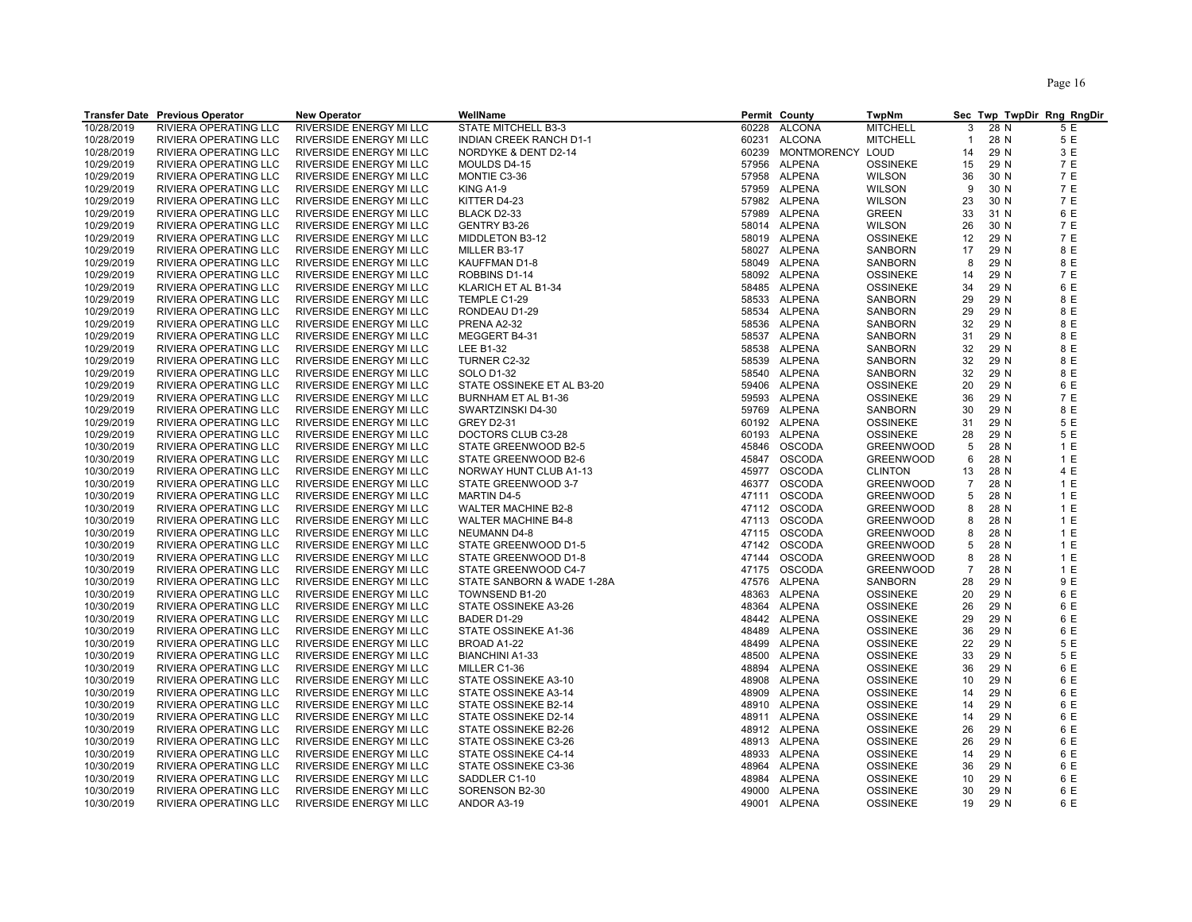| RIVERSIDE ENERGY MI LLC<br>10/28/2019<br><b>RIVIERA OPERATING LLC</b><br>STATE MITCHELL B3-3<br>60228<br><b>ALCONA</b><br><b>MITCHELL</b><br>3<br>28 N<br>5 E<br>5 E<br><b>ALCONA</b><br><b>MITCHELL</b><br>28 N<br>10/28/2019<br>RIVIERA OPERATING LLC<br>RIVERSIDE ENERGY MI LLC<br>INDIAN CREEK RANCH D1-1<br>60231<br>$\mathbf{1}$<br>10/28/2019<br>RIVIERA OPERATING LLC<br>NORDYKE & DENT D2-14<br>MONTMORENCY LOUD<br>29 N<br>3 E<br>RIVERSIDE ENERGY MI LLC<br>60239<br>14<br>10/29/2019<br><b>ALPENA</b><br>29 N<br>7 E<br>RIVIERA OPERATING LLC<br>RIVERSIDE ENERGY MI LLC<br>MOULDS D4-15<br>57956<br><b>OSSINEKE</b><br>15<br>57958 ALPENA<br>7 E<br>10/29/2019<br><b>RIVIERA OPERATING LLC</b><br><b>RIVERSIDE ENERGY MI LLC</b><br>MONTIE C3-36<br><b>WILSON</b><br>36<br>30 N<br>9<br>30 N<br>7 E<br>10/29/2019<br>RIVIERA OPERATING LLC<br>RIVERSIDE ENERGY MI LLC<br>KING A1-9<br>57959 ALPENA<br><b>WILSON</b><br>7 E<br>10/29/2019<br>RIVIERA OPERATING LLC<br>KITTER D4-23<br>57982 ALPENA<br><b>WILSON</b><br>23<br>30 N<br>RIVERSIDE ENERGY MI LLC<br>10/29/2019<br>RIVIERA OPERATING LLC<br>RIVERSIDE ENERGY MI LLC<br>BLACK D2-33<br>57989 ALPENA<br><b>GREEN</b><br>33<br>31 N<br>6 E<br>58014 ALPENA<br>30 N<br>7 E<br>10/29/2019<br>RIVIERA OPERATING LLC<br>RIVERSIDE ENERGY MI LLC<br>GENTRY B3-26<br><b>WILSON</b><br>26<br>10/29/2019<br>58019 ALPENA<br>7 E<br>RIVIERA OPERATING LLC<br>RIVERSIDE ENERGY MI LLC<br>MIDDLETON B3-12<br><b>OSSINEKE</b><br>29 N<br>12<br>10/29/2019<br>RIVIERA OPERATING LLC<br>RIVERSIDE ENERGY MI LLC<br>58027 ALPENA<br><b>SANBORN</b><br>17<br>29 N<br>8 E<br>MILLER B3-17<br>8 E<br>10/29/2019<br>RIVIERA OPERATING LLC<br>RIVERSIDE ENERGY MI LLC<br>KAUFFMAN D1-8<br>58049 ALPENA<br><b>SANBORN</b><br>29 N<br>8<br>7 E<br>10/29/2019<br>RIVIERA OPERATING LLC<br>RIVERSIDE ENERGY MI LLC<br>ROBBINS D1-14<br>58092 ALPENA<br><b>OSSINEKE</b><br>29 N<br>14<br>29 N<br>6 E<br>10/29/2019<br>RIVIERA OPERATING LLC<br>RIVERSIDE ENERGY MI LLC<br>KLARICH ET AL B1-34<br>58485 ALPENA<br><b>OSSINEKE</b><br>34<br>8 E<br>10/29/2019<br>RIVIERA OPERATING LLC<br>RIVERSIDE ENERGY MI LLC<br>TEMPLE C1-29<br>58533 ALPENA<br>SANBORN<br>29<br>29 N<br>58534 ALPENA<br>8 E<br>10/29/2019<br>RIVIERA OPERATING LLC<br>RIVERSIDE ENERGY MI LLC<br>RONDEAU D1-29<br>SANBORN<br>29<br>29 N<br>29 N<br>8 E<br>10/29/2019<br>RIVIERA OPERATING LLC<br><b>RIVERSIDE ENERGY MI LLC</b><br>58536 ALPENA<br><b>SANBORN</b><br>32<br>PRENA A2-32<br>8 E<br>10/29/2019<br>MEGGERT B4-31<br>58537 ALPENA<br>29 N<br>RIVIERA OPERATING LLC<br>RIVERSIDE ENERGY MI LLC<br>SANBORN<br>31<br>8 E<br>10/29/2019<br>RIVIERA OPERATING LLC<br>RIVERSIDE ENERGY MI LLC<br><b>LEE B1-32</b><br>58538 ALPENA<br>SANBORN<br>32<br>29 N<br>10/29/2019<br>TURNER C2-32<br>58539 ALPENA<br>32<br>29 N<br>8 E<br>RIVIERA OPERATING LLC<br>RIVERSIDE ENERGY MI LLC<br><b>SANBORN</b><br>10/29/2019<br>RIVIERA OPERATING LLC<br>58540 ALPENA<br>32<br>29 N<br>8 E<br>RIVERSIDE ENERGY MI LLC<br><b>SOLO D1-32</b><br><b>SANBORN</b><br>6 E<br>10/29/2019<br>59406 ALPENA<br><b>OSSINEKE</b><br>29 N<br>RIVIERA OPERATING LLC<br>RIVERSIDE ENERGY MI LLC<br>STATE OSSINEKE ET AL B3-20<br>20<br>7 E<br>10/29/2019<br>RIVIERA OPERATING LLC<br>ALPENA<br><b>OSSINEKE</b><br>29 N<br><b>RIVERSIDE ENERGY MI LLC</b><br>BURNHAM ET AL B1-36<br>59593<br>36<br>10/29/2019<br>RIVIERA OPERATING LLC<br>RIVERSIDE ENERGY MI LLC<br>59769 ALPENA<br>30<br>29 N<br>8 E<br>SWARTZINSKI D4-30<br>SANBORN<br>10/29/2019<br>RIVIERA OPERATING LLC<br>60192 ALPENA<br><b>OSSINEKE</b><br>29 N<br>5 E<br>RIVERSIDE ENERGY MI LLC<br><b>GREY D2-31</b><br>31<br>10/29/2019<br>60193 ALPENA<br><b>OSSINEKE</b><br>29 N<br>5 E<br>RIVIERA OPERATING LLC<br>RIVERSIDE ENERGY MI LLC<br>DOCTORS CLUB C3-28<br>28<br>10/30/2019<br>STATE GREENWOOD B2-5<br>45846 OSCODA<br><b>GREENWOOD</b><br>5<br>28 N<br>1 E<br>RIVIERA OPERATING LLC<br>RIVERSIDE ENERGY MI LLC<br>1E<br>10/30/2019<br>RIVIERA OPERATING LLC<br>RIVERSIDE ENERGY MI LLC<br>STATE GREENWOOD B2-6<br>45847 OSCODA<br><b>GREENWOOD</b><br>6<br>28 N<br>4 E<br>10/30/2019<br>RIVIERA OPERATING LLC<br>RIVERSIDE ENERGY MI LLC<br>NORWAY HUNT CLUB A1-13<br>45977 OSCODA<br><b>CLINTON</b><br>28 N<br>13<br>46377 OSCODA<br>$\overline{7}$<br>28 N<br>1E<br>10/30/2019<br>RIVIERA OPERATING LLC<br>RIVERSIDE ENERGY MI LLC<br>STATE GREENWOOD 3-7<br><b>GREENWOOD</b><br>10/30/2019<br>47111 OSCODA<br>28 N<br>1E<br>RIVIERA OPERATING LLC<br>RIVERSIDE ENERGY MI LLC<br><b>MARTIN D4-5</b><br><b>GREENWOOD</b><br>5<br>1 E<br>10/30/2019<br>RIVIERA OPERATING LLC<br>RIVERSIDE ENERGY MI LLC<br><b>WALTER MACHINE B2-8</b><br>47112 OSCODA<br><b>GREENWOOD</b><br>8<br>28 N<br>47113 OSCODA<br>1E<br>10/30/2019<br>RIVIERA OPERATING LLC<br>RIVERSIDE ENERGY MI LLC<br><b>WALTER MACHINE B4-8</b><br><b>GREENWOOD</b><br>8<br>28 N<br>10/30/2019<br>28 N<br>1E<br>RIVIERA OPERATING LLC<br>RIVERSIDE ENERGY MI LLC<br>47115 OSCODA<br><b>GREENWOOD</b><br>8<br><b>NEUMANN D4-8</b><br>1 E<br>10/30/2019<br>RIVIERA OPERATING LLC<br>RIVERSIDE ENERGY MI LLC<br>STATE GREENWOOD D1-5<br>47142 OSCODA<br><b>GREENWOOD</b><br>5<br>28 N<br>1 E<br>10/30/2019<br>RIVIERA OPERATING LLC<br>RIVERSIDE ENERGY MI LLC<br>STATE GREENWOOD D1-8<br>47144<br><b>OSCODA</b><br><b>GREENWOOD</b><br>8<br>28 N<br>10/30/2019<br>47175 OSCODA<br>$\overline{7}$<br>1 E<br>RIVIERA OPERATING LLC<br>RIVERSIDE ENERGY MI LLC<br>STATE GREENWOOD C4-7<br><b>GREENWOOD</b><br>28 N<br>10/30/2019<br>47576 ALPENA<br>29 N<br>9 E<br>RIVIERA OPERATING LLC<br>RIVERSIDE ENERGY MI LLC<br>STATE SANBORN & WADE 1-28A<br><b>SANBORN</b><br>28<br>6 E<br>10/30/2019<br>RIVIERA OPERATING LLC<br>RIVERSIDE ENERGY MI LLC<br>TOWNSEND B1-20<br>48363<br>ALPENA<br><b>OSSINEKE</b><br>29 N<br>20<br>10/30/2019<br>48364 ALPENA<br>29 N<br>6 E<br>RIVIERA OPERATING LLC<br>RIVERSIDE ENERGY MI LLC<br>STATE OSSINEKE A3-26<br><b>OSSINEKE</b><br>26<br>10/30/2019<br>RIVIERA OPERATING LLC<br>48442 ALPENA<br><b>OSSINEKE</b><br>29<br>29 N<br>6 E<br>RIVERSIDE ENERGY MI LLC<br>BADER D1-29<br>10/30/2019<br>RIVIERA OPERATING LLC<br>RIVERSIDE ENERGY MI LLC<br>STATE OSSINEKE A1-36<br>48489<br><b>ALPENA</b><br><b>OSSINEKE</b><br>29 N<br>6 E<br>36<br>22<br>10/30/2019<br>RIVIERA OPERATING LLC<br>RIVERSIDE ENERGY MI LLC<br>48499 ALPENA<br><b>OSSINEKE</b><br>29 N<br>5 E<br>BROAD A1-22<br>5 E<br>10/30/2019<br>RIVIERA OPERATING LLC<br>RIVERSIDE ENERGY MI LLC<br><b>BIANCHINI A1-33</b><br>48500 ALPENA<br><b>OSSINEKE</b><br>33<br>29 N<br>10/30/2019<br>RIVIERA OPERATING LLC<br>RIVERSIDE ENERGY MI LLC<br>MILLER C1-36<br>48894 ALPENA<br><b>OSSINEKE</b><br>29 N<br>6 E<br>36<br>6 E<br>10/30/2019<br>RIVIERA OPERATING LLC<br>RIVERSIDE ENERGY MI LLC<br>STATE OSSINEKE A3-10<br>48908 ALPENA<br><b>OSSINEKE</b><br>10<br>29 N<br>10/30/2019<br>48909 ALPENA<br>29 N<br>6 E<br>RIVIERA OPERATING LLC<br>RIVERSIDE ENERGY MI LLC<br>STATE OSSINEKE A3-14<br><b>OSSINEKE</b><br>14<br>29 N<br>6 E<br>10/30/2019<br>RIVIERA OPERATING LLC<br>RIVERSIDE ENERGY MI LLC<br>48910 ALPENA<br><b>OSSINEKE</b><br>STATE OSSINEKE B2-14<br>14<br>6 E<br>10/30/2019<br>RIVIERA OPERATING LLC<br>RIVERSIDE ENERGY MI LLC<br>STATE OSSINEKE D2-14<br>48911 ALPENA<br><b>OSSINEKE</b><br>14<br>29 N<br>6 E<br>10/30/2019<br>RIVIERA OPERATING LLC<br>RIVERSIDE ENERGY MI LLC<br>STATE OSSINEKE B2-26<br>48912 ALPENA<br><b>OSSINEKE</b><br>26<br>29 N<br>6 E<br>10/30/2019<br>RIVIERA OPERATING LLC<br>48913 ALPENA<br><b>OSSINEKE</b><br>29 N<br>RIVERSIDE ENERGY MI LLC<br>STATE OSSINEKE C3-26<br>26<br>10/30/2019<br>48933 ALPENA<br><b>OSSINEKE</b><br>29 N<br>6 E<br>RIVIERA OPERATING LLC<br>RIVERSIDE ENERGY MI LLC<br>STATE OSSINEKE C4-14<br>14<br>10/30/2019<br>RIVIERA OPERATING LLC<br>RIVERSIDE ENERGY MI LLC<br>STATE OSSINEKE C3-36<br>48964 ALPENA<br><b>OSSINEKE</b><br>36<br>29 N<br>6 E<br>10/30/2019<br>6 E<br>RIVIERA OPERATING LLC<br>RIVERSIDE ENERGY MI LLC<br>SADDLER C1-10<br>48984 ALPENA<br><b>OSSINEKE</b><br>10<br>29 N<br>10/30/2019<br><b>RIVIERA OPERATING LLC</b><br>49000 ALPENA<br><b>OSSINEKE</b><br>29 N<br>6 E<br><b>RIVERSIDE ENERGY MI LLC</b><br>SORENSON B2-30<br>30<br>10/30/2019<br>RIVIERA OPERATING LLC<br>49001 ALPENA<br>19<br>29 N<br>6 E<br>RIVERSIDE ENERGY MI LLC<br>ANDOR A3-19<br><b>OSSINEKE</b> | <b>Transfer Date Previous Operator</b> | <b>New Operator</b> | WellName | Permit County | <b>TwpNm</b> |  | Sec Twp TwpDir Rng RngDir |
|----------------------------------------------------------------------------------------------------------------------------------------------------------------------------------------------------------------------------------------------------------------------------------------------------------------------------------------------------------------------------------------------------------------------------------------------------------------------------------------------------------------------------------------------------------------------------------------------------------------------------------------------------------------------------------------------------------------------------------------------------------------------------------------------------------------------------------------------------------------------------------------------------------------------------------------------------------------------------------------------------------------------------------------------------------------------------------------------------------------------------------------------------------------------------------------------------------------------------------------------------------------------------------------------------------------------------------------------------------------------------------------------------------------------------------------------------------------------------------------------------------------------------------------------------------------------------------------------------------------------------------------------------------------------------------------------------------------------------------------------------------------------------------------------------------------------------------------------------------------------------------------------------------------------------------------------------------------------------------------------------------------------------------------------------------------------------------------------------------------------------------------------------------------------------------------------------------------------------------------------------------------------------------------------------------------------------------------------------------------------------------------------------------------------------------------------------------------------------------------------------------------------------------------------------------------------------------------------------------------------------------------------------------------------------------------------------------------------------------------------------------------------------------------------------------------------------------------------------------------------------------------------------------------------------------------------------------------------------------------------------------------------------------------------------------------------------------------------------------------------------------------------------------------------------------------------------------------------------------------------------------------------------------------------------------------------------------------------------------------------------------------------------------------------------------------------------------------------------------------------------------------------------------------------------------------------------------------------------------------------------------------------------------------------------------------------------------------------------------------------------------------------------------------------------------------------------------------------------------------------------------------------------------------------------------------------------------------------------------------------------------------------------------------------------------------------------------------------------------------------------------------------------------------------------------------------------------------------------------------------------------------------------------------------------------------------------------------------------------------------------------------------------------------------------------------------------------------------------------------------------------------------------------------------------------------------------------------------------------------------------------------------------------------------------------------------------------------------------------------------------------------------------------------------------------------------------------------------------------------------------------------------------------------------------------------------------------------------------------------------------------------------------------------------------------------------------------------------------------------------------------------------------------------------------------------------------------------------------------------------------------------------------------------------------------------------------------------------------------------------------------------------------------------------------------------------------------------------------------------------------------------------------------------------------------------------------------------------------------------------------------------------------------------------------------------------------------------------------------------------------------------------------------------------------------------------------------------------------------------------------------------------------------------------------------------------------------------------------------------------------------------------------------------------------------------------------------------------------------------------------------------------------------------------------------------------------------------------------------------------------------------------------------------------------------------------------------------------------------------------------------------------------------------------------------------------------------------------------------------------------------------------------------------------------------------------------------------------------------------------------------------------------------------------------------------------------------------------------------------------------------------------------------------------------------------------------------------------------------------------------------------------------------------------------------------------------------------------------------------------------------------------------------------------------------------------------------------------------------------------------------------------------------------------------------------------------------------------------------------------------------------------------------------------------------------------------------------------------------------------------------------------------------------------------------------------------------------------------------------------------------------------------------------------------------------------------------------------------------------------------------------------------------------------------------------------------------------------------------------------------------------------------------------------------------------------------------------------------------------------------------------------------------------------------------------------------------------------------------------------------------------------------------------------------------------------------------------------------------------------------------------------------------------------------------------------------------------------------------------------------------------------------------------------------------------------------------------------------------------------------------------------------------------|----------------------------------------|---------------------|----------|---------------|--------------|--|---------------------------|
|                                                                                                                                                                                                                                                                                                                                                                                                                                                                                                                                                                                                                                                                                                                                                                                                                                                                                                                                                                                                                                                                                                                                                                                                                                                                                                                                                                                                                                                                                                                                                                                                                                                                                                                                                                                                                                                                                                                                                                                                                                                                                                                                                                                                                                                                                                                                                                                                                                                                                                                                                                                                                                                                                                                                                                                                                                                                                                                                                                                                                                                                                                                                                                                                                                                                                                                                                                                                                                                                                                                                                                                                                                                                                                                                                                                                                                                                                                                                                                                                                                                                                                                                                                                                                                                                                                                                                                                                                                                                                                                                                                                                                                                                                                                                                                                                                                                                                                                                                                                                                                                                                                                                                                                                                                                                                                                                                                                                                                                                                                                                                                                                                                                                                                                                                                                                                                                                                                                                                                                                                                                                                                                                                                                                                                                                                                                                                                                                                                                                                                                                                                                                                                                                                                                                                                                                                                                                                                                                                                                                                                                                                                                                                                                                                                                                                                                                                                                                                                                                                                                                                                                                                                                                                                                                                                                                                                                                                                                                                                                                                                                                                                                                                                                                                                                                                                                                                                                                                |                                        |                     |          |               |              |  |                           |
|                                                                                                                                                                                                                                                                                                                                                                                                                                                                                                                                                                                                                                                                                                                                                                                                                                                                                                                                                                                                                                                                                                                                                                                                                                                                                                                                                                                                                                                                                                                                                                                                                                                                                                                                                                                                                                                                                                                                                                                                                                                                                                                                                                                                                                                                                                                                                                                                                                                                                                                                                                                                                                                                                                                                                                                                                                                                                                                                                                                                                                                                                                                                                                                                                                                                                                                                                                                                                                                                                                                                                                                                                                                                                                                                                                                                                                                                                                                                                                                                                                                                                                                                                                                                                                                                                                                                                                                                                                                                                                                                                                                                                                                                                                                                                                                                                                                                                                                                                                                                                                                                                                                                                                                                                                                                                                                                                                                                                                                                                                                                                                                                                                                                                                                                                                                                                                                                                                                                                                                                                                                                                                                                                                                                                                                                                                                                                                                                                                                                                                                                                                                                                                                                                                                                                                                                                                                                                                                                                                                                                                                                                                                                                                                                                                                                                                                                                                                                                                                                                                                                                                                                                                                                                                                                                                                                                                                                                                                                                                                                                                                                                                                                                                                                                                                                                                                                                                                                                |                                        |                     |          |               |              |  |                           |
|                                                                                                                                                                                                                                                                                                                                                                                                                                                                                                                                                                                                                                                                                                                                                                                                                                                                                                                                                                                                                                                                                                                                                                                                                                                                                                                                                                                                                                                                                                                                                                                                                                                                                                                                                                                                                                                                                                                                                                                                                                                                                                                                                                                                                                                                                                                                                                                                                                                                                                                                                                                                                                                                                                                                                                                                                                                                                                                                                                                                                                                                                                                                                                                                                                                                                                                                                                                                                                                                                                                                                                                                                                                                                                                                                                                                                                                                                                                                                                                                                                                                                                                                                                                                                                                                                                                                                                                                                                                                                                                                                                                                                                                                                                                                                                                                                                                                                                                                                                                                                                                                                                                                                                                                                                                                                                                                                                                                                                                                                                                                                                                                                                                                                                                                                                                                                                                                                                                                                                                                                                                                                                                                                                                                                                                                                                                                                                                                                                                                                                                                                                                                                                                                                                                                                                                                                                                                                                                                                                                                                                                                                                                                                                                                                                                                                                                                                                                                                                                                                                                                                                                                                                                                                                                                                                                                                                                                                                                                                                                                                                                                                                                                                                                                                                                                                                                                                                                                                |                                        |                     |          |               |              |  |                           |
|                                                                                                                                                                                                                                                                                                                                                                                                                                                                                                                                                                                                                                                                                                                                                                                                                                                                                                                                                                                                                                                                                                                                                                                                                                                                                                                                                                                                                                                                                                                                                                                                                                                                                                                                                                                                                                                                                                                                                                                                                                                                                                                                                                                                                                                                                                                                                                                                                                                                                                                                                                                                                                                                                                                                                                                                                                                                                                                                                                                                                                                                                                                                                                                                                                                                                                                                                                                                                                                                                                                                                                                                                                                                                                                                                                                                                                                                                                                                                                                                                                                                                                                                                                                                                                                                                                                                                                                                                                                                                                                                                                                                                                                                                                                                                                                                                                                                                                                                                                                                                                                                                                                                                                                                                                                                                                                                                                                                                                                                                                                                                                                                                                                                                                                                                                                                                                                                                                                                                                                                                                                                                                                                                                                                                                                                                                                                                                                                                                                                                                                                                                                                                                                                                                                                                                                                                                                                                                                                                                                                                                                                                                                                                                                                                                                                                                                                                                                                                                                                                                                                                                                                                                                                                                                                                                                                                                                                                                                                                                                                                                                                                                                                                                                                                                                                                                                                                                                                                |                                        |                     |          |               |              |  |                           |
|                                                                                                                                                                                                                                                                                                                                                                                                                                                                                                                                                                                                                                                                                                                                                                                                                                                                                                                                                                                                                                                                                                                                                                                                                                                                                                                                                                                                                                                                                                                                                                                                                                                                                                                                                                                                                                                                                                                                                                                                                                                                                                                                                                                                                                                                                                                                                                                                                                                                                                                                                                                                                                                                                                                                                                                                                                                                                                                                                                                                                                                                                                                                                                                                                                                                                                                                                                                                                                                                                                                                                                                                                                                                                                                                                                                                                                                                                                                                                                                                                                                                                                                                                                                                                                                                                                                                                                                                                                                                                                                                                                                                                                                                                                                                                                                                                                                                                                                                                                                                                                                                                                                                                                                                                                                                                                                                                                                                                                                                                                                                                                                                                                                                                                                                                                                                                                                                                                                                                                                                                                                                                                                                                                                                                                                                                                                                                                                                                                                                                                                                                                                                                                                                                                                                                                                                                                                                                                                                                                                                                                                                                                                                                                                                                                                                                                                                                                                                                                                                                                                                                                                                                                                                                                                                                                                                                                                                                                                                                                                                                                                                                                                                                                                                                                                                                                                                                                                                                |                                        |                     |          |               |              |  |                           |
|                                                                                                                                                                                                                                                                                                                                                                                                                                                                                                                                                                                                                                                                                                                                                                                                                                                                                                                                                                                                                                                                                                                                                                                                                                                                                                                                                                                                                                                                                                                                                                                                                                                                                                                                                                                                                                                                                                                                                                                                                                                                                                                                                                                                                                                                                                                                                                                                                                                                                                                                                                                                                                                                                                                                                                                                                                                                                                                                                                                                                                                                                                                                                                                                                                                                                                                                                                                                                                                                                                                                                                                                                                                                                                                                                                                                                                                                                                                                                                                                                                                                                                                                                                                                                                                                                                                                                                                                                                                                                                                                                                                                                                                                                                                                                                                                                                                                                                                                                                                                                                                                                                                                                                                                                                                                                                                                                                                                                                                                                                                                                                                                                                                                                                                                                                                                                                                                                                                                                                                                                                                                                                                                                                                                                                                                                                                                                                                                                                                                                                                                                                                                                                                                                                                                                                                                                                                                                                                                                                                                                                                                                                                                                                                                                                                                                                                                                                                                                                                                                                                                                                                                                                                                                                                                                                                                                                                                                                                                                                                                                                                                                                                                                                                                                                                                                                                                                                                                                |                                        |                     |          |               |              |  |                           |
|                                                                                                                                                                                                                                                                                                                                                                                                                                                                                                                                                                                                                                                                                                                                                                                                                                                                                                                                                                                                                                                                                                                                                                                                                                                                                                                                                                                                                                                                                                                                                                                                                                                                                                                                                                                                                                                                                                                                                                                                                                                                                                                                                                                                                                                                                                                                                                                                                                                                                                                                                                                                                                                                                                                                                                                                                                                                                                                                                                                                                                                                                                                                                                                                                                                                                                                                                                                                                                                                                                                                                                                                                                                                                                                                                                                                                                                                                                                                                                                                                                                                                                                                                                                                                                                                                                                                                                                                                                                                                                                                                                                                                                                                                                                                                                                                                                                                                                                                                                                                                                                                                                                                                                                                                                                                                                                                                                                                                                                                                                                                                                                                                                                                                                                                                                                                                                                                                                                                                                                                                                                                                                                                                                                                                                                                                                                                                                                                                                                                                                                                                                                                                                                                                                                                                                                                                                                                                                                                                                                                                                                                                                                                                                                                                                                                                                                                                                                                                                                                                                                                                                                                                                                                                                                                                                                                                                                                                                                                                                                                                                                                                                                                                                                                                                                                                                                                                                                                                |                                        |                     |          |               |              |  |                           |
|                                                                                                                                                                                                                                                                                                                                                                                                                                                                                                                                                                                                                                                                                                                                                                                                                                                                                                                                                                                                                                                                                                                                                                                                                                                                                                                                                                                                                                                                                                                                                                                                                                                                                                                                                                                                                                                                                                                                                                                                                                                                                                                                                                                                                                                                                                                                                                                                                                                                                                                                                                                                                                                                                                                                                                                                                                                                                                                                                                                                                                                                                                                                                                                                                                                                                                                                                                                                                                                                                                                                                                                                                                                                                                                                                                                                                                                                                                                                                                                                                                                                                                                                                                                                                                                                                                                                                                                                                                                                                                                                                                                                                                                                                                                                                                                                                                                                                                                                                                                                                                                                                                                                                                                                                                                                                                                                                                                                                                                                                                                                                                                                                                                                                                                                                                                                                                                                                                                                                                                                                                                                                                                                                                                                                                                                                                                                                                                                                                                                                                                                                                                                                                                                                                                                                                                                                                                                                                                                                                                                                                                                                                                                                                                                                                                                                                                                                                                                                                                                                                                                                                                                                                                                                                                                                                                                                                                                                                                                                                                                                                                                                                                                                                                                                                                                                                                                                                                                                |                                        |                     |          |               |              |  |                           |
|                                                                                                                                                                                                                                                                                                                                                                                                                                                                                                                                                                                                                                                                                                                                                                                                                                                                                                                                                                                                                                                                                                                                                                                                                                                                                                                                                                                                                                                                                                                                                                                                                                                                                                                                                                                                                                                                                                                                                                                                                                                                                                                                                                                                                                                                                                                                                                                                                                                                                                                                                                                                                                                                                                                                                                                                                                                                                                                                                                                                                                                                                                                                                                                                                                                                                                                                                                                                                                                                                                                                                                                                                                                                                                                                                                                                                                                                                                                                                                                                                                                                                                                                                                                                                                                                                                                                                                                                                                                                                                                                                                                                                                                                                                                                                                                                                                                                                                                                                                                                                                                                                                                                                                                                                                                                                                                                                                                                                                                                                                                                                                                                                                                                                                                                                                                                                                                                                                                                                                                                                                                                                                                                                                                                                                                                                                                                                                                                                                                                                                                                                                                                                                                                                                                                                                                                                                                                                                                                                                                                                                                                                                                                                                                                                                                                                                                                                                                                                                                                                                                                                                                                                                                                                                                                                                                                                                                                                                                                                                                                                                                                                                                                                                                                                                                                                                                                                                                                                |                                        |                     |          |               |              |  |                           |
|                                                                                                                                                                                                                                                                                                                                                                                                                                                                                                                                                                                                                                                                                                                                                                                                                                                                                                                                                                                                                                                                                                                                                                                                                                                                                                                                                                                                                                                                                                                                                                                                                                                                                                                                                                                                                                                                                                                                                                                                                                                                                                                                                                                                                                                                                                                                                                                                                                                                                                                                                                                                                                                                                                                                                                                                                                                                                                                                                                                                                                                                                                                                                                                                                                                                                                                                                                                                                                                                                                                                                                                                                                                                                                                                                                                                                                                                                                                                                                                                                                                                                                                                                                                                                                                                                                                                                                                                                                                                                                                                                                                                                                                                                                                                                                                                                                                                                                                                                                                                                                                                                                                                                                                                                                                                                                                                                                                                                                                                                                                                                                                                                                                                                                                                                                                                                                                                                                                                                                                                                                                                                                                                                                                                                                                                                                                                                                                                                                                                                                                                                                                                                                                                                                                                                                                                                                                                                                                                                                                                                                                                                                                                                                                                                                                                                                                                                                                                                                                                                                                                                                                                                                                                                                                                                                                                                                                                                                                                                                                                                                                                                                                                                                                                                                                                                                                                                                                                                |                                        |                     |          |               |              |  |                           |
|                                                                                                                                                                                                                                                                                                                                                                                                                                                                                                                                                                                                                                                                                                                                                                                                                                                                                                                                                                                                                                                                                                                                                                                                                                                                                                                                                                                                                                                                                                                                                                                                                                                                                                                                                                                                                                                                                                                                                                                                                                                                                                                                                                                                                                                                                                                                                                                                                                                                                                                                                                                                                                                                                                                                                                                                                                                                                                                                                                                                                                                                                                                                                                                                                                                                                                                                                                                                                                                                                                                                                                                                                                                                                                                                                                                                                                                                                                                                                                                                                                                                                                                                                                                                                                                                                                                                                                                                                                                                                                                                                                                                                                                                                                                                                                                                                                                                                                                                                                                                                                                                                                                                                                                                                                                                                                                                                                                                                                                                                                                                                                                                                                                                                                                                                                                                                                                                                                                                                                                                                                                                                                                                                                                                                                                                                                                                                                                                                                                                                                                                                                                                                                                                                                                                                                                                                                                                                                                                                                                                                                                                                                                                                                                                                                                                                                                                                                                                                                                                                                                                                                                                                                                                                                                                                                                                                                                                                                                                                                                                                                                                                                                                                                                                                                                                                                                                                                                                                |                                        |                     |          |               |              |  |                           |
|                                                                                                                                                                                                                                                                                                                                                                                                                                                                                                                                                                                                                                                                                                                                                                                                                                                                                                                                                                                                                                                                                                                                                                                                                                                                                                                                                                                                                                                                                                                                                                                                                                                                                                                                                                                                                                                                                                                                                                                                                                                                                                                                                                                                                                                                                                                                                                                                                                                                                                                                                                                                                                                                                                                                                                                                                                                                                                                                                                                                                                                                                                                                                                                                                                                                                                                                                                                                                                                                                                                                                                                                                                                                                                                                                                                                                                                                                                                                                                                                                                                                                                                                                                                                                                                                                                                                                                                                                                                                                                                                                                                                                                                                                                                                                                                                                                                                                                                                                                                                                                                                                                                                                                                                                                                                                                                                                                                                                                                                                                                                                                                                                                                                                                                                                                                                                                                                                                                                                                                                                                                                                                                                                                                                                                                                                                                                                                                                                                                                                                                                                                                                                                                                                                                                                                                                                                                                                                                                                                                                                                                                                                                                                                                                                                                                                                                                                                                                                                                                                                                                                                                                                                                                                                                                                                                                                                                                                                                                                                                                                                                                                                                                                                                                                                                                                                                                                                                                                |                                        |                     |          |               |              |  |                           |
|                                                                                                                                                                                                                                                                                                                                                                                                                                                                                                                                                                                                                                                                                                                                                                                                                                                                                                                                                                                                                                                                                                                                                                                                                                                                                                                                                                                                                                                                                                                                                                                                                                                                                                                                                                                                                                                                                                                                                                                                                                                                                                                                                                                                                                                                                                                                                                                                                                                                                                                                                                                                                                                                                                                                                                                                                                                                                                                                                                                                                                                                                                                                                                                                                                                                                                                                                                                                                                                                                                                                                                                                                                                                                                                                                                                                                                                                                                                                                                                                                                                                                                                                                                                                                                                                                                                                                                                                                                                                                                                                                                                                                                                                                                                                                                                                                                                                                                                                                                                                                                                                                                                                                                                                                                                                                                                                                                                                                                                                                                                                                                                                                                                                                                                                                                                                                                                                                                                                                                                                                                                                                                                                                                                                                                                                                                                                                                                                                                                                                                                                                                                                                                                                                                                                                                                                                                                                                                                                                                                                                                                                                                                                                                                                                                                                                                                                                                                                                                                                                                                                                                                                                                                                                                                                                                                                                                                                                                                                                                                                                                                                                                                                                                                                                                                                                                                                                                                                                |                                        |                     |          |               |              |  |                           |
|                                                                                                                                                                                                                                                                                                                                                                                                                                                                                                                                                                                                                                                                                                                                                                                                                                                                                                                                                                                                                                                                                                                                                                                                                                                                                                                                                                                                                                                                                                                                                                                                                                                                                                                                                                                                                                                                                                                                                                                                                                                                                                                                                                                                                                                                                                                                                                                                                                                                                                                                                                                                                                                                                                                                                                                                                                                                                                                                                                                                                                                                                                                                                                                                                                                                                                                                                                                                                                                                                                                                                                                                                                                                                                                                                                                                                                                                                                                                                                                                                                                                                                                                                                                                                                                                                                                                                                                                                                                                                                                                                                                                                                                                                                                                                                                                                                                                                                                                                                                                                                                                                                                                                                                                                                                                                                                                                                                                                                                                                                                                                                                                                                                                                                                                                                                                                                                                                                                                                                                                                                                                                                                                                                                                                                                                                                                                                                                                                                                                                                                                                                                                                                                                                                                                                                                                                                                                                                                                                                                                                                                                                                                                                                                                                                                                                                                                                                                                                                                                                                                                                                                                                                                                                                                                                                                                                                                                                                                                                                                                                                                                                                                                                                                                                                                                                                                                                                                                                |                                        |                     |          |               |              |  |                           |
|                                                                                                                                                                                                                                                                                                                                                                                                                                                                                                                                                                                                                                                                                                                                                                                                                                                                                                                                                                                                                                                                                                                                                                                                                                                                                                                                                                                                                                                                                                                                                                                                                                                                                                                                                                                                                                                                                                                                                                                                                                                                                                                                                                                                                                                                                                                                                                                                                                                                                                                                                                                                                                                                                                                                                                                                                                                                                                                                                                                                                                                                                                                                                                                                                                                                                                                                                                                                                                                                                                                                                                                                                                                                                                                                                                                                                                                                                                                                                                                                                                                                                                                                                                                                                                                                                                                                                                                                                                                                                                                                                                                                                                                                                                                                                                                                                                                                                                                                                                                                                                                                                                                                                                                                                                                                                                                                                                                                                                                                                                                                                                                                                                                                                                                                                                                                                                                                                                                                                                                                                                                                                                                                                                                                                                                                                                                                                                                                                                                                                                                                                                                                                                                                                                                                                                                                                                                                                                                                                                                                                                                                                                                                                                                                                                                                                                                                                                                                                                                                                                                                                                                                                                                                                                                                                                                                                                                                                                                                                                                                                                                                                                                                                                                                                                                                                                                                                                                                                |                                        |                     |          |               |              |  |                           |
|                                                                                                                                                                                                                                                                                                                                                                                                                                                                                                                                                                                                                                                                                                                                                                                                                                                                                                                                                                                                                                                                                                                                                                                                                                                                                                                                                                                                                                                                                                                                                                                                                                                                                                                                                                                                                                                                                                                                                                                                                                                                                                                                                                                                                                                                                                                                                                                                                                                                                                                                                                                                                                                                                                                                                                                                                                                                                                                                                                                                                                                                                                                                                                                                                                                                                                                                                                                                                                                                                                                                                                                                                                                                                                                                                                                                                                                                                                                                                                                                                                                                                                                                                                                                                                                                                                                                                                                                                                                                                                                                                                                                                                                                                                                                                                                                                                                                                                                                                                                                                                                                                                                                                                                                                                                                                                                                                                                                                                                                                                                                                                                                                                                                                                                                                                                                                                                                                                                                                                                                                                                                                                                                                                                                                                                                                                                                                                                                                                                                                                                                                                                                                                                                                                                                                                                                                                                                                                                                                                                                                                                                                                                                                                                                                                                                                                                                                                                                                                                                                                                                                                                                                                                                                                                                                                                                                                                                                                                                                                                                                                                                                                                                                                                                                                                                                                                                                                                                                |                                        |                     |          |               |              |  |                           |
|                                                                                                                                                                                                                                                                                                                                                                                                                                                                                                                                                                                                                                                                                                                                                                                                                                                                                                                                                                                                                                                                                                                                                                                                                                                                                                                                                                                                                                                                                                                                                                                                                                                                                                                                                                                                                                                                                                                                                                                                                                                                                                                                                                                                                                                                                                                                                                                                                                                                                                                                                                                                                                                                                                                                                                                                                                                                                                                                                                                                                                                                                                                                                                                                                                                                                                                                                                                                                                                                                                                                                                                                                                                                                                                                                                                                                                                                                                                                                                                                                                                                                                                                                                                                                                                                                                                                                                                                                                                                                                                                                                                                                                                                                                                                                                                                                                                                                                                                                                                                                                                                                                                                                                                                                                                                                                                                                                                                                                                                                                                                                                                                                                                                                                                                                                                                                                                                                                                                                                                                                                                                                                                                                                                                                                                                                                                                                                                                                                                                                                                                                                                                                                                                                                                                                                                                                                                                                                                                                                                                                                                                                                                                                                                                                                                                                                                                                                                                                                                                                                                                                                                                                                                                                                                                                                                                                                                                                                                                                                                                                                                                                                                                                                                                                                                                                                                                                                                                                |                                        |                     |          |               |              |  |                           |
|                                                                                                                                                                                                                                                                                                                                                                                                                                                                                                                                                                                                                                                                                                                                                                                                                                                                                                                                                                                                                                                                                                                                                                                                                                                                                                                                                                                                                                                                                                                                                                                                                                                                                                                                                                                                                                                                                                                                                                                                                                                                                                                                                                                                                                                                                                                                                                                                                                                                                                                                                                                                                                                                                                                                                                                                                                                                                                                                                                                                                                                                                                                                                                                                                                                                                                                                                                                                                                                                                                                                                                                                                                                                                                                                                                                                                                                                                                                                                                                                                                                                                                                                                                                                                                                                                                                                                                                                                                                                                                                                                                                                                                                                                                                                                                                                                                                                                                                                                                                                                                                                                                                                                                                                                                                                                                                                                                                                                                                                                                                                                                                                                                                                                                                                                                                                                                                                                                                                                                                                                                                                                                                                                                                                                                                                                                                                                                                                                                                                                                                                                                                                                                                                                                                                                                                                                                                                                                                                                                                                                                                                                                                                                                                                                                                                                                                                                                                                                                                                                                                                                                                                                                                                                                                                                                                                                                                                                                                                                                                                                                                                                                                                                                                                                                                                                                                                                                                                                |                                        |                     |          |               |              |  |                           |
|                                                                                                                                                                                                                                                                                                                                                                                                                                                                                                                                                                                                                                                                                                                                                                                                                                                                                                                                                                                                                                                                                                                                                                                                                                                                                                                                                                                                                                                                                                                                                                                                                                                                                                                                                                                                                                                                                                                                                                                                                                                                                                                                                                                                                                                                                                                                                                                                                                                                                                                                                                                                                                                                                                                                                                                                                                                                                                                                                                                                                                                                                                                                                                                                                                                                                                                                                                                                                                                                                                                                                                                                                                                                                                                                                                                                                                                                                                                                                                                                                                                                                                                                                                                                                                                                                                                                                                                                                                                                                                                                                                                                                                                                                                                                                                                                                                                                                                                                                                                                                                                                                                                                                                                                                                                                                                                                                                                                                                                                                                                                                                                                                                                                                                                                                                                                                                                                                                                                                                                                                                                                                                                                                                                                                                                                                                                                                                                                                                                                                                                                                                                                                                                                                                                                                                                                                                                                                                                                                                                                                                                                                                                                                                                                                                                                                                                                                                                                                                                                                                                                                                                                                                                                                                                                                                                                                                                                                                                                                                                                                                                                                                                                                                                                                                                                                                                                                                                                                |                                        |                     |          |               |              |  |                           |
|                                                                                                                                                                                                                                                                                                                                                                                                                                                                                                                                                                                                                                                                                                                                                                                                                                                                                                                                                                                                                                                                                                                                                                                                                                                                                                                                                                                                                                                                                                                                                                                                                                                                                                                                                                                                                                                                                                                                                                                                                                                                                                                                                                                                                                                                                                                                                                                                                                                                                                                                                                                                                                                                                                                                                                                                                                                                                                                                                                                                                                                                                                                                                                                                                                                                                                                                                                                                                                                                                                                                                                                                                                                                                                                                                                                                                                                                                                                                                                                                                                                                                                                                                                                                                                                                                                                                                                                                                                                                                                                                                                                                                                                                                                                                                                                                                                                                                                                                                                                                                                                                                                                                                                                                                                                                                                                                                                                                                                                                                                                                                                                                                                                                                                                                                                                                                                                                                                                                                                                                                                                                                                                                                                                                                                                                                                                                                                                                                                                                                                                                                                                                                                                                                                                                                                                                                                                                                                                                                                                                                                                                                                                                                                                                                                                                                                                                                                                                                                                                                                                                                                                                                                                                                                                                                                                                                                                                                                                                                                                                                                                                                                                                                                                                                                                                                                                                                                                                                |                                        |                     |          |               |              |  |                           |
|                                                                                                                                                                                                                                                                                                                                                                                                                                                                                                                                                                                                                                                                                                                                                                                                                                                                                                                                                                                                                                                                                                                                                                                                                                                                                                                                                                                                                                                                                                                                                                                                                                                                                                                                                                                                                                                                                                                                                                                                                                                                                                                                                                                                                                                                                                                                                                                                                                                                                                                                                                                                                                                                                                                                                                                                                                                                                                                                                                                                                                                                                                                                                                                                                                                                                                                                                                                                                                                                                                                                                                                                                                                                                                                                                                                                                                                                                                                                                                                                                                                                                                                                                                                                                                                                                                                                                                                                                                                                                                                                                                                                                                                                                                                                                                                                                                                                                                                                                                                                                                                                                                                                                                                                                                                                                                                                                                                                                                                                                                                                                                                                                                                                                                                                                                                                                                                                                                                                                                                                                                                                                                                                                                                                                                                                                                                                                                                                                                                                                                                                                                                                                                                                                                                                                                                                                                                                                                                                                                                                                                                                                                                                                                                                                                                                                                                                                                                                                                                                                                                                                                                                                                                                                                                                                                                                                                                                                                                                                                                                                                                                                                                                                                                                                                                                                                                                                                                                                |                                        |                     |          |               |              |  |                           |
|                                                                                                                                                                                                                                                                                                                                                                                                                                                                                                                                                                                                                                                                                                                                                                                                                                                                                                                                                                                                                                                                                                                                                                                                                                                                                                                                                                                                                                                                                                                                                                                                                                                                                                                                                                                                                                                                                                                                                                                                                                                                                                                                                                                                                                                                                                                                                                                                                                                                                                                                                                                                                                                                                                                                                                                                                                                                                                                                                                                                                                                                                                                                                                                                                                                                                                                                                                                                                                                                                                                                                                                                                                                                                                                                                                                                                                                                                                                                                                                                                                                                                                                                                                                                                                                                                                                                                                                                                                                                                                                                                                                                                                                                                                                                                                                                                                                                                                                                                                                                                                                                                                                                                                                                                                                                                                                                                                                                                                                                                                                                                                                                                                                                                                                                                                                                                                                                                                                                                                                                                                                                                                                                                                                                                                                                                                                                                                                                                                                                                                                                                                                                                                                                                                                                                                                                                                                                                                                                                                                                                                                                                                                                                                                                                                                                                                                                                                                                                                                                                                                                                                                                                                                                                                                                                                                                                                                                                                                                                                                                                                                                                                                                                                                                                                                                                                                                                                                                                |                                        |                     |          |               |              |  |                           |
|                                                                                                                                                                                                                                                                                                                                                                                                                                                                                                                                                                                                                                                                                                                                                                                                                                                                                                                                                                                                                                                                                                                                                                                                                                                                                                                                                                                                                                                                                                                                                                                                                                                                                                                                                                                                                                                                                                                                                                                                                                                                                                                                                                                                                                                                                                                                                                                                                                                                                                                                                                                                                                                                                                                                                                                                                                                                                                                                                                                                                                                                                                                                                                                                                                                                                                                                                                                                                                                                                                                                                                                                                                                                                                                                                                                                                                                                                                                                                                                                                                                                                                                                                                                                                                                                                                                                                                                                                                                                                                                                                                                                                                                                                                                                                                                                                                                                                                                                                                                                                                                                                                                                                                                                                                                                                                                                                                                                                                                                                                                                                                                                                                                                                                                                                                                                                                                                                                                                                                                                                                                                                                                                                                                                                                                                                                                                                                                                                                                                                                                                                                                                                                                                                                                                                                                                                                                                                                                                                                                                                                                                                                                                                                                                                                                                                                                                                                                                                                                                                                                                                                                                                                                                                                                                                                                                                                                                                                                                                                                                                                                                                                                                                                                                                                                                                                                                                                                                                |                                        |                     |          |               |              |  |                           |
|                                                                                                                                                                                                                                                                                                                                                                                                                                                                                                                                                                                                                                                                                                                                                                                                                                                                                                                                                                                                                                                                                                                                                                                                                                                                                                                                                                                                                                                                                                                                                                                                                                                                                                                                                                                                                                                                                                                                                                                                                                                                                                                                                                                                                                                                                                                                                                                                                                                                                                                                                                                                                                                                                                                                                                                                                                                                                                                                                                                                                                                                                                                                                                                                                                                                                                                                                                                                                                                                                                                                                                                                                                                                                                                                                                                                                                                                                                                                                                                                                                                                                                                                                                                                                                                                                                                                                                                                                                                                                                                                                                                                                                                                                                                                                                                                                                                                                                                                                                                                                                                                                                                                                                                                                                                                                                                                                                                                                                                                                                                                                                                                                                                                                                                                                                                                                                                                                                                                                                                                                                                                                                                                                                                                                                                                                                                                                                                                                                                                                                                                                                                                                                                                                                                                                                                                                                                                                                                                                                                                                                                                                                                                                                                                                                                                                                                                                                                                                                                                                                                                                                                                                                                                                                                                                                                                                                                                                                                                                                                                                                                                                                                                                                                                                                                                                                                                                                                                                |                                        |                     |          |               |              |  |                           |
|                                                                                                                                                                                                                                                                                                                                                                                                                                                                                                                                                                                                                                                                                                                                                                                                                                                                                                                                                                                                                                                                                                                                                                                                                                                                                                                                                                                                                                                                                                                                                                                                                                                                                                                                                                                                                                                                                                                                                                                                                                                                                                                                                                                                                                                                                                                                                                                                                                                                                                                                                                                                                                                                                                                                                                                                                                                                                                                                                                                                                                                                                                                                                                                                                                                                                                                                                                                                                                                                                                                                                                                                                                                                                                                                                                                                                                                                                                                                                                                                                                                                                                                                                                                                                                                                                                                                                                                                                                                                                                                                                                                                                                                                                                                                                                                                                                                                                                                                                                                                                                                                                                                                                                                                                                                                                                                                                                                                                                                                                                                                                                                                                                                                                                                                                                                                                                                                                                                                                                                                                                                                                                                                                                                                                                                                                                                                                                                                                                                                                                                                                                                                                                                                                                                                                                                                                                                                                                                                                                                                                                                                                                                                                                                                                                                                                                                                                                                                                                                                                                                                                                                                                                                                                                                                                                                                                                                                                                                                                                                                                                                                                                                                                                                                                                                                                                                                                                                                                |                                        |                     |          |               |              |  |                           |
|                                                                                                                                                                                                                                                                                                                                                                                                                                                                                                                                                                                                                                                                                                                                                                                                                                                                                                                                                                                                                                                                                                                                                                                                                                                                                                                                                                                                                                                                                                                                                                                                                                                                                                                                                                                                                                                                                                                                                                                                                                                                                                                                                                                                                                                                                                                                                                                                                                                                                                                                                                                                                                                                                                                                                                                                                                                                                                                                                                                                                                                                                                                                                                                                                                                                                                                                                                                                                                                                                                                                                                                                                                                                                                                                                                                                                                                                                                                                                                                                                                                                                                                                                                                                                                                                                                                                                                                                                                                                                                                                                                                                                                                                                                                                                                                                                                                                                                                                                                                                                                                                                                                                                                                                                                                                                                                                                                                                                                                                                                                                                                                                                                                                                                                                                                                                                                                                                                                                                                                                                                                                                                                                                                                                                                                                                                                                                                                                                                                                                                                                                                                                                                                                                                                                                                                                                                                                                                                                                                                                                                                                                                                                                                                                                                                                                                                                                                                                                                                                                                                                                                                                                                                                                                                                                                                                                                                                                                                                                                                                                                                                                                                                                                                                                                                                                                                                                                                                                |                                        |                     |          |               |              |  |                           |
|                                                                                                                                                                                                                                                                                                                                                                                                                                                                                                                                                                                                                                                                                                                                                                                                                                                                                                                                                                                                                                                                                                                                                                                                                                                                                                                                                                                                                                                                                                                                                                                                                                                                                                                                                                                                                                                                                                                                                                                                                                                                                                                                                                                                                                                                                                                                                                                                                                                                                                                                                                                                                                                                                                                                                                                                                                                                                                                                                                                                                                                                                                                                                                                                                                                                                                                                                                                                                                                                                                                                                                                                                                                                                                                                                                                                                                                                                                                                                                                                                                                                                                                                                                                                                                                                                                                                                                                                                                                                                                                                                                                                                                                                                                                                                                                                                                                                                                                                                                                                                                                                                                                                                                                                                                                                                                                                                                                                                                                                                                                                                                                                                                                                                                                                                                                                                                                                                                                                                                                                                                                                                                                                                                                                                                                                                                                                                                                                                                                                                                                                                                                                                                                                                                                                                                                                                                                                                                                                                                                                                                                                                                                                                                                                                                                                                                                                                                                                                                                                                                                                                                                                                                                                                                                                                                                                                                                                                                                                                                                                                                                                                                                                                                                                                                                                                                                                                                                                                |                                        |                     |          |               |              |  |                           |
|                                                                                                                                                                                                                                                                                                                                                                                                                                                                                                                                                                                                                                                                                                                                                                                                                                                                                                                                                                                                                                                                                                                                                                                                                                                                                                                                                                                                                                                                                                                                                                                                                                                                                                                                                                                                                                                                                                                                                                                                                                                                                                                                                                                                                                                                                                                                                                                                                                                                                                                                                                                                                                                                                                                                                                                                                                                                                                                                                                                                                                                                                                                                                                                                                                                                                                                                                                                                                                                                                                                                                                                                                                                                                                                                                                                                                                                                                                                                                                                                                                                                                                                                                                                                                                                                                                                                                                                                                                                                                                                                                                                                                                                                                                                                                                                                                                                                                                                                                                                                                                                                                                                                                                                                                                                                                                                                                                                                                                                                                                                                                                                                                                                                                                                                                                                                                                                                                                                                                                                                                                                                                                                                                                                                                                                                                                                                                                                                                                                                                                                                                                                                                                                                                                                                                                                                                                                                                                                                                                                                                                                                                                                                                                                                                                                                                                                                                                                                                                                                                                                                                                                                                                                                                                                                                                                                                                                                                                                                                                                                                                                                                                                                                                                                                                                                                                                                                                                                                |                                        |                     |          |               |              |  |                           |
|                                                                                                                                                                                                                                                                                                                                                                                                                                                                                                                                                                                                                                                                                                                                                                                                                                                                                                                                                                                                                                                                                                                                                                                                                                                                                                                                                                                                                                                                                                                                                                                                                                                                                                                                                                                                                                                                                                                                                                                                                                                                                                                                                                                                                                                                                                                                                                                                                                                                                                                                                                                                                                                                                                                                                                                                                                                                                                                                                                                                                                                                                                                                                                                                                                                                                                                                                                                                                                                                                                                                                                                                                                                                                                                                                                                                                                                                                                                                                                                                                                                                                                                                                                                                                                                                                                                                                                                                                                                                                                                                                                                                                                                                                                                                                                                                                                                                                                                                                                                                                                                                                                                                                                                                                                                                                                                                                                                                                                                                                                                                                                                                                                                                                                                                                                                                                                                                                                                                                                                                                                                                                                                                                                                                                                                                                                                                                                                                                                                                                                                                                                                                                                                                                                                                                                                                                                                                                                                                                                                                                                                                                                                                                                                                                                                                                                                                                                                                                                                                                                                                                                                                                                                                                                                                                                                                                                                                                                                                                                                                                                                                                                                                                                                                                                                                                                                                                                                                                |                                        |                     |          |               |              |  |                           |
|                                                                                                                                                                                                                                                                                                                                                                                                                                                                                                                                                                                                                                                                                                                                                                                                                                                                                                                                                                                                                                                                                                                                                                                                                                                                                                                                                                                                                                                                                                                                                                                                                                                                                                                                                                                                                                                                                                                                                                                                                                                                                                                                                                                                                                                                                                                                                                                                                                                                                                                                                                                                                                                                                                                                                                                                                                                                                                                                                                                                                                                                                                                                                                                                                                                                                                                                                                                                                                                                                                                                                                                                                                                                                                                                                                                                                                                                                                                                                                                                                                                                                                                                                                                                                                                                                                                                                                                                                                                                                                                                                                                                                                                                                                                                                                                                                                                                                                                                                                                                                                                                                                                                                                                                                                                                                                                                                                                                                                                                                                                                                                                                                                                                                                                                                                                                                                                                                                                                                                                                                                                                                                                                                                                                                                                                                                                                                                                                                                                                                                                                                                                                                                                                                                                                                                                                                                                                                                                                                                                                                                                                                                                                                                                                                                                                                                                                                                                                                                                                                                                                                                                                                                                                                                                                                                                                                                                                                                                                                                                                                                                                                                                                                                                                                                                                                                                                                                                                                |                                        |                     |          |               |              |  |                           |
|                                                                                                                                                                                                                                                                                                                                                                                                                                                                                                                                                                                                                                                                                                                                                                                                                                                                                                                                                                                                                                                                                                                                                                                                                                                                                                                                                                                                                                                                                                                                                                                                                                                                                                                                                                                                                                                                                                                                                                                                                                                                                                                                                                                                                                                                                                                                                                                                                                                                                                                                                                                                                                                                                                                                                                                                                                                                                                                                                                                                                                                                                                                                                                                                                                                                                                                                                                                                                                                                                                                                                                                                                                                                                                                                                                                                                                                                                                                                                                                                                                                                                                                                                                                                                                                                                                                                                                                                                                                                                                                                                                                                                                                                                                                                                                                                                                                                                                                                                                                                                                                                                                                                                                                                                                                                                                                                                                                                                                                                                                                                                                                                                                                                                                                                                                                                                                                                                                                                                                                                                                                                                                                                                                                                                                                                                                                                                                                                                                                                                                                                                                                                                                                                                                                                                                                                                                                                                                                                                                                                                                                                                                                                                                                                                                                                                                                                                                                                                                                                                                                                                                                                                                                                                                                                                                                                                                                                                                                                                                                                                                                                                                                                                                                                                                                                                                                                                                                                                |                                        |                     |          |               |              |  |                           |
|                                                                                                                                                                                                                                                                                                                                                                                                                                                                                                                                                                                                                                                                                                                                                                                                                                                                                                                                                                                                                                                                                                                                                                                                                                                                                                                                                                                                                                                                                                                                                                                                                                                                                                                                                                                                                                                                                                                                                                                                                                                                                                                                                                                                                                                                                                                                                                                                                                                                                                                                                                                                                                                                                                                                                                                                                                                                                                                                                                                                                                                                                                                                                                                                                                                                                                                                                                                                                                                                                                                                                                                                                                                                                                                                                                                                                                                                                                                                                                                                                                                                                                                                                                                                                                                                                                                                                                                                                                                                                                                                                                                                                                                                                                                                                                                                                                                                                                                                                                                                                                                                                                                                                                                                                                                                                                                                                                                                                                                                                                                                                                                                                                                                                                                                                                                                                                                                                                                                                                                                                                                                                                                                                                                                                                                                                                                                                                                                                                                                                                                                                                                                                                                                                                                                                                                                                                                                                                                                                                                                                                                                                                                                                                                                                                                                                                                                                                                                                                                                                                                                                                                                                                                                                                                                                                                                                                                                                                                                                                                                                                                                                                                                                                                                                                                                                                                                                                                                                |                                        |                     |          |               |              |  |                           |
|                                                                                                                                                                                                                                                                                                                                                                                                                                                                                                                                                                                                                                                                                                                                                                                                                                                                                                                                                                                                                                                                                                                                                                                                                                                                                                                                                                                                                                                                                                                                                                                                                                                                                                                                                                                                                                                                                                                                                                                                                                                                                                                                                                                                                                                                                                                                                                                                                                                                                                                                                                                                                                                                                                                                                                                                                                                                                                                                                                                                                                                                                                                                                                                                                                                                                                                                                                                                                                                                                                                                                                                                                                                                                                                                                                                                                                                                                                                                                                                                                                                                                                                                                                                                                                                                                                                                                                                                                                                                                                                                                                                                                                                                                                                                                                                                                                                                                                                                                                                                                                                                                                                                                                                                                                                                                                                                                                                                                                                                                                                                                                                                                                                                                                                                                                                                                                                                                                                                                                                                                                                                                                                                                                                                                                                                                                                                                                                                                                                                                                                                                                                                                                                                                                                                                                                                                                                                                                                                                                                                                                                                                                                                                                                                                                                                                                                                                                                                                                                                                                                                                                                                                                                                                                                                                                                                                                                                                                                                                                                                                                                                                                                                                                                                                                                                                                                                                                                                                |                                        |                     |          |               |              |  |                           |
|                                                                                                                                                                                                                                                                                                                                                                                                                                                                                                                                                                                                                                                                                                                                                                                                                                                                                                                                                                                                                                                                                                                                                                                                                                                                                                                                                                                                                                                                                                                                                                                                                                                                                                                                                                                                                                                                                                                                                                                                                                                                                                                                                                                                                                                                                                                                                                                                                                                                                                                                                                                                                                                                                                                                                                                                                                                                                                                                                                                                                                                                                                                                                                                                                                                                                                                                                                                                                                                                                                                                                                                                                                                                                                                                                                                                                                                                                                                                                                                                                                                                                                                                                                                                                                                                                                                                                                                                                                                                                                                                                                                                                                                                                                                                                                                                                                                                                                                                                                                                                                                                                                                                                                                                                                                                                                                                                                                                                                                                                                                                                                                                                                                                                                                                                                                                                                                                                                                                                                                                                                                                                                                                                                                                                                                                                                                                                                                                                                                                                                                                                                                                                                                                                                                                                                                                                                                                                                                                                                                                                                                                                                                                                                                                                                                                                                                                                                                                                                                                                                                                                                                                                                                                                                                                                                                                                                                                                                                                                                                                                                                                                                                                                                                                                                                                                                                                                                                                                |                                        |                     |          |               |              |  |                           |
|                                                                                                                                                                                                                                                                                                                                                                                                                                                                                                                                                                                                                                                                                                                                                                                                                                                                                                                                                                                                                                                                                                                                                                                                                                                                                                                                                                                                                                                                                                                                                                                                                                                                                                                                                                                                                                                                                                                                                                                                                                                                                                                                                                                                                                                                                                                                                                                                                                                                                                                                                                                                                                                                                                                                                                                                                                                                                                                                                                                                                                                                                                                                                                                                                                                                                                                                                                                                                                                                                                                                                                                                                                                                                                                                                                                                                                                                                                                                                                                                                                                                                                                                                                                                                                                                                                                                                                                                                                                                                                                                                                                                                                                                                                                                                                                                                                                                                                                                                                                                                                                                                                                                                                                                                                                                                                                                                                                                                                                                                                                                                                                                                                                                                                                                                                                                                                                                                                                                                                                                                                                                                                                                                                                                                                                                                                                                                                                                                                                                                                                                                                                                                                                                                                                                                                                                                                                                                                                                                                                                                                                                                                                                                                                                                                                                                                                                                                                                                                                                                                                                                                                                                                                                                                                                                                                                                                                                                                                                                                                                                                                                                                                                                                                                                                                                                                                                                                                                                |                                        |                     |          |               |              |  |                           |
|                                                                                                                                                                                                                                                                                                                                                                                                                                                                                                                                                                                                                                                                                                                                                                                                                                                                                                                                                                                                                                                                                                                                                                                                                                                                                                                                                                                                                                                                                                                                                                                                                                                                                                                                                                                                                                                                                                                                                                                                                                                                                                                                                                                                                                                                                                                                                                                                                                                                                                                                                                                                                                                                                                                                                                                                                                                                                                                                                                                                                                                                                                                                                                                                                                                                                                                                                                                                                                                                                                                                                                                                                                                                                                                                                                                                                                                                                                                                                                                                                                                                                                                                                                                                                                                                                                                                                                                                                                                                                                                                                                                                                                                                                                                                                                                                                                                                                                                                                                                                                                                                                                                                                                                                                                                                                                                                                                                                                                                                                                                                                                                                                                                                                                                                                                                                                                                                                                                                                                                                                                                                                                                                                                                                                                                                                                                                                                                                                                                                                                                                                                                                                                                                                                                                                                                                                                                                                                                                                                                                                                                                                                                                                                                                                                                                                                                                                                                                                                                                                                                                                                                                                                                                                                                                                                                                                                                                                                                                                                                                                                                                                                                                                                                                                                                                                                                                                                                                                |                                        |                     |          |               |              |  |                           |
|                                                                                                                                                                                                                                                                                                                                                                                                                                                                                                                                                                                                                                                                                                                                                                                                                                                                                                                                                                                                                                                                                                                                                                                                                                                                                                                                                                                                                                                                                                                                                                                                                                                                                                                                                                                                                                                                                                                                                                                                                                                                                                                                                                                                                                                                                                                                                                                                                                                                                                                                                                                                                                                                                                                                                                                                                                                                                                                                                                                                                                                                                                                                                                                                                                                                                                                                                                                                                                                                                                                                                                                                                                                                                                                                                                                                                                                                                                                                                                                                                                                                                                                                                                                                                                                                                                                                                                                                                                                                                                                                                                                                                                                                                                                                                                                                                                                                                                                                                                                                                                                                                                                                                                                                                                                                                                                                                                                                                                                                                                                                                                                                                                                                                                                                                                                                                                                                                                                                                                                                                                                                                                                                                                                                                                                                                                                                                                                                                                                                                                                                                                                                                                                                                                                                                                                                                                                                                                                                                                                                                                                                                                                                                                                                                                                                                                                                                                                                                                                                                                                                                                                                                                                                                                                                                                                                                                                                                                                                                                                                                                                                                                                                                                                                                                                                                                                                                                                                                |                                        |                     |          |               |              |  |                           |
|                                                                                                                                                                                                                                                                                                                                                                                                                                                                                                                                                                                                                                                                                                                                                                                                                                                                                                                                                                                                                                                                                                                                                                                                                                                                                                                                                                                                                                                                                                                                                                                                                                                                                                                                                                                                                                                                                                                                                                                                                                                                                                                                                                                                                                                                                                                                                                                                                                                                                                                                                                                                                                                                                                                                                                                                                                                                                                                                                                                                                                                                                                                                                                                                                                                                                                                                                                                                                                                                                                                                                                                                                                                                                                                                                                                                                                                                                                                                                                                                                                                                                                                                                                                                                                                                                                                                                                                                                                                                                                                                                                                                                                                                                                                                                                                                                                                                                                                                                                                                                                                                                                                                                                                                                                                                                                                                                                                                                                                                                                                                                                                                                                                                                                                                                                                                                                                                                                                                                                                                                                                                                                                                                                                                                                                                                                                                                                                                                                                                                                                                                                                                                                                                                                                                                                                                                                                                                                                                                                                                                                                                                                                                                                                                                                                                                                                                                                                                                                                                                                                                                                                                                                                                                                                                                                                                                                                                                                                                                                                                                                                                                                                                                                                                                                                                                                                                                                                                                |                                        |                     |          |               |              |  |                           |
|                                                                                                                                                                                                                                                                                                                                                                                                                                                                                                                                                                                                                                                                                                                                                                                                                                                                                                                                                                                                                                                                                                                                                                                                                                                                                                                                                                                                                                                                                                                                                                                                                                                                                                                                                                                                                                                                                                                                                                                                                                                                                                                                                                                                                                                                                                                                                                                                                                                                                                                                                                                                                                                                                                                                                                                                                                                                                                                                                                                                                                                                                                                                                                                                                                                                                                                                                                                                                                                                                                                                                                                                                                                                                                                                                                                                                                                                                                                                                                                                                                                                                                                                                                                                                                                                                                                                                                                                                                                                                                                                                                                                                                                                                                                                                                                                                                                                                                                                                                                                                                                                                                                                                                                                                                                                                                                                                                                                                                                                                                                                                                                                                                                                                                                                                                                                                                                                                                                                                                                                                                                                                                                                                                                                                                                                                                                                                                                                                                                                                                                                                                                                                                                                                                                                                                                                                                                                                                                                                                                                                                                                                                                                                                                                                                                                                                                                                                                                                                                                                                                                                                                                                                                                                                                                                                                                                                                                                                                                                                                                                                                                                                                                                                                                                                                                                                                                                                                                                |                                        |                     |          |               |              |  |                           |
|                                                                                                                                                                                                                                                                                                                                                                                                                                                                                                                                                                                                                                                                                                                                                                                                                                                                                                                                                                                                                                                                                                                                                                                                                                                                                                                                                                                                                                                                                                                                                                                                                                                                                                                                                                                                                                                                                                                                                                                                                                                                                                                                                                                                                                                                                                                                                                                                                                                                                                                                                                                                                                                                                                                                                                                                                                                                                                                                                                                                                                                                                                                                                                                                                                                                                                                                                                                                                                                                                                                                                                                                                                                                                                                                                                                                                                                                                                                                                                                                                                                                                                                                                                                                                                                                                                                                                                                                                                                                                                                                                                                                                                                                                                                                                                                                                                                                                                                                                                                                                                                                                                                                                                                                                                                                                                                                                                                                                                                                                                                                                                                                                                                                                                                                                                                                                                                                                                                                                                                                                                                                                                                                                                                                                                                                                                                                                                                                                                                                                                                                                                                                                                                                                                                                                                                                                                                                                                                                                                                                                                                                                                                                                                                                                                                                                                                                                                                                                                                                                                                                                                                                                                                                                                                                                                                                                                                                                                                                                                                                                                                                                                                                                                                                                                                                                                                                                                                                                |                                        |                     |          |               |              |  |                           |
|                                                                                                                                                                                                                                                                                                                                                                                                                                                                                                                                                                                                                                                                                                                                                                                                                                                                                                                                                                                                                                                                                                                                                                                                                                                                                                                                                                                                                                                                                                                                                                                                                                                                                                                                                                                                                                                                                                                                                                                                                                                                                                                                                                                                                                                                                                                                                                                                                                                                                                                                                                                                                                                                                                                                                                                                                                                                                                                                                                                                                                                                                                                                                                                                                                                                                                                                                                                                                                                                                                                                                                                                                                                                                                                                                                                                                                                                                                                                                                                                                                                                                                                                                                                                                                                                                                                                                                                                                                                                                                                                                                                                                                                                                                                                                                                                                                                                                                                                                                                                                                                                                                                                                                                                                                                                                                                                                                                                                                                                                                                                                                                                                                                                                                                                                                                                                                                                                                                                                                                                                                                                                                                                                                                                                                                                                                                                                                                                                                                                                                                                                                                                                                                                                                                                                                                                                                                                                                                                                                                                                                                                                                                                                                                                                                                                                                                                                                                                                                                                                                                                                                                                                                                                                                                                                                                                                                                                                                                                                                                                                                                                                                                                                                                                                                                                                                                                                                                                                |                                        |                     |          |               |              |  |                           |
|                                                                                                                                                                                                                                                                                                                                                                                                                                                                                                                                                                                                                                                                                                                                                                                                                                                                                                                                                                                                                                                                                                                                                                                                                                                                                                                                                                                                                                                                                                                                                                                                                                                                                                                                                                                                                                                                                                                                                                                                                                                                                                                                                                                                                                                                                                                                                                                                                                                                                                                                                                                                                                                                                                                                                                                                                                                                                                                                                                                                                                                                                                                                                                                                                                                                                                                                                                                                                                                                                                                                                                                                                                                                                                                                                                                                                                                                                                                                                                                                                                                                                                                                                                                                                                                                                                                                                                                                                                                                                                                                                                                                                                                                                                                                                                                                                                                                                                                                                                                                                                                                                                                                                                                                                                                                                                                                                                                                                                                                                                                                                                                                                                                                                                                                                                                                                                                                                                                                                                                                                                                                                                                                                                                                                                                                                                                                                                                                                                                                                                                                                                                                                                                                                                                                                                                                                                                                                                                                                                                                                                                                                                                                                                                                                                                                                                                                                                                                                                                                                                                                                                                                                                                                                                                                                                                                                                                                                                                                                                                                                                                                                                                                                                                                                                                                                                                                                                                                                |                                        |                     |          |               |              |  |                           |
|                                                                                                                                                                                                                                                                                                                                                                                                                                                                                                                                                                                                                                                                                                                                                                                                                                                                                                                                                                                                                                                                                                                                                                                                                                                                                                                                                                                                                                                                                                                                                                                                                                                                                                                                                                                                                                                                                                                                                                                                                                                                                                                                                                                                                                                                                                                                                                                                                                                                                                                                                                                                                                                                                                                                                                                                                                                                                                                                                                                                                                                                                                                                                                                                                                                                                                                                                                                                                                                                                                                                                                                                                                                                                                                                                                                                                                                                                                                                                                                                                                                                                                                                                                                                                                                                                                                                                                                                                                                                                                                                                                                                                                                                                                                                                                                                                                                                                                                                                                                                                                                                                                                                                                                                                                                                                                                                                                                                                                                                                                                                                                                                                                                                                                                                                                                                                                                                                                                                                                                                                                                                                                                                                                                                                                                                                                                                                                                                                                                                                                                                                                                                                                                                                                                                                                                                                                                                                                                                                                                                                                                                                                                                                                                                                                                                                                                                                                                                                                                                                                                                                                                                                                                                                                                                                                                                                                                                                                                                                                                                                                                                                                                                                                                                                                                                                                                                                                                                                |                                        |                     |          |               |              |  |                           |
|                                                                                                                                                                                                                                                                                                                                                                                                                                                                                                                                                                                                                                                                                                                                                                                                                                                                                                                                                                                                                                                                                                                                                                                                                                                                                                                                                                                                                                                                                                                                                                                                                                                                                                                                                                                                                                                                                                                                                                                                                                                                                                                                                                                                                                                                                                                                                                                                                                                                                                                                                                                                                                                                                                                                                                                                                                                                                                                                                                                                                                                                                                                                                                                                                                                                                                                                                                                                                                                                                                                                                                                                                                                                                                                                                                                                                                                                                                                                                                                                                                                                                                                                                                                                                                                                                                                                                                                                                                                                                                                                                                                                                                                                                                                                                                                                                                                                                                                                                                                                                                                                                                                                                                                                                                                                                                                                                                                                                                                                                                                                                                                                                                                                                                                                                                                                                                                                                                                                                                                                                                                                                                                                                                                                                                                                                                                                                                                                                                                                                                                                                                                                                                                                                                                                                                                                                                                                                                                                                                                                                                                                                                                                                                                                                                                                                                                                                                                                                                                                                                                                                                                                                                                                                                                                                                                                                                                                                                                                                                                                                                                                                                                                                                                                                                                                                                                                                                                                                |                                        |                     |          |               |              |  |                           |
|                                                                                                                                                                                                                                                                                                                                                                                                                                                                                                                                                                                                                                                                                                                                                                                                                                                                                                                                                                                                                                                                                                                                                                                                                                                                                                                                                                                                                                                                                                                                                                                                                                                                                                                                                                                                                                                                                                                                                                                                                                                                                                                                                                                                                                                                                                                                                                                                                                                                                                                                                                                                                                                                                                                                                                                                                                                                                                                                                                                                                                                                                                                                                                                                                                                                                                                                                                                                                                                                                                                                                                                                                                                                                                                                                                                                                                                                                                                                                                                                                                                                                                                                                                                                                                                                                                                                                                                                                                                                                                                                                                                                                                                                                                                                                                                                                                                                                                                                                                                                                                                                                                                                                                                                                                                                                                                                                                                                                                                                                                                                                                                                                                                                                                                                                                                                                                                                                                                                                                                                                                                                                                                                                                                                                                                                                                                                                                                                                                                                                                                                                                                                                                                                                                                                                                                                                                                                                                                                                                                                                                                                                                                                                                                                                                                                                                                                                                                                                                                                                                                                                                                                                                                                                                                                                                                                                                                                                                                                                                                                                                                                                                                                                                                                                                                                                                                                                                                                                |                                        |                     |          |               |              |  |                           |
|                                                                                                                                                                                                                                                                                                                                                                                                                                                                                                                                                                                                                                                                                                                                                                                                                                                                                                                                                                                                                                                                                                                                                                                                                                                                                                                                                                                                                                                                                                                                                                                                                                                                                                                                                                                                                                                                                                                                                                                                                                                                                                                                                                                                                                                                                                                                                                                                                                                                                                                                                                                                                                                                                                                                                                                                                                                                                                                                                                                                                                                                                                                                                                                                                                                                                                                                                                                                                                                                                                                                                                                                                                                                                                                                                                                                                                                                                                                                                                                                                                                                                                                                                                                                                                                                                                                                                                                                                                                                                                                                                                                                                                                                                                                                                                                                                                                                                                                                                                                                                                                                                                                                                                                                                                                                                                                                                                                                                                                                                                                                                                                                                                                                                                                                                                                                                                                                                                                                                                                                                                                                                                                                                                                                                                                                                                                                                                                                                                                                                                                                                                                                                                                                                                                                                                                                                                                                                                                                                                                                                                                                                                                                                                                                                                                                                                                                                                                                                                                                                                                                                                                                                                                                                                                                                                                                                                                                                                                                                                                                                                                                                                                                                                                                                                                                                                                                                                                                                |                                        |                     |          |               |              |  |                           |
|                                                                                                                                                                                                                                                                                                                                                                                                                                                                                                                                                                                                                                                                                                                                                                                                                                                                                                                                                                                                                                                                                                                                                                                                                                                                                                                                                                                                                                                                                                                                                                                                                                                                                                                                                                                                                                                                                                                                                                                                                                                                                                                                                                                                                                                                                                                                                                                                                                                                                                                                                                                                                                                                                                                                                                                                                                                                                                                                                                                                                                                                                                                                                                                                                                                                                                                                                                                                                                                                                                                                                                                                                                                                                                                                                                                                                                                                                                                                                                                                                                                                                                                                                                                                                                                                                                                                                                                                                                                                                                                                                                                                                                                                                                                                                                                                                                                                                                                                                                                                                                                                                                                                                                                                                                                                                                                                                                                                                                                                                                                                                                                                                                                                                                                                                                                                                                                                                                                                                                                                                                                                                                                                                                                                                                                                                                                                                                                                                                                                                                                                                                                                                                                                                                                                                                                                                                                                                                                                                                                                                                                                                                                                                                                                                                                                                                                                                                                                                                                                                                                                                                                                                                                                                                                                                                                                                                                                                                                                                                                                                                                                                                                                                                                                                                                                                                                                                                                                                |                                        |                     |          |               |              |  |                           |
|                                                                                                                                                                                                                                                                                                                                                                                                                                                                                                                                                                                                                                                                                                                                                                                                                                                                                                                                                                                                                                                                                                                                                                                                                                                                                                                                                                                                                                                                                                                                                                                                                                                                                                                                                                                                                                                                                                                                                                                                                                                                                                                                                                                                                                                                                                                                                                                                                                                                                                                                                                                                                                                                                                                                                                                                                                                                                                                                                                                                                                                                                                                                                                                                                                                                                                                                                                                                                                                                                                                                                                                                                                                                                                                                                                                                                                                                                                                                                                                                                                                                                                                                                                                                                                                                                                                                                                                                                                                                                                                                                                                                                                                                                                                                                                                                                                                                                                                                                                                                                                                                                                                                                                                                                                                                                                                                                                                                                                                                                                                                                                                                                                                                                                                                                                                                                                                                                                                                                                                                                                                                                                                                                                                                                                                                                                                                                                                                                                                                                                                                                                                                                                                                                                                                                                                                                                                                                                                                                                                                                                                                                                                                                                                                                                                                                                                                                                                                                                                                                                                                                                                                                                                                                                                                                                                                                                                                                                                                                                                                                                                                                                                                                                                                                                                                                                                                                                                                                |                                        |                     |          |               |              |  |                           |
|                                                                                                                                                                                                                                                                                                                                                                                                                                                                                                                                                                                                                                                                                                                                                                                                                                                                                                                                                                                                                                                                                                                                                                                                                                                                                                                                                                                                                                                                                                                                                                                                                                                                                                                                                                                                                                                                                                                                                                                                                                                                                                                                                                                                                                                                                                                                                                                                                                                                                                                                                                                                                                                                                                                                                                                                                                                                                                                                                                                                                                                                                                                                                                                                                                                                                                                                                                                                                                                                                                                                                                                                                                                                                                                                                                                                                                                                                                                                                                                                                                                                                                                                                                                                                                                                                                                                                                                                                                                                                                                                                                                                                                                                                                                                                                                                                                                                                                                                                                                                                                                                                                                                                                                                                                                                                                                                                                                                                                                                                                                                                                                                                                                                                                                                                                                                                                                                                                                                                                                                                                                                                                                                                                                                                                                                                                                                                                                                                                                                                                                                                                                                                                                                                                                                                                                                                                                                                                                                                                                                                                                                                                                                                                                                                                                                                                                                                                                                                                                                                                                                                                                                                                                                                                                                                                                                                                                                                                                                                                                                                                                                                                                                                                                                                                                                                                                                                                                                                |                                        |                     |          |               |              |  |                           |
|                                                                                                                                                                                                                                                                                                                                                                                                                                                                                                                                                                                                                                                                                                                                                                                                                                                                                                                                                                                                                                                                                                                                                                                                                                                                                                                                                                                                                                                                                                                                                                                                                                                                                                                                                                                                                                                                                                                                                                                                                                                                                                                                                                                                                                                                                                                                                                                                                                                                                                                                                                                                                                                                                                                                                                                                                                                                                                                                                                                                                                                                                                                                                                                                                                                                                                                                                                                                                                                                                                                                                                                                                                                                                                                                                                                                                                                                                                                                                                                                                                                                                                                                                                                                                                                                                                                                                                                                                                                                                                                                                                                                                                                                                                                                                                                                                                                                                                                                                                                                                                                                                                                                                                                                                                                                                                                                                                                                                                                                                                                                                                                                                                                                                                                                                                                                                                                                                                                                                                                                                                                                                                                                                                                                                                                                                                                                                                                                                                                                                                                                                                                                                                                                                                                                                                                                                                                                                                                                                                                                                                                                                                                                                                                                                                                                                                                                                                                                                                                                                                                                                                                                                                                                                                                                                                                                                                                                                                                                                                                                                                                                                                                                                                                                                                                                                                                                                                                                                |                                        |                     |          |               |              |  |                           |
|                                                                                                                                                                                                                                                                                                                                                                                                                                                                                                                                                                                                                                                                                                                                                                                                                                                                                                                                                                                                                                                                                                                                                                                                                                                                                                                                                                                                                                                                                                                                                                                                                                                                                                                                                                                                                                                                                                                                                                                                                                                                                                                                                                                                                                                                                                                                                                                                                                                                                                                                                                                                                                                                                                                                                                                                                                                                                                                                                                                                                                                                                                                                                                                                                                                                                                                                                                                                                                                                                                                                                                                                                                                                                                                                                                                                                                                                                                                                                                                                                                                                                                                                                                                                                                                                                                                                                                                                                                                                                                                                                                                                                                                                                                                                                                                                                                                                                                                                                                                                                                                                                                                                                                                                                                                                                                                                                                                                                                                                                                                                                                                                                                                                                                                                                                                                                                                                                                                                                                                                                                                                                                                                                                                                                                                                                                                                                                                                                                                                                                                                                                                                                                                                                                                                                                                                                                                                                                                                                                                                                                                                                                                                                                                                                                                                                                                                                                                                                                                                                                                                                                                                                                                                                                                                                                                                                                                                                                                                                                                                                                                                                                                                                                                                                                                                                                                                                                                                                |                                        |                     |          |               |              |  |                           |
|                                                                                                                                                                                                                                                                                                                                                                                                                                                                                                                                                                                                                                                                                                                                                                                                                                                                                                                                                                                                                                                                                                                                                                                                                                                                                                                                                                                                                                                                                                                                                                                                                                                                                                                                                                                                                                                                                                                                                                                                                                                                                                                                                                                                                                                                                                                                                                                                                                                                                                                                                                                                                                                                                                                                                                                                                                                                                                                                                                                                                                                                                                                                                                                                                                                                                                                                                                                                                                                                                                                                                                                                                                                                                                                                                                                                                                                                                                                                                                                                                                                                                                                                                                                                                                                                                                                                                                                                                                                                                                                                                                                                                                                                                                                                                                                                                                                                                                                                                                                                                                                                                                                                                                                                                                                                                                                                                                                                                                                                                                                                                                                                                                                                                                                                                                                                                                                                                                                                                                                                                                                                                                                                                                                                                                                                                                                                                                                                                                                                                                                                                                                                                                                                                                                                                                                                                                                                                                                                                                                                                                                                                                                                                                                                                                                                                                                                                                                                                                                                                                                                                                                                                                                                                                                                                                                                                                                                                                                                                                                                                                                                                                                                                                                                                                                                                                                                                                                                                |                                        |                     |          |               |              |  |                           |
|                                                                                                                                                                                                                                                                                                                                                                                                                                                                                                                                                                                                                                                                                                                                                                                                                                                                                                                                                                                                                                                                                                                                                                                                                                                                                                                                                                                                                                                                                                                                                                                                                                                                                                                                                                                                                                                                                                                                                                                                                                                                                                                                                                                                                                                                                                                                                                                                                                                                                                                                                                                                                                                                                                                                                                                                                                                                                                                                                                                                                                                                                                                                                                                                                                                                                                                                                                                                                                                                                                                                                                                                                                                                                                                                                                                                                                                                                                                                                                                                                                                                                                                                                                                                                                                                                                                                                                                                                                                                                                                                                                                                                                                                                                                                                                                                                                                                                                                                                                                                                                                                                                                                                                                                                                                                                                                                                                                                                                                                                                                                                                                                                                                                                                                                                                                                                                                                                                                                                                                                                                                                                                                                                                                                                                                                                                                                                                                                                                                                                                                                                                                                                                                                                                                                                                                                                                                                                                                                                                                                                                                                                                                                                                                                                                                                                                                                                                                                                                                                                                                                                                                                                                                                                                                                                                                                                                                                                                                                                                                                                                                                                                                                                                                                                                                                                                                                                                                                                |                                        |                     |          |               |              |  |                           |
|                                                                                                                                                                                                                                                                                                                                                                                                                                                                                                                                                                                                                                                                                                                                                                                                                                                                                                                                                                                                                                                                                                                                                                                                                                                                                                                                                                                                                                                                                                                                                                                                                                                                                                                                                                                                                                                                                                                                                                                                                                                                                                                                                                                                                                                                                                                                                                                                                                                                                                                                                                                                                                                                                                                                                                                                                                                                                                                                                                                                                                                                                                                                                                                                                                                                                                                                                                                                                                                                                                                                                                                                                                                                                                                                                                                                                                                                                                                                                                                                                                                                                                                                                                                                                                                                                                                                                                                                                                                                                                                                                                                                                                                                                                                                                                                                                                                                                                                                                                                                                                                                                                                                                                                                                                                                                                                                                                                                                                                                                                                                                                                                                                                                                                                                                                                                                                                                                                                                                                                                                                                                                                                                                                                                                                                                                                                                                                                                                                                                                                                                                                                                                                                                                                                                                                                                                                                                                                                                                                                                                                                                                                                                                                                                                                                                                                                                                                                                                                                                                                                                                                                                                                                                                                                                                                                                                                                                                                                                                                                                                                                                                                                                                                                                                                                                                                                                                                                                                |                                        |                     |          |               |              |  |                           |
|                                                                                                                                                                                                                                                                                                                                                                                                                                                                                                                                                                                                                                                                                                                                                                                                                                                                                                                                                                                                                                                                                                                                                                                                                                                                                                                                                                                                                                                                                                                                                                                                                                                                                                                                                                                                                                                                                                                                                                                                                                                                                                                                                                                                                                                                                                                                                                                                                                                                                                                                                                                                                                                                                                                                                                                                                                                                                                                                                                                                                                                                                                                                                                                                                                                                                                                                                                                                                                                                                                                                                                                                                                                                                                                                                                                                                                                                                                                                                                                                                                                                                                                                                                                                                                                                                                                                                                                                                                                                                                                                                                                                                                                                                                                                                                                                                                                                                                                                                                                                                                                                                                                                                                                                                                                                                                                                                                                                                                                                                                                                                                                                                                                                                                                                                                                                                                                                                                                                                                                                                                                                                                                                                                                                                                                                                                                                                                                                                                                                                                                                                                                                                                                                                                                                                                                                                                                                                                                                                                                                                                                                                                                                                                                                                                                                                                                                                                                                                                                                                                                                                                                                                                                                                                                                                                                                                                                                                                                                                                                                                                                                                                                                                                                                                                                                                                                                                                                                                |                                        |                     |          |               |              |  |                           |
|                                                                                                                                                                                                                                                                                                                                                                                                                                                                                                                                                                                                                                                                                                                                                                                                                                                                                                                                                                                                                                                                                                                                                                                                                                                                                                                                                                                                                                                                                                                                                                                                                                                                                                                                                                                                                                                                                                                                                                                                                                                                                                                                                                                                                                                                                                                                                                                                                                                                                                                                                                                                                                                                                                                                                                                                                                                                                                                                                                                                                                                                                                                                                                                                                                                                                                                                                                                                                                                                                                                                                                                                                                                                                                                                                                                                                                                                                                                                                                                                                                                                                                                                                                                                                                                                                                                                                                                                                                                                                                                                                                                                                                                                                                                                                                                                                                                                                                                                                                                                                                                                                                                                                                                                                                                                                                                                                                                                                                                                                                                                                                                                                                                                                                                                                                                                                                                                                                                                                                                                                                                                                                                                                                                                                                                                                                                                                                                                                                                                                                                                                                                                                                                                                                                                                                                                                                                                                                                                                                                                                                                                                                                                                                                                                                                                                                                                                                                                                                                                                                                                                                                                                                                                                                                                                                                                                                                                                                                                                                                                                                                                                                                                                                                                                                                                                                                                                                                                                |                                        |                     |          |               |              |  |                           |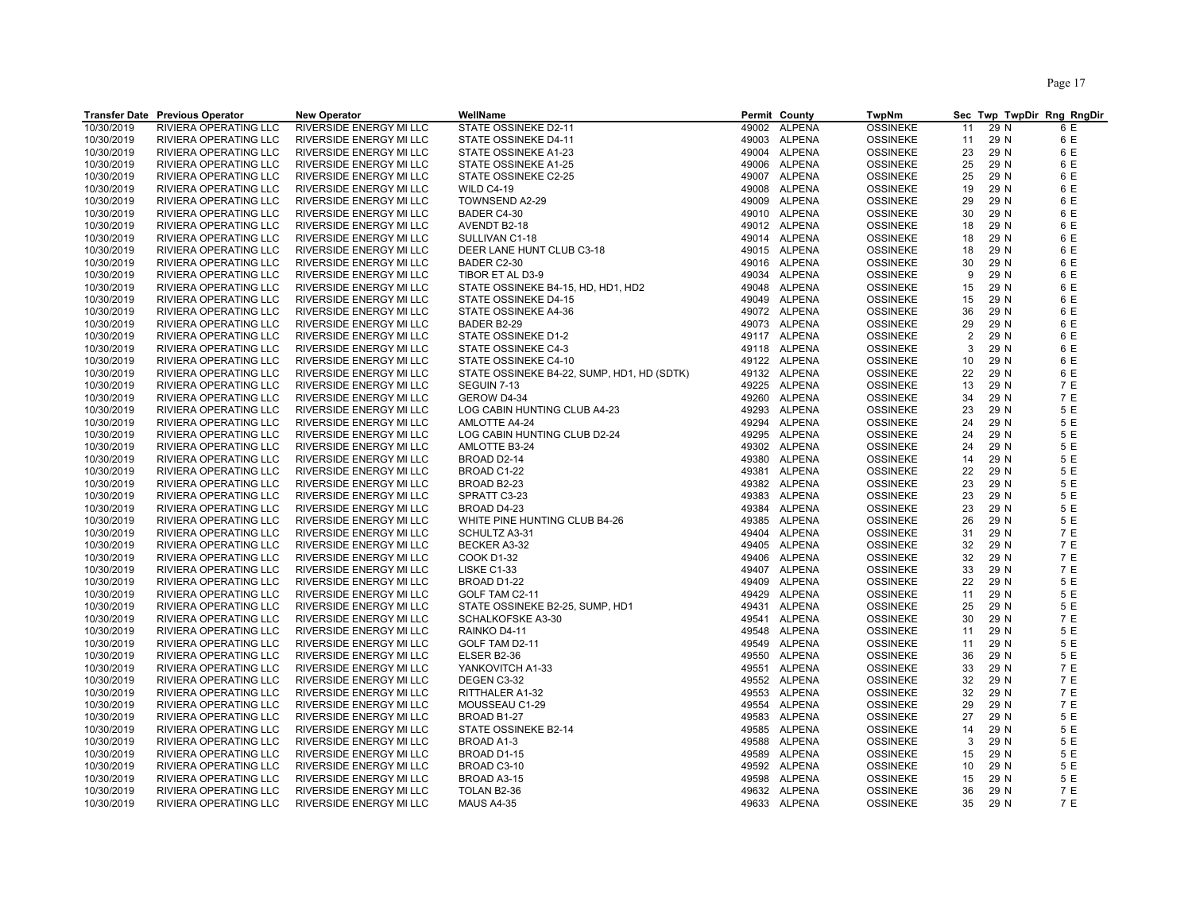Page 17

|            | <b>Transfer Date Previous Operator</b> | <b>New Operator</b>            | WellName                                   | Permit County          | TwpNm           | Sec Twp TwpDir Rng RngDir |            |
|------------|----------------------------------------|--------------------------------|--------------------------------------------|------------------------|-----------------|---------------------------|------------|
| 10/30/2019 | RIVIERA OPERATING LLC                  | RIVERSIDE ENERGY MI LLC        | STATE OSSINEKE D2-11                       | 49002 ALPENA           | <b>OSSINEKE</b> | 29 N<br>11                | 6 E        |
| 10/30/2019 | RIVIERA OPERATING LLC                  | <b>RIVERSIDE ENERGY MI LLC</b> | STATE OSSINEKE D4-11                       | 49003 ALPENA           | <b>OSSINEKE</b> | 29 N<br>11                | 6 E        |
| 10/30/2019 | RIVIERA OPERATING LLC                  | <b>RIVERSIDE ENERGY MI LLC</b> | STATE OSSINEKE A1-23                       | 49004 ALPENA           | <b>OSSINEKE</b> | 23<br>29 N                | 6 E        |
| 10/30/2019 | RIVIERA OPERATING LLC                  | RIVERSIDE ENERGY MI LLC        | STATE OSSINEKE A1-25                       | 49006 ALPENA           | <b>OSSINEKE</b> | 29 N<br>25                | 6 E        |
| 10/30/2019 | RIVIERA OPERATING LLC                  | RIVERSIDE ENERGY MI LLC        | STATE OSSINEKE C2-25                       | 49007 ALPENA           | <b>OSSINEKE</b> | 25<br>29 N                | 6 E        |
| 10/30/2019 | RIVIERA OPERATING LLC                  | <b>RIVERSIDE ENERGY MI LLC</b> | <b>WILD C4-19</b>                          | 49008 ALPENA           | <b>OSSINEKE</b> | 29 N<br>19                | 6 E        |
| 10/30/2019 | RIVIERA OPERATING LLC                  | <b>RIVERSIDE ENERGY MI LLC</b> | TOWNSEND A2-29                             | 49009 ALPENA           | <b>OSSINEKE</b> | 29<br>29 N                | 6 E        |
| 10/30/2019 | RIVIERA OPERATING LLC                  | RIVERSIDE ENERGY MI LLC        | BADER C4-30                                | 49010 ALPENA           | <b>OSSINEKE</b> | 30<br>29 N                | 6 E        |
| 10/30/2019 | RIVIERA OPERATING LLC                  | RIVERSIDE ENERGY MI LLC        | AVENDT B2-18                               | 49012 ALPENA           | <b>OSSINEKE</b> | 18<br>29 N                | 6 E        |
| 10/30/2019 | RIVIERA OPERATING LLC                  | RIVERSIDE ENERGY MI LLC        | SULLIVAN C1-18                             | 49014 ALPENA           | <b>OSSINEKE</b> | 18<br>29 N                | 6 E        |
| 10/30/2019 | RIVIERA OPERATING LLC                  | <b>RIVERSIDE ENERGY MI LLC</b> | DEER LANE HUNT CLUB C3-18                  | 49015 ALPENA           | <b>OSSINEKE</b> | 18<br>29 N                | 6 E        |
| 10/30/2019 | RIVIERA OPERATING LLC                  | <b>RIVERSIDE ENERGY MI LLC</b> |                                            | 49016 ALPENA           | <b>OSSINEKE</b> | 29 N<br>30                | 6 E        |
|            |                                        |                                | BADER C2-30                                |                        |                 |                           | 6 E        |
| 10/30/2019 | RIVIERA OPERATING LLC                  | RIVERSIDE ENERGY MI LLC        | TIBOR ET AL D3-9                           | 49034 ALPENA           | <b>OSSINEKE</b> | 9<br>29 N                 |            |
| 10/30/2019 | RIVIERA OPERATING LLC                  | RIVERSIDE ENERGY MI LLC        | STATE OSSINEKE B4-15, HD, HD1, HD2         | 49048 ALPENA           | <b>OSSINEKE</b> | 15<br>29 N                | 6 E        |
| 10/30/2019 | RIVIERA OPERATING LLC                  | RIVERSIDE ENERGY MI LLC        | STATE OSSINEKE D4-15                       | 49049 ALPENA           | <b>OSSINEKE</b> | 29 N<br>15                | 6 E        |
| 10/30/2019 | RIVIERA OPERATING LLC                  | RIVERSIDE ENERGY MI LLC        | STATE OSSINEKE A4-36                       | 49072 ALPENA           | <b>OSSINEKE</b> | 29 N<br>36                | 6 E        |
| 10/30/2019 | <b>RIVIERA OPERATING LLC</b>           | <b>RIVERSIDE ENERGY MI LLC</b> | BADER B2-29                                | 49073 ALPENA           | <b>OSSINEKE</b> | 29<br>29 N                | 6 E        |
| 10/30/2019 | RIVIERA OPERATING LLC                  | <b>RIVERSIDE ENERGY MI LLC</b> | STATE OSSINEKE D1-2                        | 49117 ALPENA           | <b>OSSINEKE</b> | 2<br>29 N                 | 6 E        |
| 10/30/2019 | RIVIERA OPERATING LLC                  | RIVERSIDE ENERGY MI LLC        | STATE OSSINEKE C4-3                        | 49118 ALPENA           | <b>OSSINEKE</b> | 29 N<br>3                 | 6 E        |
| 10/30/2019 | RIVIERA OPERATING LLC                  | <b>RIVERSIDE ENERGY MI LLC</b> | STATE OSSINEKE C4-10                       | 49122 ALPENA           | <b>OSSINEKE</b> | 10<br>29 N                | 6 E        |
| 10/30/2019 | RIVIERA OPERATING LLC                  | RIVERSIDE ENERGY MI LLC        | STATE OSSINEKE B4-22, SUMP, HD1, HD (SDTK) | 49132 ALPENA           | <b>OSSINEKE</b> | 29 N<br>22                | 6 E        |
| 10/30/2019 | RIVIERA OPERATING LLC                  | RIVERSIDE ENERGY MI LLC        | SEGUIN 7-13                                | 49225 ALPENA           | <b>OSSINEKE</b> | 29 N<br>13                | 7 E        |
| 10/30/2019 | RIVIERA OPERATING LLC                  | <b>RIVERSIDE ENERGY MI LLC</b> | GEROW D4-34                                | 49260 ALPENA           | <b>OSSINEKE</b> | 34<br>29 N                | 7 E        |
| 10/30/2019 | RIVIERA OPERATING LLC                  | <b>RIVERSIDE ENERGY MI LLC</b> | LOG CABIN HUNTING CLUB A4-23               | 49293 ALPENA           | <b>OSSINEKE</b> | 23<br>29 N                | 5 E        |
| 10/30/2019 | RIVIERA OPERATING LLC                  | RIVERSIDE ENERGY MI LLC        | AMLOTTE A4-24                              | 49294 ALPENA           | <b>OSSINEKE</b> | 29 N<br>24                | 5 E        |
| 10/30/2019 | RIVIERA OPERATING LLC                  | RIVERSIDE ENERGY MI LLC        | LOG CABIN HUNTING CLUB D2-24               | <b>ALPENA</b><br>49295 | <b>OSSINEKE</b> | 24<br>29 N                | 5 E        |
| 10/30/2019 | RIVIERA OPERATING LLC                  | RIVERSIDE ENERGY MI LLC        | AMLOTTE B3-24                              | 49302 ALPENA           | <b>OSSINEKE</b> | 24<br>29 N                | 5 E        |
| 10/30/2019 | RIVIERA OPERATING LLC                  | RIVERSIDE ENERGY MI LLC        | BROAD D2-14                                | 49380 ALPENA           | <b>OSSINEKE</b> | 14<br>29 N                | 5 E        |
| 10/30/2019 | RIVIERA OPERATING LLC                  | RIVERSIDE ENERGY MI LLC        | BROAD C1-22                                | 49381 ALPENA           | <b>OSSINEKE</b> | 22<br>29 N                | 5 E        |
| 10/30/2019 | RIVIERA OPERATING LLC                  | RIVERSIDE ENERGY MI LLC        | BROAD B2-23                                | 49382 ALPENA           | <b>OSSINEKE</b> | 29 N<br>23                | 5 E        |
| 10/30/2019 | RIVIERA OPERATING LLC                  | RIVERSIDE ENERGY MI LLC        | SPRATT C3-23                               | 49383 ALPENA           | <b>OSSINEKE</b> | 23<br>29 N                | 5 E        |
| 10/30/2019 | RIVIERA OPERATING LLC                  | RIVERSIDE ENERGY MI LLC        | BROAD D4-23                                | 49384 ALPENA           | <b>OSSINEKE</b> | 23<br>29 N                | 5 E        |
| 10/30/2019 | RIVIERA OPERATING LLC                  | RIVERSIDE ENERGY MI LLC        | WHITE PINE HUNTING CLUB B4-26              | 49385 ALPENA           | <b>OSSINEKE</b> | 29 N<br>26                | 5 E        |
| 10/30/2019 | RIVIERA OPERATING LLC                  | RIVERSIDE ENERGY MI LLC        | SCHULTZ A3-31                              | 49404 ALPENA           | <b>OSSINEKE</b> | 29 N<br>31                | 7 E        |
| 10/30/2019 | RIVIERA OPERATING LLC                  | RIVERSIDE ENERGY MI LLC        | BECKER A3-32                               | 49405 ALPENA           | <b>OSSINEKE</b> | 29 N<br>32                | 7 E        |
| 10/30/2019 | RIVIERA OPERATING LLC                  | RIVERSIDE ENERGY MI LLC        | <b>COOK D1-32</b>                          | 49406 ALPENA           | <b>OSSINEKE</b> | 32<br>29 N                | 7 E        |
| 10/30/2019 | RIVIERA OPERATING LLC                  | RIVERSIDE ENERGY MI LLC        | LISKE C1-33                                | 49407 ALPENA           | <b>OSSINEKE</b> | 33<br>29 N                | 7 E        |
| 10/30/2019 | RIVIERA OPERATING LLC                  | RIVERSIDE ENERGY MI LLC        | BROAD D1-22                                | 49409 ALPENA           | <b>OSSINEKE</b> | 29 N<br>22                | 5 E        |
| 10/30/2019 | RIVIERA OPERATING LLC                  | RIVERSIDE ENERGY MI LLC        | GOLF TAM C2-11                             | 49429 ALPENA           | <b>OSSINEKE</b> | 29 N<br>11                | 5 E        |
| 10/30/2019 | RIVIERA OPERATING LLC                  | <b>RIVERSIDE ENERGY MI LLC</b> | STATE OSSINEKE B2-25, SUMP, HD1            | 49431 ALPENA           | <b>OSSINEKE</b> | 25<br>29 N                | 5 E        |
| 10/30/2019 | RIVIERA OPERATING LLC                  | RIVERSIDE ENERGY MI LLC        | <b>SCHALKOFSKE A3-30</b>                   | 49541 ALPENA           | <b>OSSINEKE</b> | 30<br>29 N                | 7 E        |
| 10/30/2019 | RIVIERA OPERATING LLC                  | RIVERSIDE ENERGY MI LLC        | RAINKO D4-11                               | <b>ALPENA</b><br>49548 | <b>OSSINEKE</b> | 29 N<br>11                | 5 E        |
| 10/30/2019 | RIVIERA OPERATING LLC                  | RIVERSIDE ENERGY MI LLC        | GOLF TAM D2-11                             | 49549 ALPENA           | <b>OSSINEKE</b> | 29 N<br>11                | 5 E        |
| 10/30/2019 | RIVIERA OPERATING LLC                  | RIVERSIDE ENERGY MI LLC        | ELSER B2-36                                | 49550 ALPENA           | <b>OSSINEKE</b> | 36<br>29 N                | 5 E        |
| 10/30/2019 | RIVIERA OPERATING LLC                  | RIVERSIDE ENERGY MI LLC        | YANKOVITCH A1-33                           | 49551 ALPENA           | <b>OSSINEKE</b> | 33<br>29 N                | 7 E        |
| 10/30/2019 | RIVIERA OPERATING LLC                  | <b>RIVERSIDE ENERGY MI LLC</b> | DEGEN C3-32                                | 49552 ALPENA           | <b>OSSINEKE</b> | 32<br>29 N                | 7 E        |
| 10/30/2019 | RIVIERA OPERATING LLC                  | RIVERSIDE ENERGY MI LLC        | RITTHALER A1-32                            | 49553 ALPENA           | <b>OSSINEKE</b> | 29 N<br>32                | 7 E        |
| 10/30/2019 | RIVIERA OPERATING LLC                  | RIVERSIDE ENERGY MI LLC        | MOUSSEAU C1-29                             | 49554 ALPENA           | <b>OSSINEKE</b> | 29<br>29 N                | 7 E        |
| 10/30/2019 | RIVIERA OPERATING LLC                  | RIVERSIDE ENERGY MI LLC        | BROAD B1-27                                | 49583 ALPENA           | <b>OSSINEKE</b> | 29 N<br>27                | 5 E        |
| 10/30/2019 | RIVIERA OPERATING LLC                  | RIVERSIDE ENERGY MI LLC        | STATE OSSINEKE B2-14                       | 49585 ALPENA           | <b>OSSINEKE</b> | 29 N<br>14                | 5 E        |
| 10/30/2019 | RIVIERA OPERATING LLC                  | RIVERSIDE ENERGY MI LLC        | BROAD A1-3                                 | 49588 ALPENA           | <b>OSSINEKE</b> | 3<br>29 N                 | 5 E        |
| 10/30/2019 | RIVIERA OPERATING LLC                  | RIVERSIDE ENERGY MI LLC        | BROAD D1-15                                | 49589<br>ALPENA        | <b>OSSINEKE</b> | 15<br>29 N                | 5 E        |
| 10/30/2019 | RIVIERA OPERATING LLC                  | RIVERSIDE ENERGY MI LLC        | BROAD C3-10                                | 49592 ALPENA           | <b>OSSINEKE</b> | 10<br>29 N                | 5 E        |
| 10/30/2019 | RIVIERA OPERATING LLC                  | RIVERSIDE ENERGY MI LLC        | BROAD A3-15                                | <b>ALPENA</b><br>49598 | <b>OSSINEKE</b> | 29 N<br>15                | 5 E        |
|            |                                        |                                |                                            |                        |                 |                           |            |
| 10/30/2019 | RIVIERA OPERATING LLC                  | RIVERSIDE ENERGY MI LLC        | TOLAN B2-36                                | 49632 ALPENA           | <b>OSSINEKE</b> | 36<br>29 N                | 7 E<br>7 E |
| 10/30/2019 | RIVIERA OPERATING LLC                  | RIVERSIDE ENERGY MI LLC        | <b>MAUS A4-35</b>                          | 49633 ALPENA           | <b>OSSINEKE</b> | 35<br>29 N                |            |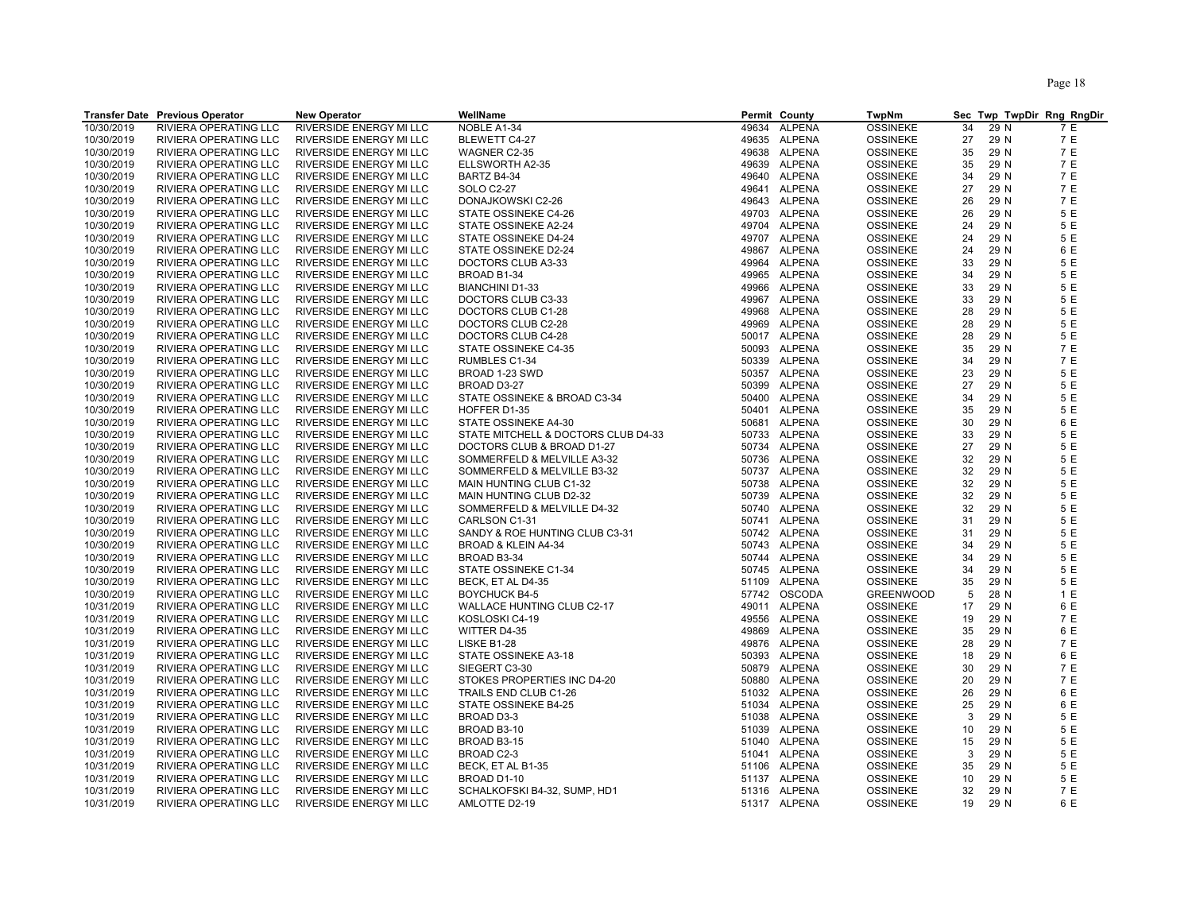Page 18

|            | <b>Transfer Date Previous Operator</b> | <b>New Operator</b>            | WellName                            | Permit County          | TwpNm            | Sec Twp TwpDir Rng RngDir |     |
|------------|----------------------------------------|--------------------------------|-------------------------------------|------------------------|------------------|---------------------------|-----|
| 10/30/2019 | <b>RIVIERA OPERATING LLC</b>           | RIVERSIDE ENERGY MI LLC        | NOBLE A1-34                         | <b>ALPENA</b><br>49634 | <b>OSSINEKE</b>  | 34<br>29 N                | 7 E |
| 10/30/2019 | RIVIERA OPERATING LLC                  | RIVERSIDE ENERGY MI LLC        | BLEWETT C4-27                       | 49635 ALPENA           | <b>OSSINEKE</b>  | 27<br>29 N                | 7 E |
| 10/30/2019 | RIVIERA OPERATING LLC                  | RIVERSIDE ENERGY MI LLC        | WAGNER C2-35                        | 49638 ALPENA           | <b>OSSINEKE</b>  | 29 N<br>35                | 7 E |
| 10/30/2019 | RIVIERA OPERATING LLC                  | RIVERSIDE ENERGY MI LLC        | ELLSWORTH A2-35                     | 49639 ALPENA           | <b>OSSINEKE</b>  | 35<br>29 N                | 7 E |
| 10/30/2019 | <b>RIVIERA OPERATING LLC</b>           | <b>RIVERSIDE ENERGY MI LLC</b> | BARTZ B4-34                         | 49640 ALPENA           | <b>OSSINEKE</b>  | 34<br>29 N                | 7 E |
| 10/30/2019 | RIVIERA OPERATING LLC                  | RIVERSIDE ENERGY MI LLC        | <b>SOLO C2-27</b>                   | 49641 ALPENA           | <b>OSSINEKE</b>  | 29 N<br>27                | 7 E |
| 10/30/2019 | RIVIERA OPERATING LLC                  | RIVERSIDE ENERGY MI LLC        | DONAJKOWSKI C2-26                   | 49643 ALPENA           | <b>OSSINEKE</b>  | 26<br>29 N                | 7 E |
| 10/30/2019 | RIVIERA OPERATING LLC                  | RIVERSIDE ENERGY MI LLC        | STATE OSSINEKE C4-26                | 49703 ALPENA           | <b>OSSINEKE</b>  | 26<br>29 N                | 5 E |
| 10/30/2019 | RIVIERA OPERATING LLC                  | RIVERSIDE ENERGY MI LLC        | STATE OSSINEKE A2-24                | 49704 ALPENA           | <b>OSSINEKE</b>  | 29 N<br>24                | 5 E |
| 10/30/2019 | RIVIERA OPERATING LLC                  | RIVERSIDE ENERGY MI LLC        | STATE OSSINEKE D4-24                | 49707 ALPENA           | <b>OSSINEKE</b>  | 29 N<br>24                | 5 E |
| 10/30/2019 | RIVIERA OPERATING LLC                  | RIVERSIDE ENERGY MI LLC        | STATE OSSINEKE D2-24                | 49867 ALPENA           | <b>OSSINEKE</b>  | 24<br>29 N                | 6 E |
| 10/30/2019 | RIVIERA OPERATING LLC                  | RIVERSIDE ENERGY MI LLC        | DOCTORS CLUB A3-33                  | 49964 ALPENA           | <b>OSSINEKE</b>  | 33<br>29 N                | 5 E |
| 10/30/2019 | RIVIERA OPERATING LLC                  | RIVERSIDE ENERGY MI LLC        | BROAD B1-34                         | <b>ALPENA</b><br>49965 | <b>OSSINEKE</b>  | 29 N<br>34                | 5 E |
| 10/30/2019 | RIVIERA OPERATING LLC                  | RIVERSIDE ENERGY MI LLC        | <b>BIANCHINI D1-33</b>              | 49966 ALPENA           | <b>OSSINEKE</b>  | 33<br>29 N                | 5 E |
| 10/30/2019 | RIVIERA OPERATING LLC                  | RIVERSIDE ENERGY MI LLC        | DOCTORS CLUB C3-33                  | 49967 ALPENA           | <b>OSSINEKE</b>  | 33<br>29 N                | 5 E |
| 10/30/2019 | RIVIERA OPERATING LLC                  | RIVERSIDE ENERGY MI LLC        | DOCTORS CLUB C1-28                  | ALPENA<br>49968        | <b>OSSINEKE</b>  | 28<br>29 N                | 5 E |
| 10/30/2019 | RIVIERA OPERATING LLC                  | RIVERSIDE ENERGY MI LLC        | DOCTORS CLUB C2-28                  | 49969 ALPENA           | <b>OSSINEKE</b>  | 28<br>29 N                | 5 E |
| 10/30/2019 | RIVIERA OPERATING LLC                  | RIVERSIDE ENERGY MI LLC        | DOCTORS CLUB C4-28                  | 50017 ALPENA           | <b>OSSINEKE</b>  | 28<br>29 N                | 5 E |
| 10/30/2019 | RIVIERA OPERATING LLC                  | RIVERSIDE ENERGY MI LLC        | STATE OSSINEKE C4-35                | 50093 ALPENA           | <b>OSSINEKE</b>  | 35<br>29 N                | 7 E |
| 10/30/2019 | RIVIERA OPERATING LLC                  | RIVERSIDE ENERGY MI LLC        | RUMBLES C1-34                       | 50339 ALPENA           | <b>OSSINEKE</b>  | 34<br>29 N                | 7 E |
| 10/30/2019 | RIVIERA OPERATING LLC                  | RIVERSIDE ENERGY MI LLC        | BROAD 1-23 SWD                      | 50357 ALPENA           | <b>OSSINEKE</b>  | 23<br>29 N                | 5 E |
| 10/30/2019 | RIVIERA OPERATING LLC                  | RIVERSIDE ENERGY MI LLC        | BROAD D3-27                         | 50399 ALPENA           | <b>OSSINEKE</b>  | 27<br>29 N                | 5 E |
| 10/30/2019 | RIVIERA OPERATING LLC                  | RIVERSIDE ENERGY MI LLC        | STATE OSSINEKE & BROAD C3-34        | 50400 ALPENA           | <b>OSSINEKE</b>  | 29 N<br>34                | 5 E |
| 10/30/2019 | RIVIERA OPERATING LLC                  | RIVERSIDE ENERGY MI LLC        | HOFFER D1-35                        | 50401 ALPENA           | <b>OSSINEKE</b>  | 35<br>29 N                | 5 E |
| 10/30/2019 | RIVIERA OPERATING LLC                  | RIVERSIDE ENERGY MI LLC        | STATE OSSINEKE A4-30                | 50681 ALPENA           | <b>OSSINEKE</b>  | 30<br>29 N                | 6 E |
| 10/30/2019 | RIVIERA OPERATING LLC                  | RIVERSIDE ENERGY MI LLC        | STATE MITCHELL & DOCTORS CLUB D4-33 | 50733 ALPENA           | <b>OSSINEKE</b>  | 29 N<br>33                | 5 E |
| 10/30/2019 | RIVIERA OPERATING LLC                  | RIVERSIDE ENERGY MI LLC        | DOCTORS CLUB & BROAD D1-27          | 50734 ALPENA           | <b>OSSINEKE</b>  | 27<br>29 N                | 5 E |
| 10/30/2019 | RIVIERA OPERATING LLC                  | RIVERSIDE ENERGY MI LLC        | SOMMERFELD & MELVILLE A3-32         | 50736 ALPENA           | <b>OSSINEKE</b>  | 32<br>29 N                | 5 E |
| 10/30/2019 | RIVIERA OPERATING LLC                  | RIVERSIDE ENERGY MI LLC        | SOMMERFELD & MELVILLE B3-32         | 50737 ALPENA           | <b>OSSINEKE</b>  | 32<br>29 N                | 5 E |
| 10/30/2019 | RIVIERA OPERATING LLC                  | RIVERSIDE ENERGY MI LLC        | MAIN HUNTING CLUB C1-32             | 50738 ALPENA           | <b>OSSINEKE</b>  | 32<br>29 N                | 5 E |
| 10/30/2019 | RIVIERA OPERATING LLC                  | RIVERSIDE ENERGY MI LLC        | MAIN HUNTING CLUB D2-32             | 50739 ALPENA           | <b>OSSINEKE</b>  | 32<br>29 N                | 5 E |
| 10/30/2019 | RIVIERA OPERATING LLC                  | RIVERSIDE ENERGY MI LLC        | SOMMERFELD & MELVILLE D4-32         | 50740 ALPENA           | <b>OSSINEKE</b>  | 32<br>29 N                | 5 E |
| 10/30/2019 | RIVIERA OPERATING LLC                  | RIVERSIDE ENERGY MI LLC        | CARLSON C1-31                       | 50741 ALPENA           | <b>OSSINEKE</b>  | 31<br>29 N                | 5 E |
| 10/30/2019 | RIVIERA OPERATING LLC                  | RIVERSIDE ENERGY MI LLC        | SANDY & ROE HUNTING CLUB C3-31      | 50742 ALPENA           | <b>OSSINEKE</b>  | 29 N<br>31                | 5 E |
| 10/30/2019 | RIVIERA OPERATING LLC                  | RIVERSIDE ENERGY MI LLC        | BROAD & KLEIN A4-34                 | 50743 ALPENA           | <b>OSSINEKE</b>  | 29 N<br>34                | 5 E |
| 10/30/2019 | RIVIERA OPERATING LLC                  | RIVERSIDE ENERGY MI LLC        | BROAD B3-34                         | 50744 ALPENA           | <b>OSSINEKE</b>  | 29 N<br>34                | 5 E |
| 10/30/2019 | RIVIERA OPERATING LLC                  | RIVERSIDE ENERGY MI LLC        | STATE OSSINEKE C1-34                | 50745 ALPENA           | <b>OSSINEKE</b>  | 29 N<br>34                | 5 E |
| 10/30/2019 | RIVIERA OPERATING LLC                  | RIVERSIDE ENERGY MI LLC        | BECK, ET AL D4-35                   | 51109 ALPENA           | <b>OSSINEKE</b>  | 29 N<br>35                | 5 E |
| 10/30/2019 | RIVIERA OPERATING LLC                  | RIVERSIDE ENERGY MI LLC        | <b>BOYCHUCK B4-5</b>                | 57742 OSCODA           | <b>GREENWOOD</b> | 5<br>28 N                 | 1 E |
| 10/31/2019 | RIVIERA OPERATING LLC                  | RIVERSIDE ENERGY MI LLC        | WALLACE HUNTING CLUB C2-17          | 49011 ALPENA           | <b>OSSINEKE</b>  | 17<br>29 N                | 6 E |
| 10/31/2019 | RIVIERA OPERATING LLC                  | RIVERSIDE ENERGY MI LLC        | KOSLOSKI C4-19                      | 49556 ALPENA           | <b>OSSINEKE</b>  | 19<br>29 N                | 7 E |
| 10/31/2019 | RIVIERA OPERATING LLC                  | RIVERSIDE ENERGY MI LLC        | WITTER D4-35                        | 49869<br>ALPENA        | <b>OSSINEKE</b>  | 29 N<br>35                | 6 E |
| 10/31/2019 | RIVIERA OPERATING LLC                  | RIVERSIDE ENERGY MI LLC        | LISKE B1-28                         | 49876 ALPENA           | <b>OSSINEKE</b>  | 28<br>29 N                | 7 E |
| 10/31/2019 | RIVIERA OPERATING LLC                  | RIVERSIDE ENERGY MI LLC        | STATE OSSINEKE A3-18                | 50393 ALPENA           | <b>OSSINEKE</b>  | 18<br>29 N                | 6 E |
| 10/31/2019 | RIVIERA OPERATING LLC                  | RIVERSIDE ENERGY MI LLC        | SIEGERT C3-30                       | 50879 ALPENA           | <b>OSSINEKE</b>  | 30<br>29 N                | 7 E |
| 10/31/2019 | RIVIERA OPERATING LLC                  | RIVERSIDE ENERGY MI LLC        | STOKES PROPERTIES INC D4-20         | 50880 ALPENA           | <b>OSSINEKE</b>  | 20<br>29 N                | 7 E |
| 10/31/2019 | RIVIERA OPERATING LLC                  | RIVERSIDE ENERGY MI LLC        | TRAILS END CLUB C1-26               | 51032 ALPENA           | <b>OSSINEKE</b>  | 26<br>29 N                | 6 E |
| 10/31/2019 | RIVIERA OPERATING LLC                  | RIVERSIDE ENERGY MI LLC        | STATE OSSINEKE B4-25                | 51034 ALPENA           | <b>OSSINEKE</b>  | 25<br>29 N                | 6 E |
| 10/31/2019 | RIVIERA OPERATING LLC                  | RIVERSIDE ENERGY MI LLC        | BROAD D3-3                          | 51038 ALPENA           | <b>OSSINEKE</b>  | 3<br>29 N                 | 5 E |
| 10/31/2019 | RIVIERA OPERATING LLC                  | RIVERSIDE ENERGY MI LLC        | BROAD B3-10                         | 51039 ALPENA           | <b>OSSINEKE</b>  | 10<br>29 N                | 5 E |
| 10/31/2019 | RIVIERA OPERATING LLC                  | RIVERSIDE ENERGY MI LLC        | BROAD B3-15                         | 51040 ALPENA           | <b>OSSINEKE</b>  | 29 N<br>15                | 5 E |
| 10/31/2019 | RIVIERA OPERATING LLC                  | RIVERSIDE ENERGY MI LLC        | BROAD C2-3                          | 51041 ALPENA           | <b>OSSINEKE</b>  | 3<br>29 N                 | 5 E |
| 10/31/2019 | RIVIERA OPERATING LLC                  | RIVERSIDE ENERGY MI LLC        | BECK, ET AL B1-35                   | 51106 ALPENA           | <b>OSSINEKE</b>  | 35<br>29 N                | 5 E |
| 10/31/2019 | RIVIERA OPERATING LLC                  | RIVERSIDE ENERGY MI LLC        | BROAD D1-10                         | 51137 ALPENA           | <b>OSSINEKE</b>  | 29 N<br>10                | 5 E |
| 10/31/2019 | <b>RIVIERA OPERATING LLC</b>           | <b>RIVERSIDE ENERGY MI LLC</b> | SCHALKOFSKI B4-32, SUMP, HD1        | 51316 ALPENA           | <b>OSSINEKE</b>  | 32<br>29 N                | 7 E |
| 10/31/2019 | RIVIERA OPERATING LLC                  | RIVERSIDE ENERGY MI LLC        | AMLOTTE D2-19                       | 51317 ALPENA           | <b>OSSINEKE</b>  | 19<br>29 N                | 6 E |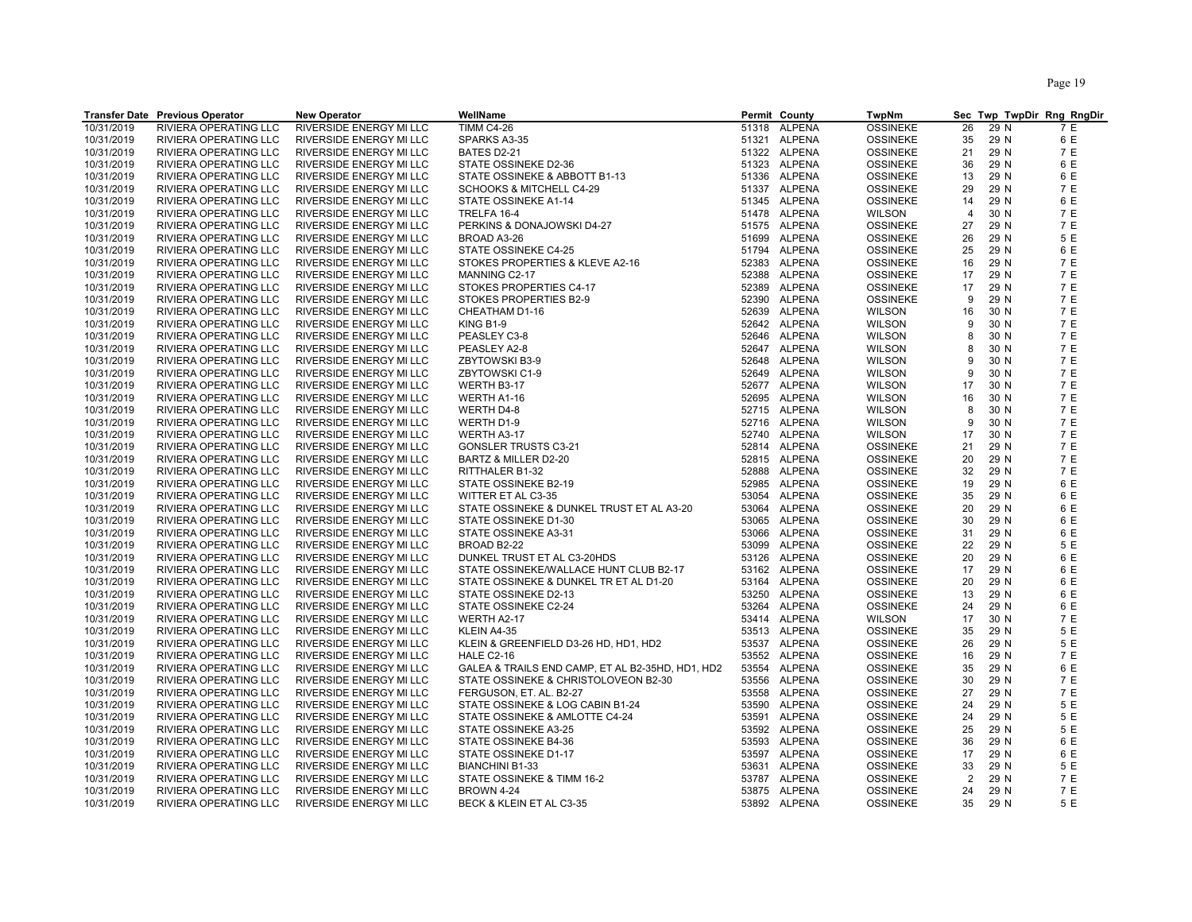|            | <b>Transfer Date Previous Operator</b> | <b>New Operator</b>            | WellName                                         |       | <b>Permit County</b> | <b>TwpNm</b>    |                |      | Sec Twp TwpDir Rng RngDir |
|------------|----------------------------------------|--------------------------------|--------------------------------------------------|-------|----------------------|-----------------|----------------|------|---------------------------|
| 10/31/2019 | RIVIERA OPERATING LLC                  | RIVERSIDE ENERGY MI LLC        | <b>TIMM C4-26</b>                                | 51318 | ALPENA               | <b>OSSINEKE</b> | 26             | 29 N | 7 E                       |
| 10/31/2019 | RIVIERA OPERATING LLC                  | RIVERSIDE ENERGY MI LLC        | SPARKS A3-35                                     |       | 51321 ALPENA         | <b>OSSINEKE</b> | 35             | 29 N | 6 E                       |
| 10/31/2019 | RIVIERA OPERATING LLC                  | RIVERSIDE ENERGY MI LLC        | BATES D2-21                                      |       | 51322 ALPENA         | <b>OSSINEKE</b> | 21             | 29 N | 7 E                       |
| 10/31/2019 | RIVIERA OPERATING LLC                  | RIVERSIDE ENERGY MI LLC        | STATE OSSINEKE D2-36                             |       | 51323 ALPENA         | <b>OSSINEKE</b> | 36             | 29 N | 6 E                       |
| 10/31/2019 | RIVIERA OPERATING LLC                  | RIVERSIDE ENERGY MI LLC        | STATE OSSINEKE & ABBOTT B1-13                    |       | 51336 ALPENA         | <b>OSSINEKE</b> | 13             | 29 N | 6 E                       |
| 10/31/2019 | RIVIERA OPERATING LLC                  | RIVERSIDE ENERGY MI LLC        | <b>SCHOOKS &amp; MITCHELL C4-29</b>              |       | 51337 ALPENA         | <b>OSSINEKE</b> | 29             | 29 N | 7 E                       |
| 10/31/2019 | RIVIERA OPERATING LLC                  | RIVERSIDE ENERGY MI LLC        | STATE OSSINEKE A1-14                             |       | 51345 ALPENA         | <b>OSSINEKE</b> | 14             | 29 N | 6 E                       |
| 10/31/2019 | RIVIERA OPERATING LLC                  | RIVERSIDE ENERGY MI LLC        | TRELFA 16-4                                      |       | 51478 ALPENA         | <b>WILSON</b>   | $\overline{4}$ | 30 N | 7 E                       |
| 10/31/2019 | RIVIERA OPERATING LLC                  | RIVERSIDE ENERGY MI LLC        | PERKINS & DONAJOWSKI D4-27                       |       | 51575 ALPENA         | <b>OSSINEKE</b> | 27             | 29 N | 7 E                       |
| 10/31/2019 | RIVIERA OPERATING LLC                  | RIVERSIDE ENERGY MI LLC        | BROAD A3-26                                      | 51699 | ALPENA               | <b>OSSINEKE</b> | 26             | 29 N | 5 E                       |
| 10/31/2019 | RIVIERA OPERATING LLC                  | RIVERSIDE ENERGY MI LLC        | STATE OSSINEKE C4-25                             |       | 51794 ALPENA         | <b>OSSINEKE</b> | 25             | 29 N | 6 E                       |
| 10/31/2019 |                                        |                                | STOKES PROPERTIES & KLEVE A2-16                  |       | 52383 ALPENA         |                 | 16             |      | 7 E                       |
|            | RIVIERA OPERATING LLC                  | RIVERSIDE ENERGY MI LLC        |                                                  |       |                      | <b>OSSINEKE</b> |                | 29 N | 7 E                       |
| 10/31/2019 | RIVIERA OPERATING LLC                  | RIVERSIDE ENERGY MI LLC        | MANNING C2-17                                    | 52388 | ALPENA               | <b>OSSINEKE</b> | 17             | 29 N |                           |
| 10/31/2019 | RIVIERA OPERATING LLC                  | RIVERSIDE ENERGY MI LLC        | STOKES PROPERTIES C4-17                          |       | 52389 ALPENA         | <b>OSSINEKE</b> | 17             | 29 N | 7 E<br>7 E                |
| 10/31/2019 | RIVIERA OPERATING LLC                  | RIVERSIDE ENERGY MI LLC        | STOKES PROPERTIES B2-9                           | 52390 | ALPENA               | <b>OSSINEKE</b> | 9              | 29 N |                           |
| 10/31/2019 | RIVIERA OPERATING LLC                  | RIVERSIDE ENERGY MI LLC        | CHEATHAM D1-16                                   | 52639 | <b>ALPENA</b>        | <b>WILSON</b>   | 16             | 30 N | 7 E                       |
| 10/31/2019 | RIVIERA OPERATING LLC                  | RIVERSIDE ENERGY MI LLC        | KING B1-9                                        |       | 52642 ALPENA         | <b>WILSON</b>   | 9              | 30 N | 7 E                       |
| 10/31/2019 | RIVIERA OPERATING LLC                  | RIVERSIDE ENERGY MI LLC        | PEASLEY C3-8                                     |       | 52646 ALPENA         | <b>WILSON</b>   | 8              | 30 N | 7 E                       |
| 10/31/2019 | RIVIERA OPERATING LLC                  | RIVERSIDE ENERGY MI LLC        | PEASLEY A2-8                                     |       | 52647 ALPENA         | <b>WILSON</b>   | 8              | 30 N | 7 E                       |
| 10/31/2019 | RIVIERA OPERATING LLC                  | RIVERSIDE ENERGY MI LLC        | ZBYTOWSKI B3-9                                   |       | 52648 ALPENA         | <b>WILSON</b>   | 9              | 30 N | 7 E                       |
| 10/31/2019 | RIVIERA OPERATING LLC                  | RIVERSIDE ENERGY MI LLC        | ZBYTOWSKI C1-9                                   |       | 52649 ALPENA         | <b>WILSON</b>   | 9              | 30 N | 7 E                       |
| 10/31/2019 | RIVIERA OPERATING LLC                  | RIVERSIDE ENERGY MI LLC        | WERTH B3-17                                      |       | 52677 ALPENA         | <b>WILSON</b>   | 17             | 30 N | 7 E                       |
| 10/31/2019 | RIVIERA OPERATING LLC                  | RIVERSIDE ENERGY MI LLC        | WERTH A1-16                                      |       | 52695 ALPENA         | <b>WILSON</b>   | 16             | 30 N | 7 E                       |
| 10/31/2019 | RIVIERA OPERATING LLC                  | RIVERSIDE ENERGY MI LLC        | WERTH D4-8                                       |       | 52715 ALPENA         | <b>WILSON</b>   | 8              | 30 N | 7 E                       |
| 10/31/2019 | RIVIERA OPERATING LLC                  | RIVERSIDE ENERGY MI LLC        | WERTH D1-9                                       |       | 52716 ALPENA         | <b>WILSON</b>   | 9              | 30 N | 7 E                       |
| 10/31/2019 | RIVIERA OPERATING LLC                  | RIVERSIDE ENERGY MI LLC        | WERTH A3-17                                      | 52740 | ALPENA               | <b>WILSON</b>   | 17             | 30 N | 7 E                       |
| 10/31/2019 | RIVIERA OPERATING LLC                  | RIVERSIDE ENERGY MI LLC        | <b>GONSLER TRUSTS C3-21</b>                      |       | 52814 ALPENA         | <b>OSSINEKE</b> | 21             | 29 N | 7 E                       |
| 10/31/2019 | RIVIERA OPERATING LLC                  | RIVERSIDE ENERGY MI LLC        | BARTZ & MILLER D2-20                             |       | 52815 ALPENA         | <b>OSSINEKE</b> | 20             | 29 N | 7 E                       |
| 10/31/2019 | RIVIERA OPERATING LLC                  | RIVERSIDE ENERGY MI LLC        | RITTHALER B1-32                                  | 52888 | <b>ALPENA</b>        | <b>OSSINEKE</b> | 32             | 29 N | 7 E                       |
| 10/31/2019 | RIVIERA OPERATING LLC                  | RIVERSIDE ENERGY MI LLC        | STATE OSSINEKE B2-19                             | 52985 | ALPENA               | <b>OSSINEKE</b> | 19             | 29 N | 6 E                       |
| 10/31/2019 | RIVIERA OPERATING LLC                  | RIVERSIDE ENERGY MI LLC        | WITTER ET AL C3-35                               |       | 53054 ALPENA         | <b>OSSINEKE</b> | 35             | 29 N | 6 E                       |
| 10/31/2019 | RIVIERA OPERATING LLC                  | RIVERSIDE ENERGY MI LLC        | STATE OSSINEKE & DUNKEL TRUST ET AL A3-20        |       | 53064 ALPENA         | <b>OSSINEKE</b> | 20             | 29 N | 6 E                       |
| 10/31/2019 | RIVIERA OPERATING LLC                  | RIVERSIDE ENERGY MI LLC        | STATE OSSINEKE D1-30                             |       | 53065 ALPENA         | <b>OSSINEKE</b> | 30             | 29 N | 6 E                       |
| 10/31/2019 | RIVIERA OPERATING LLC                  | RIVERSIDE ENERGY MI LLC        | STATE OSSINEKE A3-31                             |       | 53066 ALPENA         | <b>OSSINEKE</b> | 31             | 29 N | 6 E                       |
| 10/31/2019 | RIVIERA OPERATING LLC                  | RIVERSIDE ENERGY MI LLC        | BROAD B2-22                                      | 53099 | ALPENA               | <b>OSSINEKE</b> | 22             | 29 N | 5 E                       |
| 10/31/2019 | RIVIERA OPERATING LLC                  | RIVERSIDE ENERGY MI LLC        | DUNKEL TRUST ET AL C3-20HDS                      |       | 53126 ALPENA         | <b>OSSINEKE</b> | 20             | 29 N | 6 E                       |
| 10/31/2019 | RIVIERA OPERATING LLC                  | RIVERSIDE ENERGY MI LLC        | STATE OSSINEKE/WALLACE HUNT CLUB B2-17           |       | 53162 ALPENA         | <b>OSSINEKE</b> | 17             | 29 N | 6 E                       |
| 10/31/2019 | RIVIERA OPERATING LLC                  | RIVERSIDE ENERGY MI LLC        | STATE OSSINEKE & DUNKEL TR ET AL D1-20           |       | 53164 ALPENA         | <b>OSSINEKE</b> | 20             | 29 N | 6 E                       |
| 10/31/2019 | RIVIERA OPERATING LLC                  | RIVERSIDE ENERGY MI LLC        | STATE OSSINEKE D2-13                             | 53250 | ALPENA               | <b>OSSINEKE</b> | 13             | 29 N | 6 E                       |
| 10/31/2019 | RIVIERA OPERATING LLC                  | RIVERSIDE ENERGY MI LLC        | STATE OSSINEKE C2-24                             |       | 53264 ALPENA         | <b>OSSINEKE</b> | 24             | 29 N | 6 E                       |
| 10/31/2019 | RIVIERA OPERATING LLC                  | RIVERSIDE ENERGY MI LLC        | WERTH A2-17                                      |       | 53414 ALPENA         | <b>WILSON</b>   | 17             | 30 N | 7 E                       |
| 10/31/2019 | RIVIERA OPERATING LLC                  | RIVERSIDE ENERGY MI LLC        | KLEIN A4-35                                      |       | 53513 ALPENA         | <b>OSSINEKE</b> | 35             | 29 N | 5 E                       |
| 10/31/2019 | RIVIERA OPERATING LLC                  | RIVERSIDE ENERGY MI LLC        | KLEIN & GREENFIELD D3-26 HD, HD1, HD2            |       | 53537 ALPENA         | <b>OSSINEKE</b> | 26             | 29 N | 5 E                       |
| 10/31/2019 | RIVIERA OPERATING LLC                  | RIVERSIDE ENERGY MI LLC        | <b>HALE C2-16</b>                                |       | 53552 ALPENA         | <b>OSSINEKE</b> | 16             | 29 N | 7 E                       |
| 10/31/2019 | RIVIERA OPERATING LLC                  | RIVERSIDE ENERGY MI LLC        | GALEA & TRAILS END CAMP, ET AL B2-35HD, HD1, HD2 |       | 53554 ALPENA         | <b>OSSINEKE</b> | 35             | 29 N | 6 E                       |
| 10/31/2019 | RIVIERA OPERATING LLC                  | RIVERSIDE ENERGY MI LLC        | STATE OSSINEKE & CHRISTOLOVEON B2-30             | 53556 | <b>ALPENA</b>        | <b>OSSINEKE</b> | 30             | 29 N | 7 E                       |
| 10/31/2019 | RIVIERA OPERATING LLC                  | RIVERSIDE ENERGY MI LLC        | FERGUSON, ET. AL. B2-27                          |       | 53558 ALPENA         | <b>OSSINEKE</b> | 27             | 29 N | 7 E                       |
| 10/31/2019 | RIVIERA OPERATING LLC                  | RIVERSIDE ENERGY MI LLC        | STATE OSSINEKE & LOG CABIN B1-24                 | 53590 | ALPENA               | <b>OSSINEKE</b> | 24             | 29 N | 5 E                       |
| 10/31/2019 | RIVIERA OPERATING LLC                  | RIVERSIDE ENERGY MI LLC        | STATE OSSINEKE & AMLOTTE C4-24                   | 53591 | ALPENA               | <b>OSSINEKE</b> | 24             | 29 N | 5 E                       |
| 10/31/2019 | RIVIERA OPERATING LLC                  | RIVERSIDE ENERGY MI LLC        | STATE OSSINEKE A3-25                             |       | 53592 ALPENA         | <b>OSSINEKE</b> | 25             | 29 N | 5 E                       |
| 10/31/2019 | RIVIERA OPERATING LLC                  | RIVERSIDE ENERGY MI LLC        | STATE OSSINEKE B4-36                             | 53593 | ALPENA               | <b>OSSINEKE</b> | 36             | 29 N | 6 E                       |
| 10/31/2019 | RIVIERA OPERATING LLC                  | RIVERSIDE ENERGY MI LLC        | STATE OSSINEKE D1-17                             | 53597 | ALPENA               | <b>OSSINEKE</b> | 17             | 29 N | 6 E                       |
| 10/31/2019 | RIVIERA OPERATING LLC                  | RIVERSIDE ENERGY MI LLC        | <b>BIANCHINI B1-33</b>                           |       | 53631 ALPENA         | <b>OSSINEKE</b> | 33             | 29 N | 5 E                       |
| 10/31/2019 | RIVIERA OPERATING LLC                  | RIVERSIDE ENERGY MI LLC        | STATE OSSINEKE & TIMM 16-2                       |       | 53787 ALPENA         | <b>OSSINEKE</b> | $\overline{2}$ | 29 N | 7 E                       |
| 10/31/2019 | RIVIERA OPERATING LLC                  | <b>RIVERSIDE ENERGY MI LLC</b> | <b>BROWN 4-24</b>                                | 53875 | <b>ALPENA</b>        | <b>OSSINEKE</b> | 24             | 29 N | 7 E                       |
| 10/31/2019 | RIVIERA OPERATING LLC                  | RIVERSIDE ENERGY MI LLC        | BECK & KLEIN ET AL C3-35                         |       | 53892 ALPENA         | <b>OSSINEKE</b> | 35             | 29 N | 5 E                       |
|            |                                        |                                |                                                  |       |                      |                 |                |      |                           |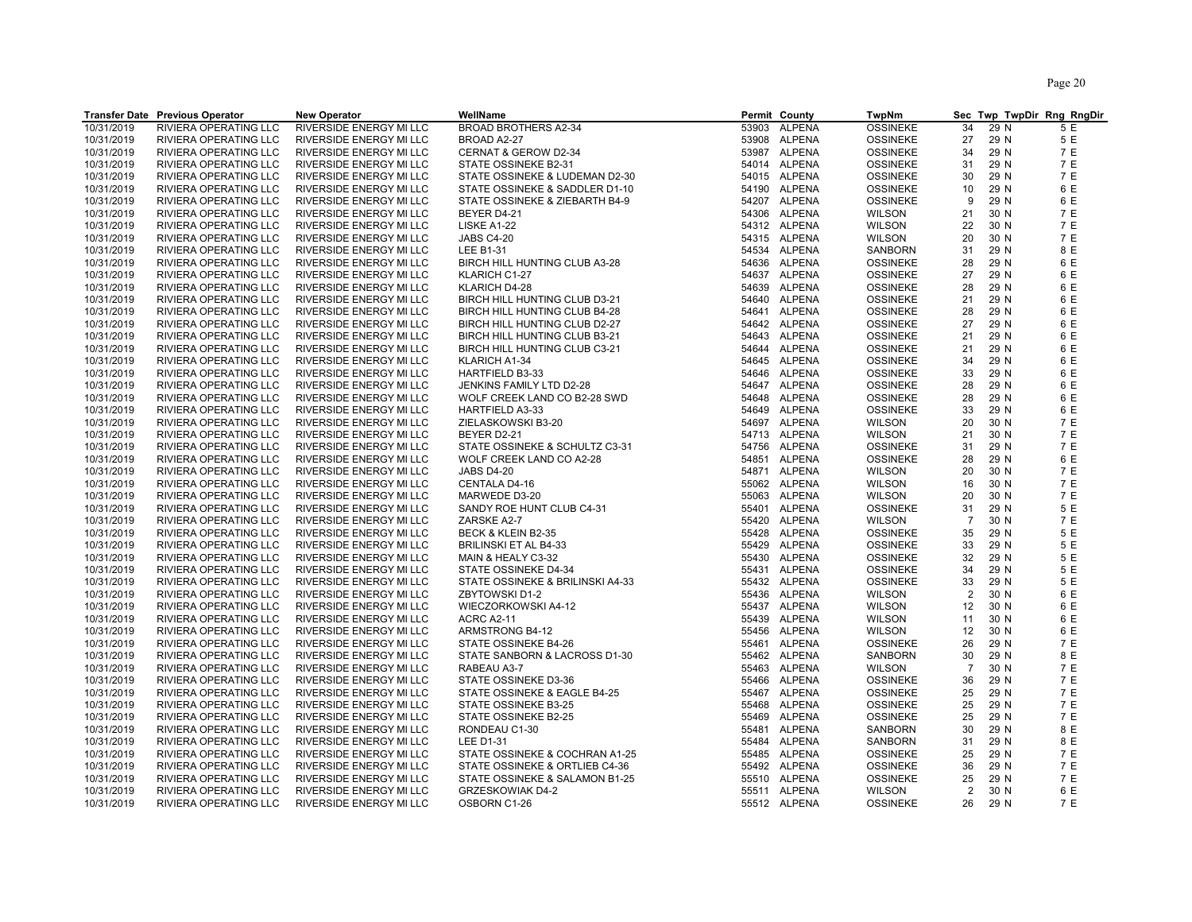|            | <b>Transfer Date Previous Operator</b> | <b>New Operator</b>            | WellName                                           |       | Permit County | <b>TwpNm</b>    |                |      | Sec Twp TwpDir Rng RngDir |
|------------|----------------------------------------|--------------------------------|----------------------------------------------------|-------|---------------|-----------------|----------------|------|---------------------------|
| 10/31/2019 | RIVIERA OPERATING LLC                  | RIVERSIDE ENERGY MI LLC        | <b>BROAD BROTHERS A2-34</b>                        | 53903 | <b>ALPENA</b> | <b>OSSINEKE</b> | 34             | 29 N | 5 E                       |
| 10/31/2019 | RIVIERA OPERATING LLC                  | RIVERSIDE ENERGY MI LLC        | BROAD A2-27                                        |       | 53908 ALPENA  | <b>OSSINEKE</b> | 27             | 29 N | 5 E                       |
| 10/31/2019 | RIVIERA OPERATING LLC                  | RIVERSIDE ENERGY MI LLC        | CERNAT & GEROW D2-34                               |       | 53987 ALPENA  | <b>OSSINEKE</b> | 34             | 29 N | 7 E                       |
| 10/31/2019 | RIVIERA OPERATING LLC                  | RIVERSIDE ENERGY MI LLC        | STATE OSSINEKE B2-31                               |       | 54014 ALPENA  | <b>OSSINEKE</b> | 31             | 29 N | 7 E                       |
| 10/31/2019 | RIVIERA OPERATING LLC                  | RIVERSIDE ENERGY MI LLC        | STATE OSSINEKE & LUDEMAN D2-30                     |       | 54015 ALPENA  | <b>OSSINEKE</b> | 30             | 29 N | 7 E                       |
| 10/31/2019 | RIVIERA OPERATING LLC                  | RIVERSIDE ENERGY MI LLC        | STATE OSSINEKE & SADDLER D1-10                     |       | 54190 ALPENA  | <b>OSSINEKE</b> | 10             | 29 N | 6 E                       |
| 10/31/2019 | RIVIERA OPERATING LLC                  | RIVERSIDE ENERGY MI LLC        | STATE OSSINEKE & ZIEBARTH B4-9                     |       | 54207 ALPENA  | <b>OSSINEKE</b> | 9              | 29 N | 6 E                       |
| 10/31/2019 | RIVIERA OPERATING LLC                  | RIVERSIDE ENERGY MI LLC        | BEYER D4-21                                        |       | 54306 ALPENA  | <b>WILSON</b>   | 21             | 30 N | 7 E                       |
| 10/31/2019 | RIVIERA OPERATING LLC                  | RIVERSIDE ENERGY MI LLC        | LISKE A1-22                                        |       | 54312 ALPENA  | <b>WILSON</b>   | 22             | 30 N | 7 E                       |
| 10/31/2019 | RIVIERA OPERATING LLC                  | RIVERSIDE ENERGY MI LLC        | <b>JABS C4-20</b>                                  |       | 54315 ALPENA  | <b>WILSON</b>   | 20             | 30 N | 7 E                       |
|            |                                        |                                | <b>LEE B1-31</b>                                   |       |               |                 | 31             | 29 N | 8 E                       |
| 10/31/2019 | RIVIERA OPERATING LLC                  | RIVERSIDE ENERGY MI LLC        |                                                    | 54636 | 54534 ALPENA  | SANBORN         | 28             |      |                           |
| 10/31/2019 | RIVIERA OPERATING LLC                  | RIVERSIDE ENERGY MI LLC        | BIRCH HILL HUNTING CLUB A3-28                      |       | <b>ALPENA</b> | <b>OSSINEKE</b> |                | 29 N | 6 E                       |
| 10/31/2019 | RIVIERA OPERATING LLC                  | RIVERSIDE ENERGY MI LLC        | KLARICH C1-27                                      |       | 54637 ALPENA  | <b>OSSINEKE</b> | 27             | 29 N | 6 E                       |
| 10/31/2019 | RIVIERA OPERATING LLC                  | RIVERSIDE ENERGY MI LLC        | KLARICH D4-28                                      |       | 54639 ALPENA  | <b>OSSINEKE</b> | 28             | 29 N | 6 E                       |
| 10/31/2019 | RIVIERA OPERATING LLC                  | RIVERSIDE ENERGY MI LLC        | BIRCH HILL HUNTING CLUB D3-21                      |       | 54640 ALPENA  | <b>OSSINEKE</b> | 21             | 29 N | 6 E                       |
| 10/31/2019 | RIVIERA OPERATING LLC                  | RIVERSIDE ENERGY MI LLC        | BIRCH HILL HUNTING CLUB B4-28                      |       | 54641 ALPENA  | <b>OSSINEKE</b> | 28             | 29 N | 6 E                       |
| 10/31/2019 | RIVIERA OPERATING LLC                  | RIVERSIDE ENERGY MI LLC        | BIRCH HILL HUNTING CLUB D2-27                      |       | 54642 ALPENA  | <b>OSSINEKE</b> | 27             | 29 N | 6 E                       |
| 10/31/2019 | RIVIERA OPERATING LLC                  | RIVERSIDE ENERGY MI LLC        | BIRCH HILL HUNTING CLUB B3-21                      |       | 54643 ALPENA  | <b>OSSINEKE</b> | 21             | 29 N | 6 E                       |
| 10/31/2019 | RIVIERA OPERATING LLC                  | RIVERSIDE ENERGY MI LLC        | BIRCH HILL HUNTING CLUB C3-21                      |       | 54644 ALPENA  | <b>OSSINEKE</b> | 21             | 29 N | 6 E                       |
| 10/31/2019 | RIVIERA OPERATING LLC                  | RIVERSIDE ENERGY MI LLC        | KLARICH A1-34                                      |       | 54645 ALPENA  | <b>OSSINEKE</b> | 34             | 29 N | 6 E                       |
| 10/31/2019 | RIVIERA OPERATING LLC                  | RIVERSIDE ENERGY MI LLC        | HARTFIELD B3-33                                    |       | 54646 ALPENA  | <b>OSSINEKE</b> | 33             | 29 N | 6 E                       |
| 10/31/2019 | RIVIERA OPERATING LLC                  | RIVERSIDE ENERGY MI LLC        | JENKINS FAMILY LTD D2-28                           |       | 54647 ALPENA  | <b>OSSINEKE</b> | 28             | 29 N | 6 E                       |
| 10/31/2019 | RIVIERA OPERATING LLC                  | RIVERSIDE ENERGY MI LLC        | WOLF CREEK LAND CO B2-28 SWD                       | 54648 | ALPENA        | <b>OSSINEKE</b> | 28             | 29 N | 6 E                       |
| 10/31/2019 | RIVIERA OPERATING LLC                  | RIVERSIDE ENERGY MI LLC        | HARTFIELD A3-33                                    |       | 54649 ALPENA  | <b>OSSINEKE</b> | 33             | 29 N | 6 E                       |
| 10/31/2019 | RIVIERA OPERATING LLC                  | RIVERSIDE ENERGY MI LLC        | ZIELASKOWSKI B3-20                                 |       | 54697 ALPENA  | <b>WILSON</b>   | 20             | 30 N | 7 E                       |
| 10/31/2019 | RIVIERA OPERATING LLC                  | RIVERSIDE ENERGY MI LLC        | BEYER D2-21                                        |       | 54713 ALPENA  | <b>WILSON</b>   | 21             | 30 N | 7 E                       |
| 10/31/2019 | RIVIERA OPERATING LLC                  | RIVERSIDE ENERGY MI LLC        | STATE OSSINEKE & SCHULTZ C3-31                     |       | 54756 ALPENA  | <b>OSSINEKE</b> | 31             | 29 N | 7 E                       |
| 10/31/2019 | RIVIERA OPERATING LLC                  | RIVERSIDE ENERGY MI LLC        | WOLF CREEK LAND CO A2-28                           |       | 54851 ALPENA  | <b>OSSINEKE</b> | 28             | 29 N | 6 E                       |
| 10/31/2019 | RIVIERA OPERATING LLC                  | RIVERSIDE ENERGY MI LLC        | <b>JABS D4-20</b>                                  |       | 54871 ALPENA  | <b>WILSON</b>   | 20             | 30 N | 7 E                       |
| 10/31/2019 | RIVIERA OPERATING LLC                  | RIVERSIDE ENERGY MI LLC        | CENTALA D4-16                                      |       | 55062 ALPENA  | <b>WILSON</b>   | 16             | 30 N | 7 E                       |
| 10/31/2019 | RIVIERA OPERATING LLC                  | RIVERSIDE ENERGY MI LLC        | MARWEDE D3-20                                      |       | 55063 ALPENA  | <b>WILSON</b>   | 20             | 30 N | 7 E                       |
| 10/31/2019 | RIVIERA OPERATING LLC                  | RIVERSIDE ENERGY MI LLC        | SANDY ROE HUNT CLUB C4-31                          |       | 55401 ALPENA  | <b>OSSINEKE</b> | 31             | 29 N | 5 E                       |
| 10/31/2019 | RIVIERA OPERATING LLC                  | RIVERSIDE ENERGY MI LLC        | ZARSKE A2-7                                        | 55420 | <b>ALPENA</b> | <b>WILSON</b>   | $\overline{7}$ | 30 N | 7 E                       |
| 10/31/2019 | RIVIERA OPERATING LLC                  | RIVERSIDE ENERGY MI LLC        | BECK & KLEIN B2-35                                 |       | 55428 ALPENA  | <b>OSSINEKE</b> | 35             | 29 N | 5 E                       |
| 10/31/2019 | RIVIERA OPERATING LLC                  | RIVERSIDE ENERGY MI LLC        | BRILINSKI ET AL B4-33                              | 55429 | ALPENA        | <b>OSSINEKE</b> | 33             | 29 N | 5 E                       |
| 10/31/2019 | RIVIERA OPERATING LLC                  | RIVERSIDE ENERGY MI LLC        | MAIN & HEALY C3-32                                 | 55430 | ALPENA        | <b>OSSINEKE</b> | 32             | 29 N | 5 E                       |
| 10/31/2019 | RIVIERA OPERATING LLC                  | RIVERSIDE ENERGY MI LLC        | STATE OSSINEKE D4-34                               |       | 55431 ALPENA  | <b>OSSINEKE</b> | 34             | 29 N | 5 E                       |
| 10/31/2019 | RIVIERA OPERATING LLC                  | RIVERSIDE ENERGY MI LLC        | STATE OSSINEKE & BRILINSKI A4-33                   | 55432 | ALPENA        | <b>OSSINEKE</b> | 33             | 29 N | 5 E                       |
| 10/31/2019 | RIVIERA OPERATING LLC                  | RIVERSIDE ENERGY MI LLC        | <b>ZBYTOWSKI D1-2</b>                              | 55436 | <b>ALPENA</b> | <b>WILSON</b>   | 2              | 30 N | 6 E                       |
| 10/31/2019 | RIVIERA OPERATING LLC                  | RIVERSIDE ENERGY MI LLC        | WIECZORKOWSKI A4-12                                |       | 55437 ALPENA  | <b>WILSON</b>   | 12             | 30 N | 6 E                       |
| 10/31/2019 | RIVIERA OPERATING LLC                  | RIVERSIDE ENERGY MI LLC        | <b>ACRC A2-11</b>                                  |       | 55439 ALPENA  | <b>WILSON</b>   | 11             | 30 N | 6 E                       |
| 10/31/2019 | RIVIERA OPERATING LLC                  | RIVERSIDE ENERGY MI LLC        | ARMSTRONG B4-12                                    | 55456 | <b>ALPENA</b> | <b>WILSON</b>   | 12             | 30 N | 6 E                       |
| 10/31/2019 | RIVIERA OPERATING LLC                  | RIVERSIDE ENERGY MI LLC        | STATE OSSINEKE B4-26                               | 55461 | ALPENA        | <b>OSSINEKE</b> | 26             | 29 N | 7 E                       |
| 10/31/2019 | RIVIERA OPERATING LLC                  | RIVERSIDE ENERGY MI LLC        | STATE SANBORN & LACROSS D1-30                      |       | 55462 ALPENA  | SANBORN         | 30             | 29 N | 8 E                       |
| 10/31/2019 | RIVIERA OPERATING LLC                  | RIVERSIDE ENERGY MI LLC        | RABEAU A3-7                                        |       | 55463 ALPENA  | <b>WILSON</b>   | $\overline{7}$ | 30 N | 7 E                       |
| 10/31/2019 | RIVIERA OPERATING LLC                  | RIVERSIDE ENERGY MI LLC        | STATE OSSINEKE D3-36                               | 55466 | <b>ALPENA</b> | <b>OSSINEKE</b> | 36             | 29 N | 7 E                       |
| 10/31/2019 | RIVIERA OPERATING LLC                  | RIVERSIDE ENERGY MI LLC        | STATE OSSINEKE & EAGLE B4-25                       |       | 55467 ALPENA  | <b>OSSINEKE</b> | 25             | 29 N | 7 E                       |
| 10/31/2019 | RIVIERA OPERATING LLC                  | RIVERSIDE ENERGY MI LLC        | STATE OSSINEKE B3-25                               | 55468 | ALPENA        | <b>OSSINEKE</b> | 25             | 29 N | 7 E                       |
| 10/31/2019 | RIVIERA OPERATING LLC                  | RIVERSIDE ENERGY MI LLC        | STATE OSSINEKE B2-25                               | 55469 | ALPENA        | <b>OSSINEKE</b> | 25             | 29 N | 7 E                       |
| 10/31/2019 | RIVIERA OPERATING LLC                  | RIVERSIDE ENERGY MI LLC        | RONDEAU C1-30                                      |       | 55481 ALPENA  | SANBORN         | 30             | 29 N | 8 E                       |
| 10/31/2019 |                                        |                                |                                                    |       | 55484 ALPENA  |                 | 31             | 29 N | 8 E                       |
| 10/31/2019 | RIVIERA OPERATING LLC                  | RIVERSIDE ENERGY MI LLC        | <b>LEE D1-31</b><br>STATE OSSINEKE & COCHRAN A1-25 | 55485 |               | SANBORN         | 25             | 29 N | 7 E                       |
|            | RIVIERA OPERATING LLC                  | RIVERSIDE ENERGY MI LLC        |                                                    |       | ALPENA        | <b>OSSINEKE</b> |                |      |                           |
| 10/31/2019 | RIVIERA OPERATING LLC                  | RIVERSIDE ENERGY MI LLC        | STATE OSSINEKE & ORTLIEB C4-36                     |       | 55492 ALPENA  | <b>OSSINEKE</b> | 36             | 29 N | 7 E                       |
| 10/31/2019 | RIVIERA OPERATING LLC                  | RIVERSIDE ENERGY MI LLC        | STATE OSSINEKE & SALAMON B1-25                     |       | 55510 ALPENA  | <b>OSSINEKE</b> | 25             | 29 N | 7 E                       |
| 10/31/2019 | RIVIERA OPERATING LLC                  | <b>RIVERSIDE ENERGY MI LLC</b> | <b>GRZESKOWIAK D4-2</b>                            |       | 55511 ALPENA  | <b>WILSON</b>   | 2              | 30 N | 6 E                       |
| 10/31/2019 | RIVIERA OPERATING LLC                  | RIVERSIDE ENERGY MI LLC        | OSBORN C1-26                                       |       | 55512 ALPENA  | <b>OSSINEKE</b> | 26             | 29 N | 7 E                       |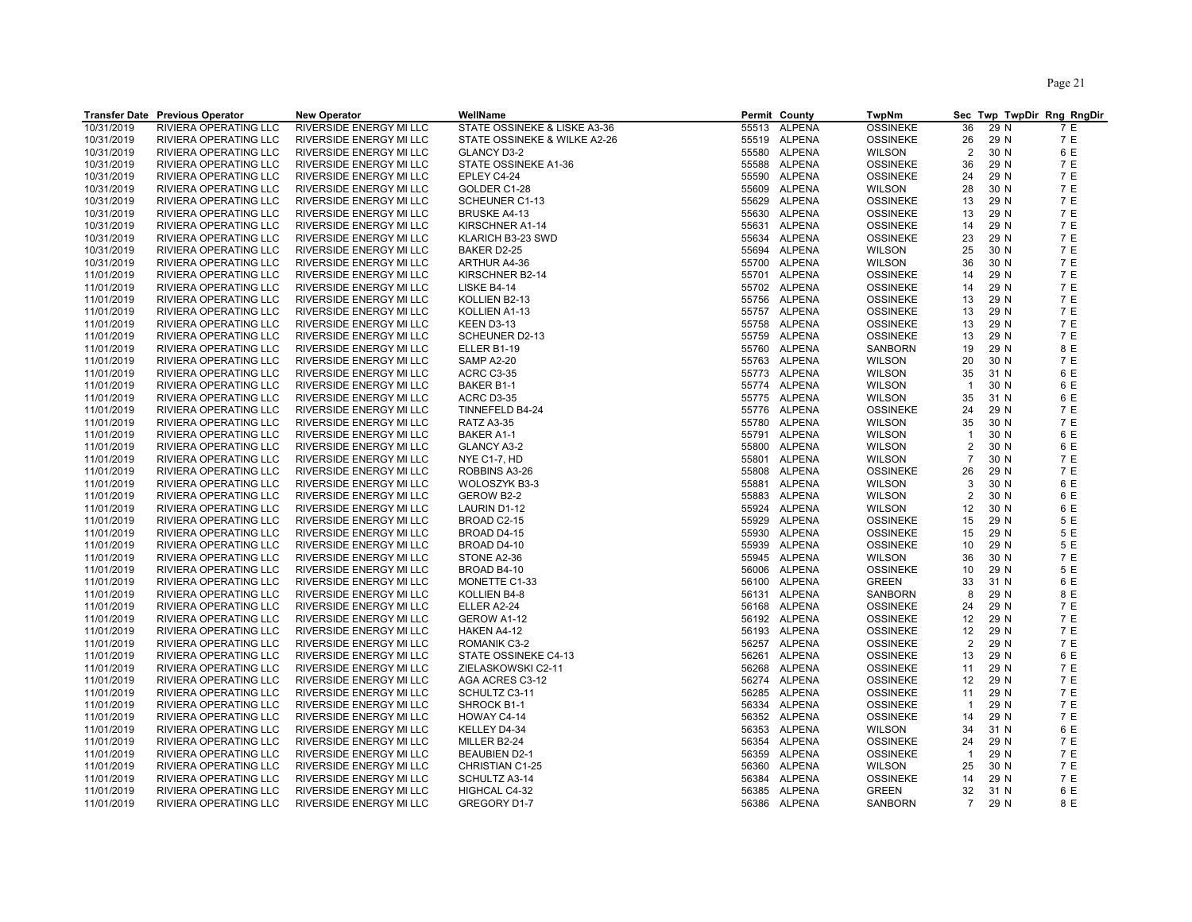|            | <b>Transfer Date Previous Operator</b> | <b>New Operator</b>     | WellName                     |       | Permit County | TwpNm           |                |      | Sec Twp TwpDir Rng RngDir |
|------------|----------------------------------------|-------------------------|------------------------------|-------|---------------|-----------------|----------------|------|---------------------------|
| 10/31/2019 | RIVIERA OPERATING LLC                  | RIVERSIDE ENERGY MI LLC | STATE OSSINEKE & LISKE A3-36 | 55513 | <b>ALPENA</b> | <b>OSSINEKE</b> | 36             | 29 N | 7 E                       |
| 10/31/2019 | RIVIERA OPERATING LLC                  | RIVERSIDE ENERGY MI LLC | STATE OSSINEKE & WILKE A2-26 |       | 55519 ALPENA  | <b>OSSINEKE</b> | 26             | 29 N | 7 E                       |
| 10/31/2019 | RIVIERA OPERATING LLC                  | RIVERSIDE ENERGY MI LLC | <b>GLANCY D3-2</b>           | 55580 | <b>ALPENA</b> | WILSON          | $\overline{2}$ | 30 N | 6 E                       |
| 10/31/2019 | RIVIERA OPERATING LLC                  | RIVERSIDE ENERGY MI LLC | STATE OSSINEKE A1-36         | 55588 | ALPENA        | <b>OSSINEKE</b> | 36             | 29 N | 7 E                       |
| 10/31/2019 | RIVIERA OPERATING LLC                  | RIVERSIDE ENERGY MI LLC | EPLEY C4-24                  | 55590 | <b>ALPENA</b> | <b>OSSINEKE</b> | 24             | 29 N | 7 E                       |
| 10/31/2019 | RIVIERA OPERATING LLC                  | RIVERSIDE ENERGY MI LLC | GOLDER C1-28                 | 55609 | <b>ALPENA</b> | <b>WILSON</b>   |                | 30 N | 7 E                       |
| 10/31/2019 |                                        |                         | SCHEUNER C1-13               | 55629 | ALPENA        |                 | 28             | 29 N | 7 E                       |
|            | RIVIERA OPERATING LLC                  | RIVERSIDE ENERGY MI LLC |                              |       |               | <b>OSSINEKE</b> | 13             |      |                           |
| 10/31/2019 | RIVIERA OPERATING LLC                  | RIVERSIDE ENERGY MI LLC | <b>BRUSKE A4-13</b>          | 55630 | ALPENA        | <b>OSSINEKE</b> | 13             | 29 N | 7 E                       |
| 10/31/2019 | RIVIERA OPERATING LLC                  | RIVERSIDE ENERGY MI LLC | KIRSCHNER A1-14              | 55631 | <b>ALPENA</b> | <b>OSSINEKE</b> | 14             | 29 N | 7 E                       |
| 10/31/2019 | RIVIERA OPERATING LLC                  | RIVERSIDE ENERGY MI LLC | KLARICH B3-23 SWD            | 55634 | ALPENA        | <b>OSSINEKE</b> | 23             | 29 N | 7 E                       |
| 10/31/2019 | RIVIERA OPERATING LLC                  | RIVERSIDE ENERGY MI LLC | BAKER D2-25                  | 55694 | ALPENA        | <b>WILSON</b>   | 25             | 30 N | 7 E                       |
| 10/31/2019 | RIVIERA OPERATING LLC                  | RIVERSIDE ENERGY MI LLC | ARTHUR A4-36                 | 55700 | <b>ALPENA</b> | <b>WILSON</b>   | 36             | 30 N | 7 E                       |
| 11/01/2019 | RIVIERA OPERATING LLC                  | RIVERSIDE ENERGY MI LLC | KIRSCHNER B2-14              | 55701 | ALPENA        | <b>OSSINEKE</b> | 14             | 29 N | 7 E                       |
| 11/01/2019 | RIVIERA OPERATING LLC                  | RIVERSIDE ENERGY MI LLC | LISKE B4-14                  |       | 55702 ALPENA  | <b>OSSINEKE</b> | 14             | 29 N | 7 E                       |
| 11/01/2019 | RIVIERA OPERATING LLC                  | RIVERSIDE ENERGY MI LLC | KOLLIEN B2-13                |       | 55756 ALPENA  | <b>OSSINEKE</b> | 13             | 29 N | 7 E                       |
| 11/01/2019 | RIVIERA OPERATING LLC                  | RIVERSIDE ENERGY MI LLC | KOLLIEN A1-13                |       | 55757 ALPENA  | <b>OSSINEKE</b> | 13             | 29 N | 7 E                       |
| 11/01/2019 | RIVIERA OPERATING LLC                  | RIVERSIDE ENERGY MI LLC | KEEN D3-13                   |       | 55758 ALPENA  | <b>OSSINEKE</b> | 13             | 29 N | 7 E                       |
| 11/01/2019 | RIVIERA OPERATING LLC                  | RIVERSIDE ENERGY MI LLC | SCHEUNER D2-13               |       | 55759 ALPENA  | <b>OSSINEKE</b> | 13             | 29 N | 7 E                       |
| 11/01/2019 | RIVIERA OPERATING LLC                  | RIVERSIDE ENERGY MI LLC | ELLER B1-19                  |       | 55760 ALPENA  | SANBORN         | 19             | 29 N | 8 E                       |
| 11/01/2019 | RIVIERA OPERATING LLC                  | RIVERSIDE ENERGY MI LLC | SAMP A2-20                   |       | 55763 ALPENA  | <b>WILSON</b>   | 20             | 30 N | 7 E                       |
| 11/01/2019 | RIVIERA OPERATING LLC                  | RIVERSIDE ENERGY MI LLC | <b>ACRC C3-35</b>            |       | 55773 ALPENA  | <b>WILSON</b>   | 35             | 31 N | 6 E                       |
| 11/01/2019 | RIVIERA OPERATING LLC                  | RIVERSIDE ENERGY MI LLC | BAKER B1-1                   |       | 55774 ALPENA  | <b>WILSON</b>   | $\overline{1}$ | 30 N | 6 E                       |
| 11/01/2019 | RIVIERA OPERATING LLC                  | RIVERSIDE ENERGY MI LLC | ACRC D3-35                   |       | 55775 ALPENA  | <b>WILSON</b>   | 35             | 31 N | 6 E                       |
| 11/01/2019 | RIVIERA OPERATING LLC                  | RIVERSIDE ENERGY MI LLC | TINNEFELD B4-24              |       | 55776 ALPENA  | <b>OSSINEKE</b> | 24             | 29 N | 7 E                       |
| 11/01/2019 | RIVIERA OPERATING LLC                  | RIVERSIDE ENERGY MI LLC | <b>RATZ A3-35</b>            | 55780 | ALPENA        | <b>WILSON</b>   | 35             | 30 N | 7 E                       |
| 11/01/2019 | RIVIERA OPERATING LLC                  | RIVERSIDE ENERGY MI LLC | <b>BAKER A1-1</b>            | 55791 | ALPENA        | <b>WILSON</b>   | $\overline{1}$ | 30 N | 6 E                       |
| 11/01/2019 | RIVIERA OPERATING LLC                  | RIVERSIDE ENERGY MI LLC | <b>GLANCY A3-2</b>           |       | 55800 ALPENA  | <b>WILSON</b>   | $\overline{2}$ | 30 N | 6 E                       |
| 11/01/2019 | RIVIERA OPERATING LLC                  | RIVERSIDE ENERGY MI LLC | NYE C1-7, HD                 | 55801 | <b>ALPENA</b> | <b>WILSON</b>   | $\overline{7}$ | 30 N | 7 E                       |
| 11/01/2019 | RIVIERA OPERATING LLC                  | RIVERSIDE ENERGY MI LLC | ROBBINS A3-26                | 55808 | <b>ALPENA</b> | <b>OSSINEKE</b> | 26             | 29 N | 7 E                       |
| 11/01/2019 | RIVIERA OPERATING LLC                  | RIVERSIDE ENERGY MI LLC | WOLOSZYK B3-3                |       | 55881 ALPENA  | <b>WILSON</b>   | 3              | 30 N | 6 E                       |
| 11/01/2019 | RIVIERA OPERATING LLC                  | RIVERSIDE ENERGY MI LLC | GEROW B2-2                   | 55883 | ALPENA        | <b>WILSON</b>   | $\overline{2}$ | 30 N | 6 E                       |
| 11/01/2019 | RIVIERA OPERATING LLC                  | RIVERSIDE ENERGY MI LLC | LAURIN D1-12                 | 55924 | ALPENA        | <b>WILSON</b>   | 12             | 30 N | 6 E                       |
| 11/01/2019 | RIVIERA OPERATING LLC                  | RIVERSIDE ENERGY MI LLC | BROAD C2-15                  | 55929 | ALPENA        | <b>OSSINEKE</b> | 15             | 29 N | 5 E                       |
| 11/01/2019 | RIVIERA OPERATING LLC                  | RIVERSIDE ENERGY MI LLC | BROAD D4-15                  | 55930 | ALPENA        | <b>OSSINEKE</b> | 15             | 29 N | 5 E                       |
| 11/01/2019 | RIVIERA OPERATING LLC                  | RIVERSIDE ENERGY MI LLC | BROAD D4-10                  | 55939 | ALPENA        | <b>OSSINEKE</b> | 10             | 29 N | 5 E                       |
| 11/01/2019 | RIVIERA OPERATING LLC                  | RIVERSIDE ENERGY MI LLC | STONE A2-36                  | 55945 | ALPENA        | <b>WILSON</b>   | 36             | 30 N | 7 E                       |
| 11/01/2019 | RIVIERA OPERATING LLC                  | RIVERSIDE ENERGY MI LLC | BROAD B4-10                  | 56006 | ALPENA        | <b>OSSINEKE</b> | 10             | 29 N | 5 E                       |
| 11/01/2019 | RIVIERA OPERATING LLC                  | RIVERSIDE ENERGY MI LLC | MONETTE C1-33                | 56100 | ALPENA        | <b>GREEN</b>    | 33             | 31 N | 6 E                       |
| 11/01/2019 | RIVIERA OPERATING LLC                  | RIVERSIDE ENERGY MI LLC | KOLLIEN B4-8                 | 56131 | ALPENA        | SANBORN         | 8              | 29 N | 8 E                       |
| 11/01/2019 | RIVIERA OPERATING LLC                  | RIVERSIDE ENERGY MI LLC | ELLER A2-24                  |       | 56168 ALPENA  | <b>OSSINEKE</b> | 24             | 29 N | 7 E                       |
|            |                                        |                         |                              |       |               |                 |                | 29 N | 7 E                       |
| 11/01/2019 | RIVIERA OPERATING LLC                  | RIVERSIDE ENERGY MI LLC | GEROW A1-12                  |       | 56192 ALPENA  | <b>OSSINEKE</b> | 12             |      |                           |
| 11/01/2019 | RIVIERA OPERATING LLC                  | RIVERSIDE ENERGY MI LLC | HAKEN A4-12                  | 56193 | <b>ALPENA</b> | <b>OSSINEKE</b> | 12             | 29 N | 7 E                       |
| 11/01/2019 | RIVIERA OPERATING LLC                  | RIVERSIDE ENERGY MI LLC | ROMANIK C3-2                 |       | 56257 ALPENA  | <b>OSSINEKE</b> | 2              | 29 N | 7 E                       |
| 11/01/2019 | RIVIERA OPERATING LLC                  | RIVERSIDE ENERGY MI LLC | STATE OSSINEKE C4-13         |       | 56261 ALPENA  | <b>OSSINEKE</b> | 13             | 29 N | 6 E                       |
| 11/01/2019 | RIVIERA OPERATING LLC                  | RIVERSIDE ENERGY MI LLC | ZIELASKOWSKI C2-11           | 56268 | ALPENA        | <b>OSSINEKE</b> | 11             | 29 N | 7 E                       |
| 11/01/2019 | RIVIERA OPERATING LLC                  | RIVERSIDE ENERGY MI LLC | AGA ACRES C3-12              |       | 56274 ALPENA  | <b>OSSINEKE</b> | 12             | 29 N | 7 E                       |
| 11/01/2019 | RIVIERA OPERATING LLC                  | RIVERSIDE ENERGY MI LLC | SCHULTZ C3-11                |       | 56285 ALPENA  | <b>OSSINEKE</b> | 11             | 29 N | 7 E                       |
| 11/01/2019 | RIVIERA OPERATING LLC                  | RIVERSIDE ENERGY MI LLC | SHROCK B1-1                  |       | 56334 ALPENA  | <b>OSSINEKE</b> | $\overline{1}$ | 29 N | 7 E                       |
| 11/01/2019 | RIVIERA OPERATING LLC                  | RIVERSIDE ENERGY MI LLC | HOWAY C4-14                  |       | 56352 ALPENA  | <b>OSSINEKE</b> | 14             | 29 N | 7 E                       |
| 11/01/2019 | RIVIERA OPERATING LLC                  | RIVERSIDE ENERGY MI LLC | KELLEY D4-34                 |       | 56353 ALPENA  | <b>WILSON</b>   | 34             | 31 N | 6 E                       |
| 11/01/2019 | RIVIERA OPERATING LLC                  | RIVERSIDE ENERGY MI LLC | MILLER B2-24                 |       | 56354 ALPENA  | <b>OSSINEKE</b> | 24             | 29 N | 7 E                       |
| 11/01/2019 | RIVIERA OPERATING LLC                  | RIVERSIDE ENERGY MI LLC | <b>BEAUBIEN D2-1</b>         | 56359 | ALPENA        | <b>OSSINEKE</b> | $\overline{1}$ | 29 N | 7 E                       |
| 11/01/2019 | RIVIERA OPERATING LLC                  | RIVERSIDE ENERGY MI LLC | CHRISTIAN C1-25              |       | 56360 ALPENA  | <b>WILSON</b>   | 25             | 30 N | 7 E                       |
| 11/01/2019 | RIVIERA OPERATING LLC                  | RIVERSIDE ENERGY MI LLC | SCHULTZ A3-14                | 56384 | <b>ALPENA</b> | <b>OSSINEKE</b> | 14             | 29 N | 7 E                       |
| 11/01/2019 | RIVIERA OPERATING LLC                  | RIVERSIDE ENERGY MI LLC | HIGHCAL C4-32                | 56385 | ALPENA        | <b>GREEN</b>    | 32             | 31 N | 6 E                       |
| 11/01/2019 | RIVIERA OPERATING LLC                  | RIVERSIDE ENERGY MI LLC | GREGORY D1-7                 |       | 56386 ALPENA  | <b>SANBORN</b>  | $\overline{7}$ | 29 N | 8 E                       |